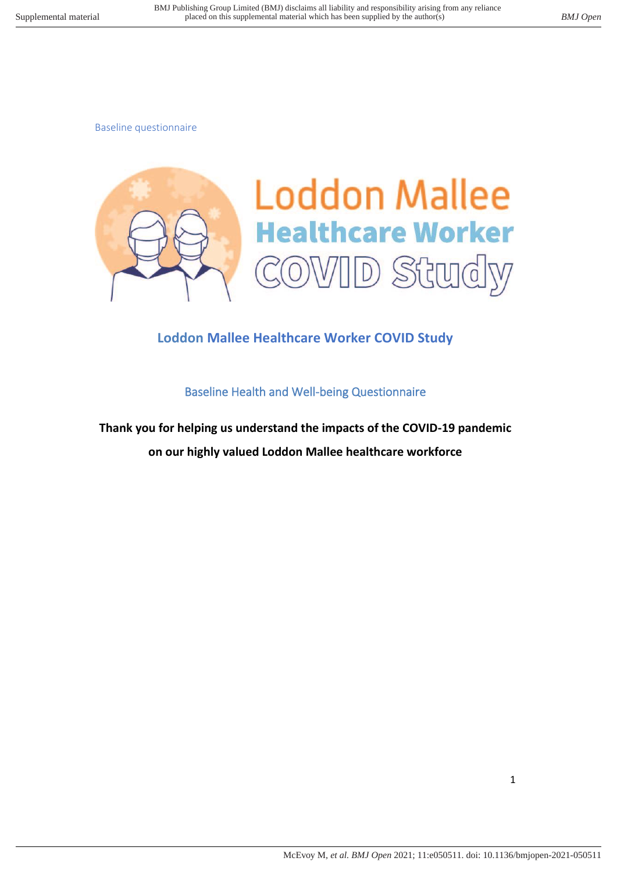Baseline questionnaire



# **Loddon Mallee Healthcare Worker COVID Study**

# Baseline Health and Well-being Questionnaire

**Thank you for helping us understand the impacts of the COVID-19 pandemic on our highly valued Loddon Mallee healthcare workforce**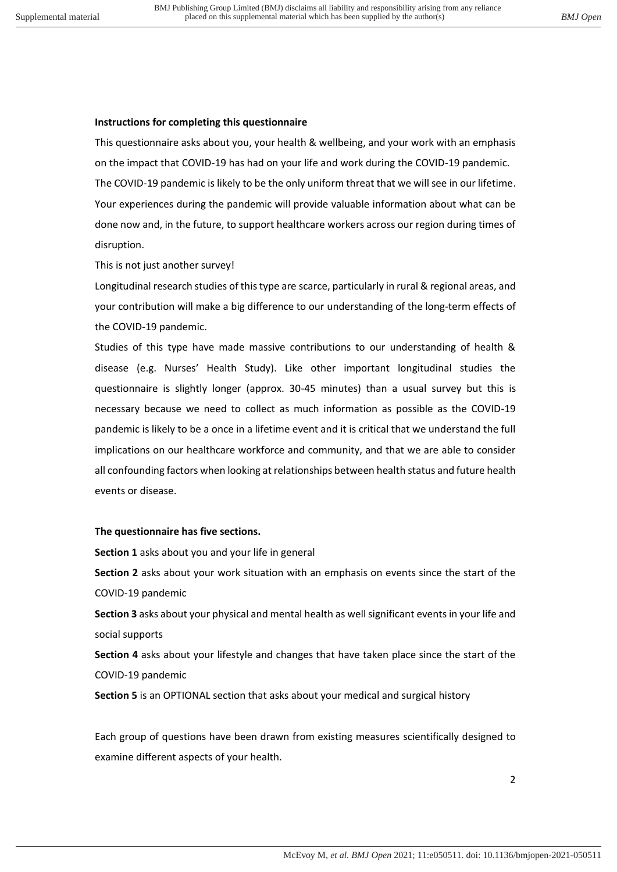### **Instructions for completing this questionnaire**

This questionnaire asks about you, your health & wellbeing, and your work with an emphasis on the impact that COVID-19 has had on your life and work during the COVID-19 pandemic. The COVID-19 pandemic is likely to be the only uniform threat that we will see in our lifetime. Your experiences during the pandemic will provide valuable information about what can be done now and, in the future, to support healthcare workers across our region during times of disruption.

This is not just another survey!

Longitudinal research studies of this type are scarce, particularly in rural & regional areas, and your contribution will make a big difference to our understanding of the long-term effects of the COVID-19 pandemic.

Studies of this type have made massive contributions to our understanding of health & disease (e.g. Nurses' Health Study). Like other important longitudinal studies the questionnaire is slightly longer (approx. 30-45 minutes) than a usual survey but this is necessary because we need to collect as much information as possible as the COVID-19 pandemic is likely to be a once in a lifetime event and it is critical that we understand the full implications on our healthcare workforce and community, and that we are able to consider all confounding factors when looking at relationships between health status and future health events or disease.

#### **The questionnaire has five sections.**

**Section 1** asks about you and your life in general

**Section 2** asks about your work situation with an emphasis on events since the start of the COVID-19 pandemic

**Section 3** asks about your physical and mental health as well significant events in your life and social supports

**Section 4** asks about your lifestyle and changes that have taken place since the start of the COVID-19 pandemic

**Section 5** is an OPTIONAL section that asks about your medical and surgical history

Each group of questions have been drawn from existing measures scientifically designed to examine different aspects of your health.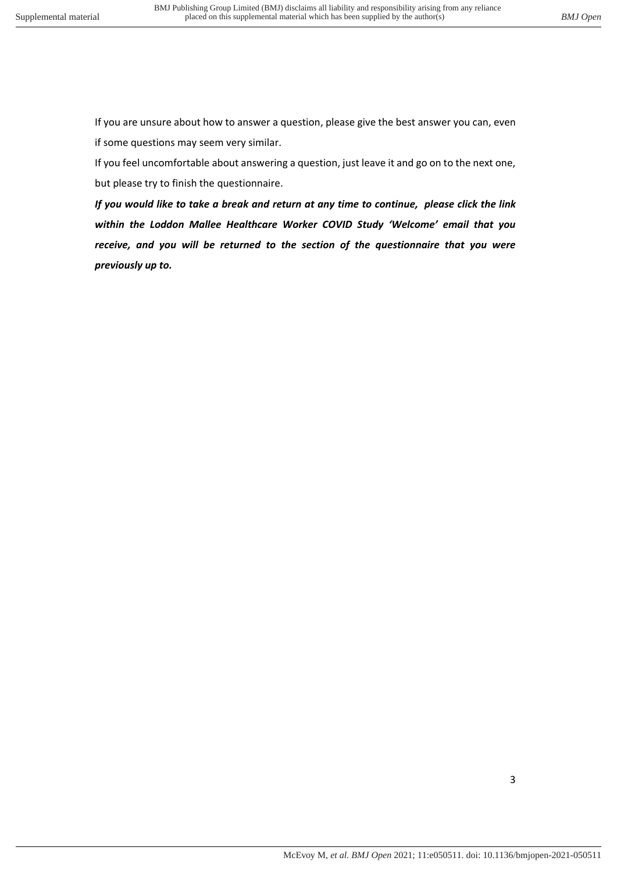If you are unsure about how to answer a question, please give the best answer you can, even if some questions may seem very similar.

If you feel uncomfortable about answering a question, just leave it and go on to the next one, but please try to finish the questionnaire.

*If you would like to take a break and return at any time to continue, please click the link within the Loddon Mallee Healthcare Worker COVID Study 'Welcome' email that you receive, and you will be returned to the section of the questionnaire that you were previously up to.*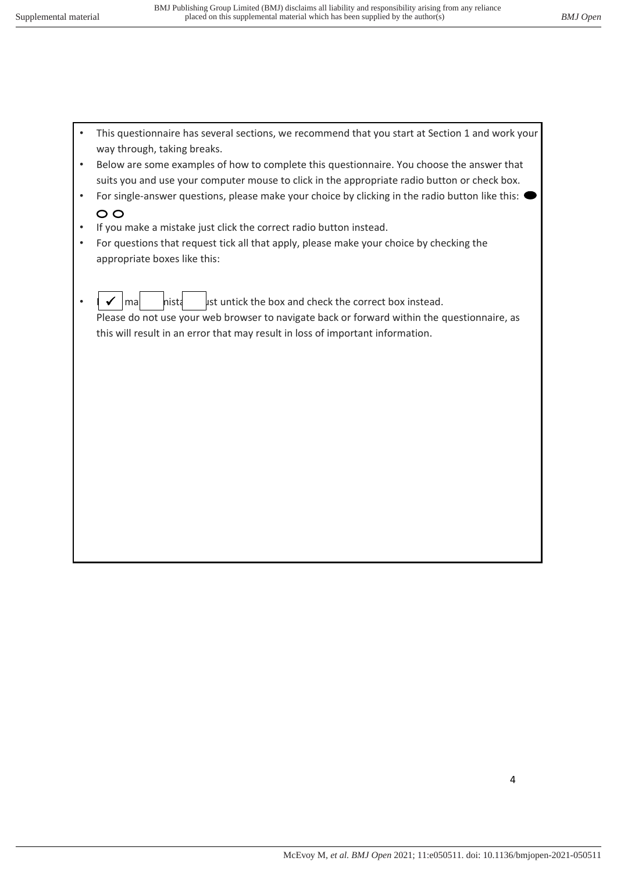- This questionnaire has several sections, we recommend that you start at Section 1 and work your way through, taking breaks.
- Below are some examples of how to complete this questionnaire. You choose the answer that suits you and use your computer mouse to click in the appropriate radio button or check box.
- For single-answer questions, please make your choice by clicking in the radio button like this:  $\bullet$  $\circ$
- If you make a mistake just click the correct radio button instead.
- For questions that request tick all that apply, please make your choice by checking the appropriate boxes like this:
- $\vert$  ma $\vert$  mistahly bust untick the box and check the correct box instead. Please do not use your web browser to navigate back or forward within the questionnaire, as this will result in an error that may result in loss of important information. ✓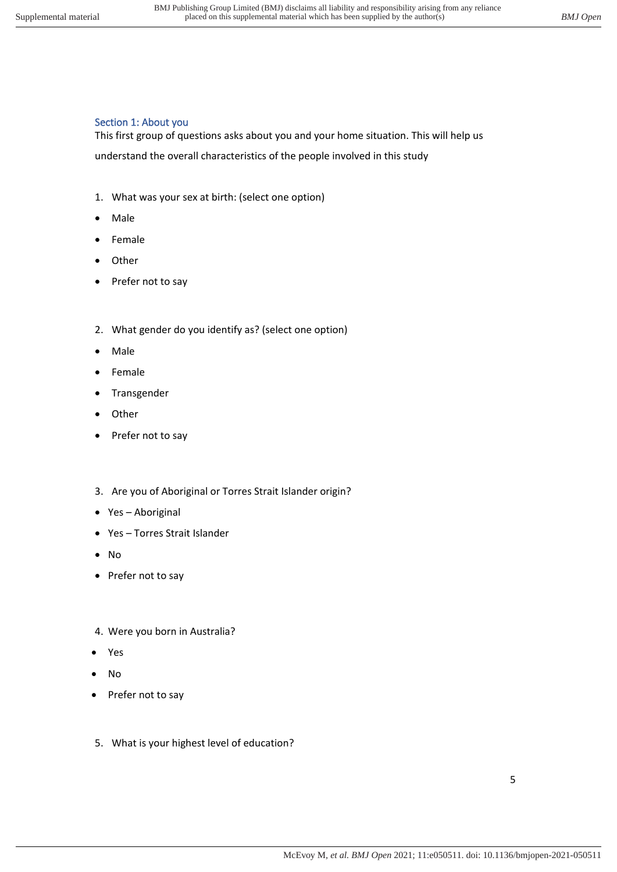# Section 1: About you

This first group of questions asks about you and your home situation. This will help us understand the overall characteristics of the people involved in this study

- 1. What was your sex at birth: (select one option)
- Male
- Female
- Other
- Prefer not to say
- 2. What gender do you identify as? (select one option)
- Male
- Female
- **Transgender**
- **Other**
- Prefer not to say
- 3. Are you of Aboriginal or Torres Strait Islander origin?
- Yes Aboriginal
- Yes Torres Strait Islander
- No
- Prefer not to say
- 4. Were you born in Australia?
- Yes
- No
- Prefer not to say
- 5. What is your highest level of education?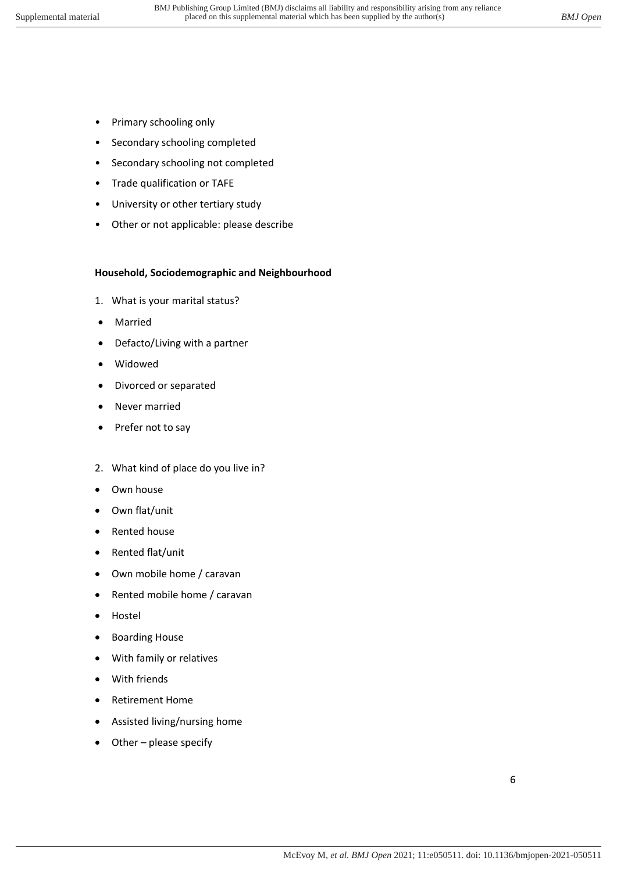- Primary schooling only
- Secondary schooling completed
- Secondary schooling not completed
- Trade qualification or TAFE
- University or other tertiary study
- Other or not applicable: please describe

# **Household, Sociodemographic and Neighbourhood**

- 1. What is your marital status?
- **Married**
- Defacto/Living with a partner
- Widowed
- Divorced or separated
- Never married
- Prefer not to say
- 2. What kind of place do you live in?
- Own house
- Own flat/unit
- Rented house
- Rented flat/unit
- Own mobile home / caravan
- Rented mobile home / caravan
- Hostel
- Boarding House
- With family or relatives
- With friends
- Retirement Home
- Assisted living/nursing home
- Other please specify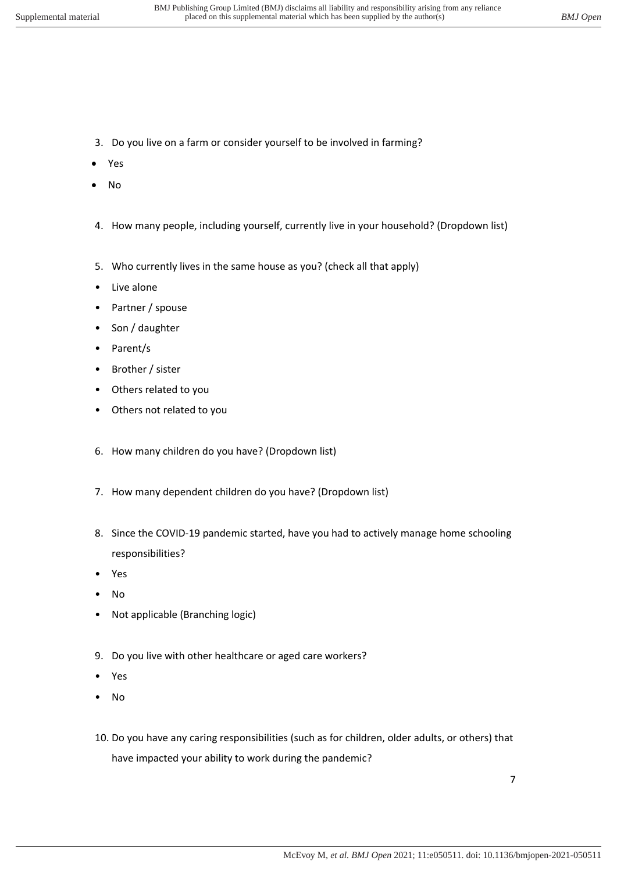- 3. Do you live on a farm or consider yourself to be involved in farming?
- Yes
- No
- 4. How many people, including yourself, currently live in your household? (Dropdown list)
- 5. Who currently lives in the same house as you? (check all that apply)
- Live alone
- Partner / spouse
- Son / daughter
- Parent/s
- Brother / sister
- Others related to you
- Others not related to you
- 6. How many children do you have? (Dropdown list)
- 7. How many dependent children do you have? (Dropdown list)
- 8. Since the COVID-19 pandemic started, have you had to actively manage home schooling responsibilities?
- Yes
- No
- Not applicable (Branching logic)
- 9. Do you live with other healthcare or aged care workers?
- Yes
- No
- 10. Do you have any caring responsibilities (such as for children, older adults, or others) that have impacted your ability to work during the pandemic?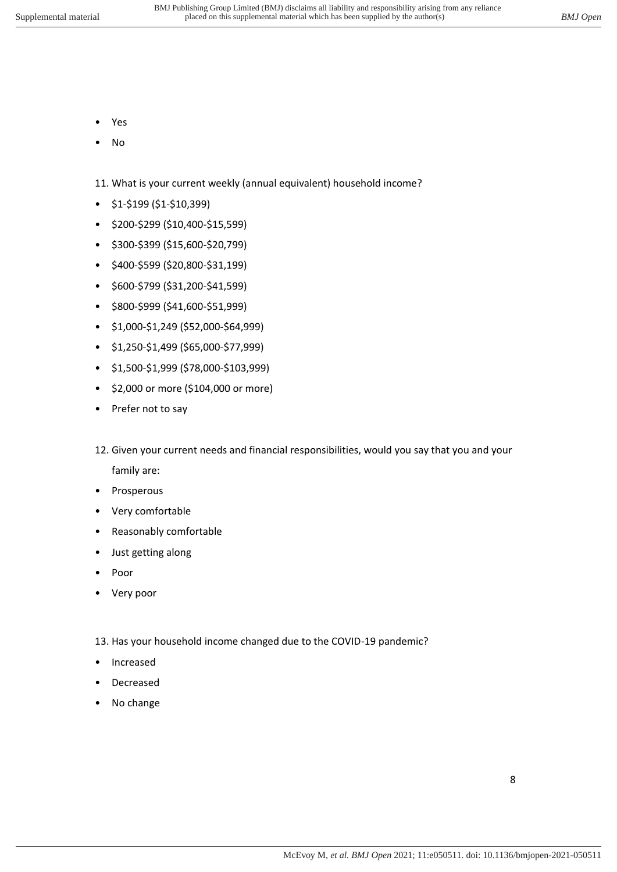- Yes
- No

11. What is your current weekly (annual equivalent) household income?

- \$1-\$199 (\$1-\$10,399)
- \$200-\$299 (\$10,400-\$15,599)
- \$300-\$399 (\$15,600-\$20,799)
- \$400-\$599 (\$20,800-\$31,199)
- \$600-\$799 (\$31,200-\$41,599)
- \$800-\$999 (\$41,600-\$51,999)
- \$1,000-\$1,249 (\$52,000-\$64,999)
- \$1,250-\$1,499 (\$65,000-\$77,999)
- \$1,500-\$1,999 (\$78,000-\$103,999)
- \$2,000 or more (\$104,000 or more)
- Prefer not to say
- 12. Given your current needs and financial responsibilities, would you say that you and your family are:
- **Prosperous**
- Very comfortable
- Reasonably comfortable
- Just getting along
- Poor
- Very poor

13. Has your household income changed due to the COVID-19 pandemic?

- Increased
- **Decreased**
- No change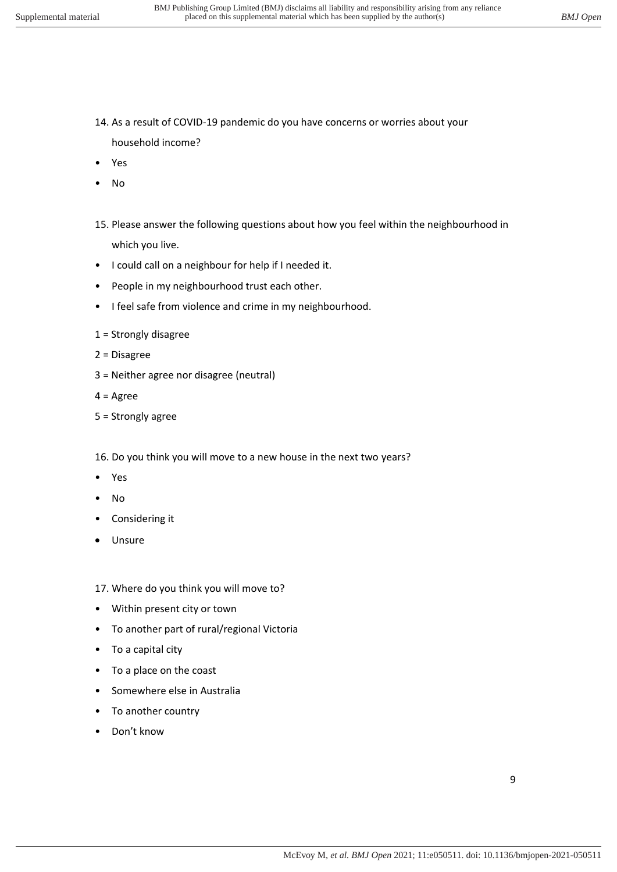- 14. As a result of COVID-19 pandemic do you have concerns or worries about your household income?
- Yes
- No
- 15. Please answer the following questions about how you feel within the neighbourhood in which you live.
- I could call on a neighbour for help if I needed it.
- People in my neighbourhood trust each other.
- I feel safe from violence and crime in my neighbourhood.
- 1 = Strongly disagree
- 2 = Disagree
- 3 = Neither agree nor disagree (neutral)
- $4 = \text{Agree}$
- 5 = Strongly agree

16. Do you think you will move to a new house in the next two years?

- Yes
- No
- Considering it
- **Unsure**

17. Where do you think you will move to?

- Within present city or town
- To another part of rural/regional Victoria
- To a capital city
- To a place on the coast
- Somewhere else in Australia
- To another country
- Don't know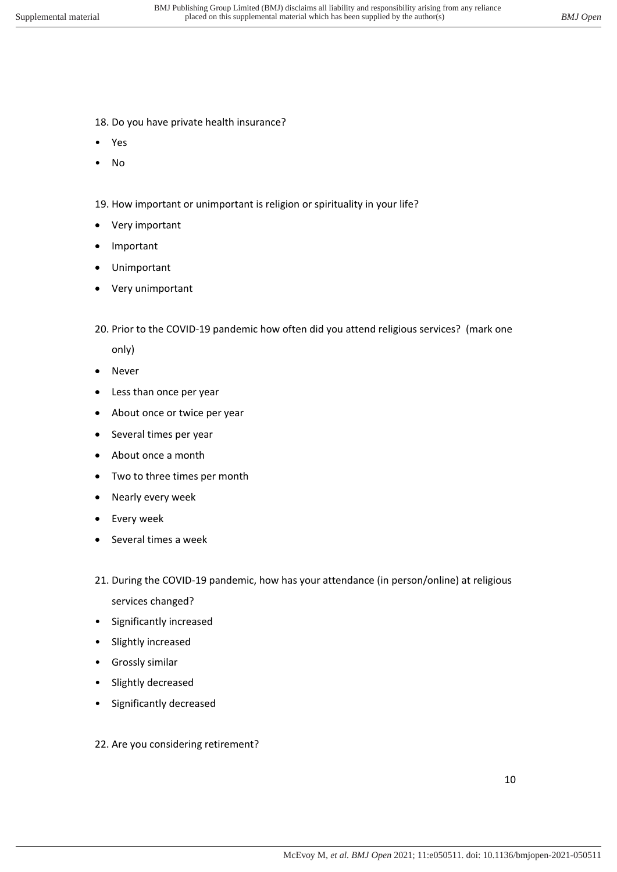- 18. Do you have private health insurance?
- Yes
- No

19. How important or unimportant is religion or spirituality in your life?

- Very important
- Important
- Unimportant
- Very unimportant

20. Prior to the COVID-19 pandemic how often did you attend religious services? (mark one

only)

- Never
- Less than once per year
- About once or twice per year
- Several times per year
- About once a month
- Two to three times per month
- Nearly every week
- Every week
- Several times a week
- 21. During the COVID-19 pandemic, how has your attendance (in person/online) at religious

services changed?

- Significantly increased
- Slightly increased
- Grossly similar
- Slightly decreased
- Significantly decreased
- 22. Are you considering retirement?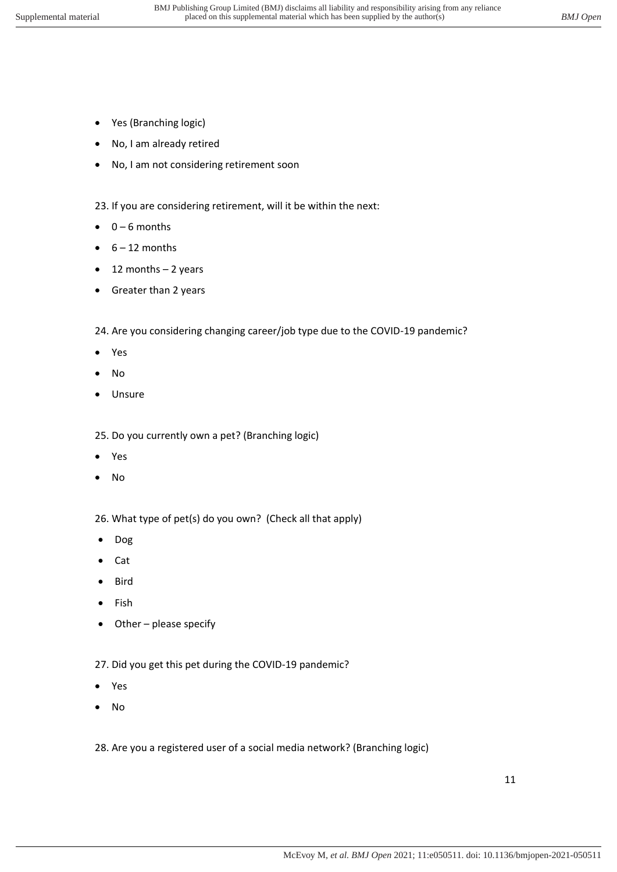- Yes (Branching logic)
- No, I am already retired
- No, I am not considering retirement soon

23. If you are considering retirement, will it be within the next:

- $\bullet$  0 6 months
- $6 12$  months
- 12 months 2 years
- Greater than 2 years
- 24. Are you considering changing career/job type due to the COVID-19 pandemic?
- Yes
- No
- Unsure
- 25. Do you currently own a pet? (Branching logic)
- Yes
- No

26. What type of pet(s) do you own? (Check all that apply)

- Dog
- Cat
- Bird
- Fish
- Other please specify

27. Did you get this pet during the COVID-19 pandemic?

- Yes
- No

28. Are you a registered user of a social media network? (Branching logic)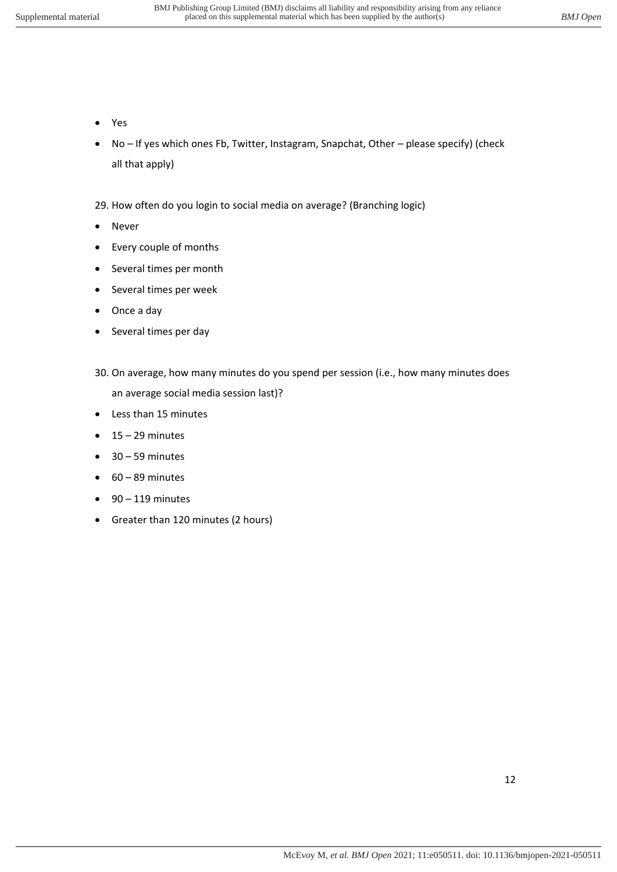- Yes
- No If yes which ones Fb, Twitter, Instagram, Snapchat, Other please specify) (check all that apply)
- 29. How often do you login to social media on average? (Branching logic)
- Never
- Every couple of months
- Several times per month
- Several times per week
- Once a day
- Several times per day
- 30. On average, how many minutes do you spend per session (i.e., how many minutes does an average social media session last)?
- Less than 15 minutes
- $\bullet$  15 29 minutes
- 30 59 minutes
- 60 89 minutes
- 90 119 minutes
- Greater than 120 minutes (2 hours)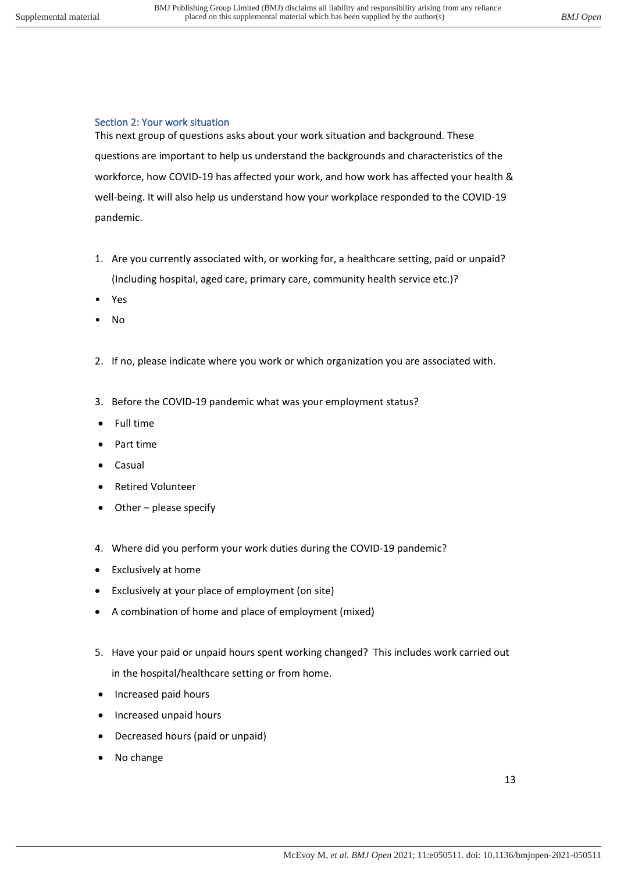# Section 2: Your work situation

This next group of questions asks about your work situation and background. These questions are important to help us understand the backgrounds and characteristics of the workforce, how COVID-19 has affected your work, and how work has affected your health & well-being. It will also help us understand how your workplace responded to the COVID-19 pandemic.

- 1. Are you currently associated with, or working for, a healthcare setting, paid or unpaid? (Including hospital, aged care, primary care, community health service etc.)?
- Yes
- No
- 2. If no, please indicate where you work or which organization you are associated with.
- 3. Before the COVID-19 pandemic what was your employment status?
- Full time
- Part time
- Casual
- Retired Volunteer
- Other  $-$  please specify
- 4. Where did you perform your work duties during the COVID-19 pandemic?
- Exclusively at home
- Exclusively at your place of employment (on site)
- A combination of home and place of employment (mixed)
- 5. Have your paid or unpaid hours spent working changed? This includes work carried out in the hospital/healthcare setting or from home.
- Increased paid hours
- Increased unpaid hours
- Decreased hours (paid or unpaid)
- No change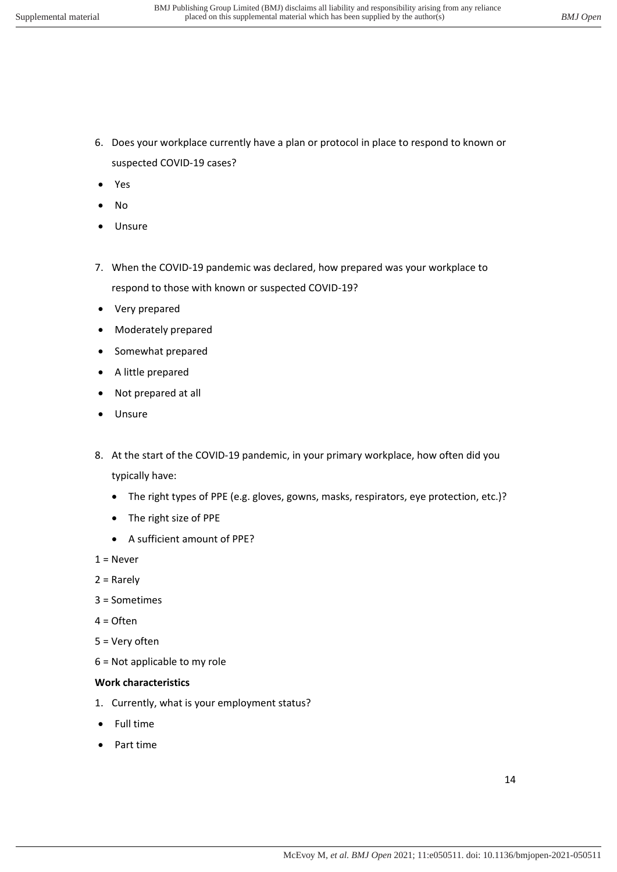- 6. Does your workplace currently have a plan or protocol in place to respond to known or suspected COVID-19 cases?
- Yes
- No
- Unsure
- 7. When the COVID-19 pandemic was declared, how prepared was your workplace to respond to those with known or suspected COVID-19?
- Very prepared
- Moderately prepared
- Somewhat prepared
- A little prepared
- Not prepared at all
- Unsure
- 8. At the start of the COVID-19 pandemic, in your primary workplace, how often did you typically have:
	- The right types of PPE (e.g. gloves, gowns, masks, respirators, eye protection, etc.)?
	- The right size of PPE
	- A sufficient amount of PPE?
- $1 =$  Never
- 2 = Rarely
- 3 = Sometimes
- 4 = Often
- 5 = Very often
- 6 = Not applicable to my role

#### **Work characteristics**

- 1. Currently, what is your employment status?
- Full time
- Part time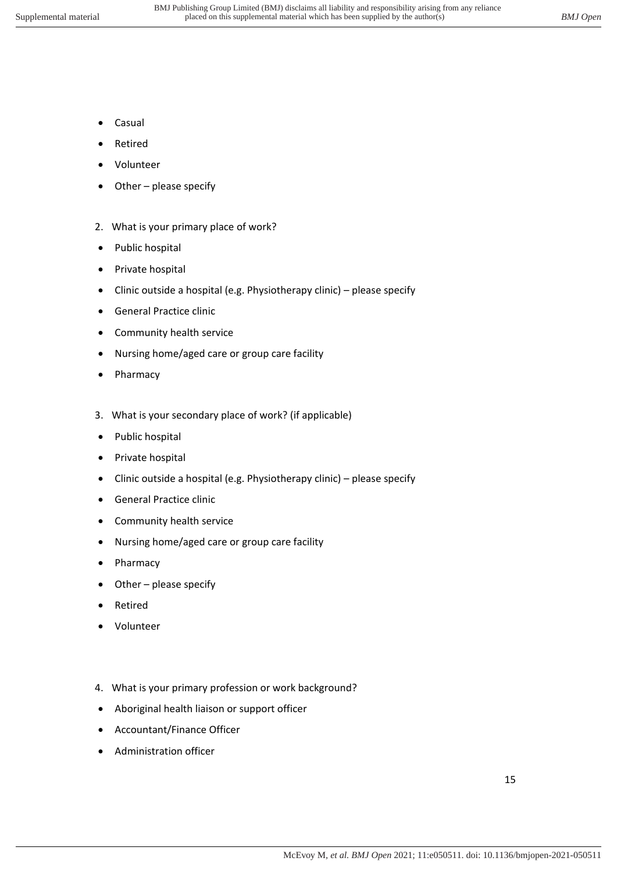- **Casual**
- **Retired**
- Volunteer
- Other please specify
- 2. What is your primary place of work?
- Public hospital
- Private hospital
- Clinic outside a hospital (e.g. Physiotherapy clinic) please specify
- General Practice clinic
- Community health service
- Nursing home/aged care or group care facility
- **Pharmacy**
- 3. What is your secondary place of work? (if applicable)
- Public hospital
- Private hospital
- Clinic outside a hospital (e.g. Physiotherapy clinic) please specify
- General Practice clinic
- Community health service
- Nursing home/aged care or group care facility
- **Pharmacy**
- Other please specify
- **Retired**
- Volunteer
- 4. What is your primary profession or work background?
- Aboriginal health liaison or support officer
- Accountant/Finance Officer
- Administration officer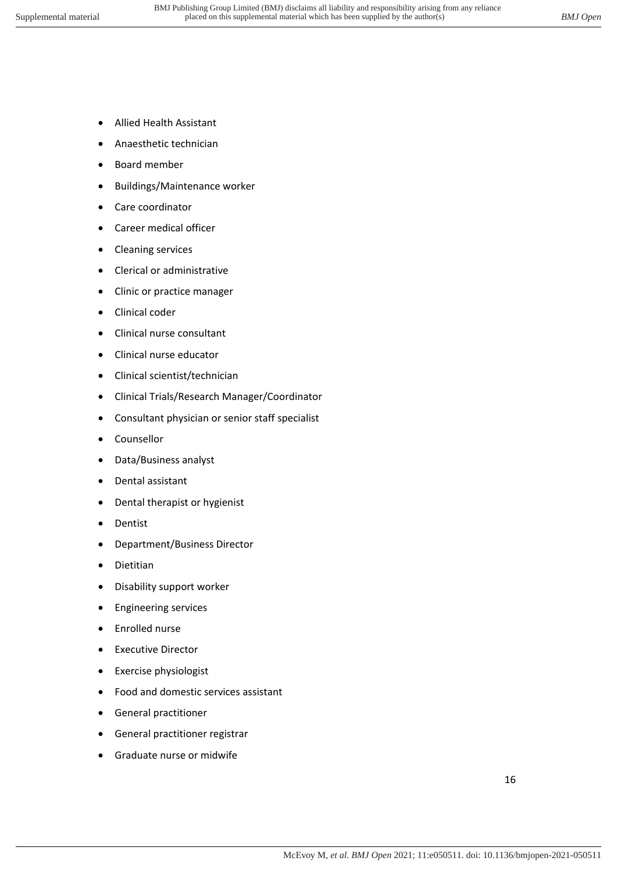- Allied Health Assistant
- Anaesthetic technician
- Board member
- Buildings/Maintenance worker
- Care coordinator
- Career medical officer
- Cleaning services
- Clerical or administrative
- Clinic or practice manager
- Clinical coder
- Clinical nurse consultant
- Clinical nurse educator
- Clinical scientist/technician
- Clinical Trials/Research Manager/Coordinator
- Consultant physician or senior staff specialist
- Counsellor
- Data/Business analyst
- Dental assistant
- Dental therapist or hygienist
- Dentist
- Department/Business Director
- Dietitian
- Disability support worker
- Engineering services
- Enrolled nurse
- **Executive Director**
- Exercise physiologist
- Food and domestic services assistant
- General practitioner
- General practitioner registrar
- Graduate nurse or midwife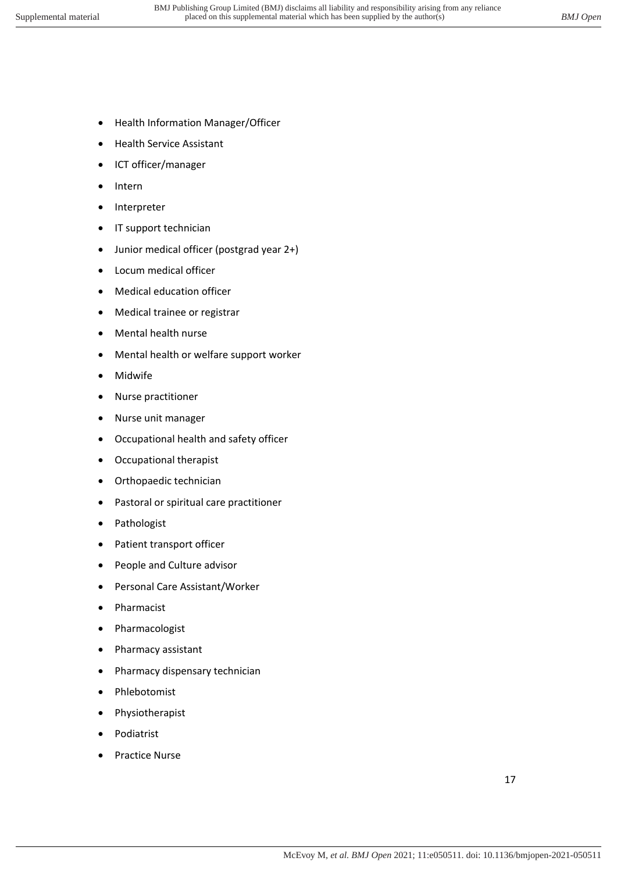- Health Information Manager/Officer
- Health Service Assistant
- ICT officer/manager
- Intern
- **Interpreter**
- IT support technician
- Junior medical officer (postgrad year 2+)
- Locum medical officer
- Medical education officer
- Medical trainee or registrar
- Mental health nurse
- Mental health or welfare support worker
- Midwife
- Nurse practitioner
- Nurse unit manager
- Occupational health and safety officer
- Occupational therapist
- Orthopaedic technician
- Pastoral or spiritual care practitioner
- Pathologist
- Patient transport officer
- People and Culture advisor
- Personal Care Assistant/Worker
- Pharmacist
- Pharmacologist
- Pharmacy assistant
- Pharmacy dispensary technician
- Phlebotomist
- Physiotherapist
- Podiatrist
- Practice Nurse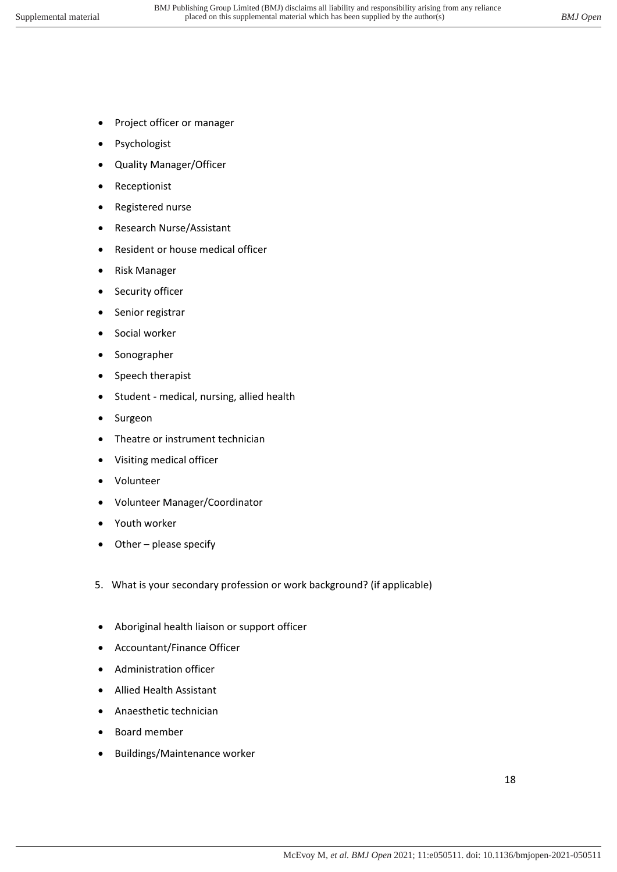- Project officer or manager
- **Psychologist**
- Quality Manager/Officer
- **Receptionist**
- Registered nurse
- Research Nurse/Assistant
- Resident or house medical officer
- Risk Manager
- Security officer
- Senior registrar
- Social worker
- Sonographer
- Speech therapist
- Student medical, nursing, allied health
- **Surgeon**
- Theatre or instrument technician
- Visiting medical officer
- Volunteer
- Volunteer Manager/Coordinator
- Youth worker
- Other please specify
- 5. What is your secondary profession or work background? (if applicable)
- Aboriginal health liaison or support officer
- Accountant/Finance Officer
- Administration officer
- Allied Health Assistant
- Anaesthetic technician
- Board member
- Buildings/Maintenance worker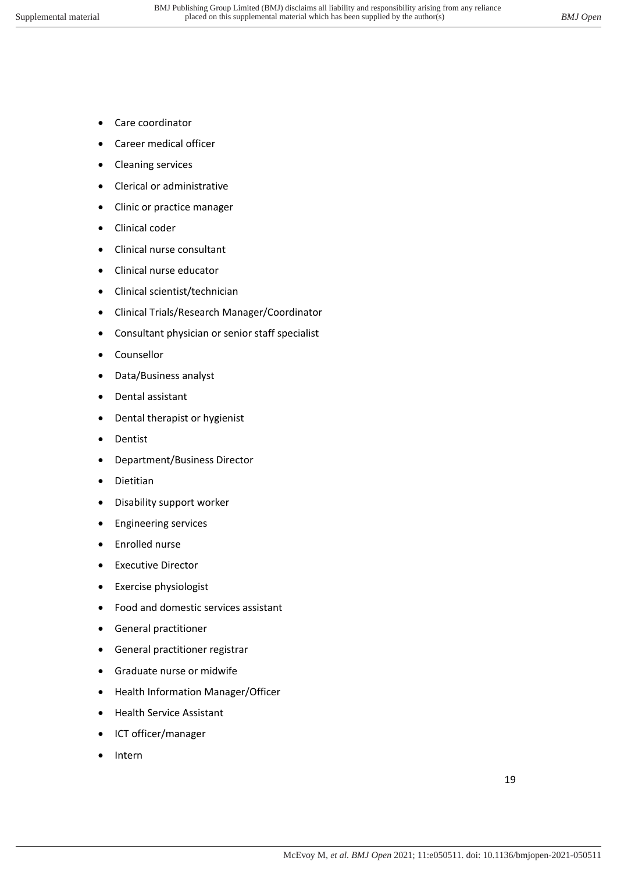- Care coordinator
- Career medical officer
- Cleaning services
- Clerical or administrative
- Clinic or practice manager
- Clinical coder
- Clinical nurse consultant
- Clinical nurse educator
- Clinical scientist/technician
- Clinical Trials/Research Manager/Coordinator
- Consultant physician or senior staff specialist
- Counsellor
- Data/Business analyst
- Dental assistant
- Dental therapist or hygienist
- **Dentist**
- Department/Business Director
- **Dietitian**
- Disability support worker
- Engineering services
- Enrolled nurse
- Executive Director
- Exercise physiologist
- Food and domestic services assistant
- General practitioner
- General practitioner registrar
- Graduate nurse or midwife
- Health Information Manager/Officer
- Health Service Assistant
- ICT officer/manager
- Intern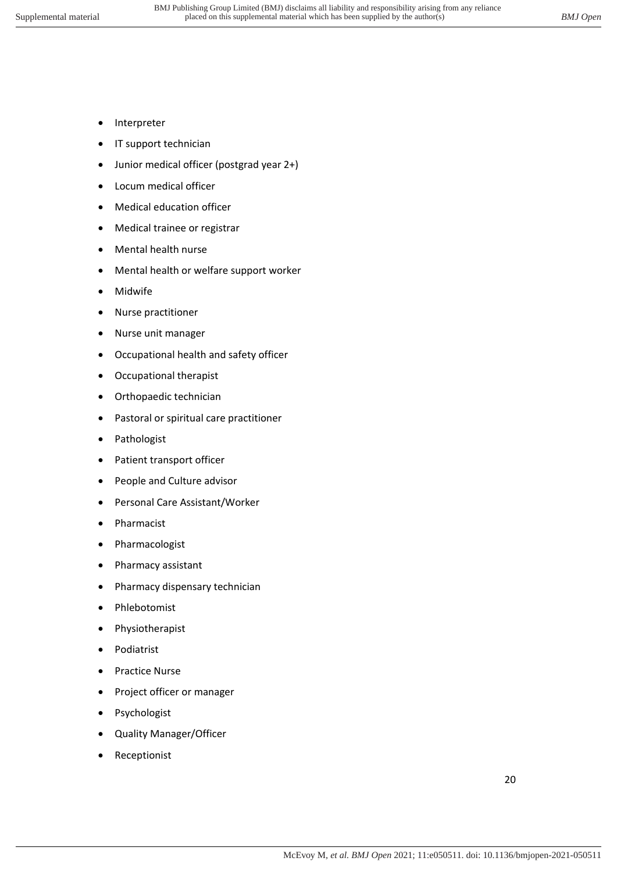- **Interpreter**
- IT support technician
- Junior medical officer (postgrad year 2+)
- Locum medical officer
- Medical education officer
- Medical trainee or registrar
- Mental health nurse
- Mental health or welfare support worker
- Midwife
- Nurse practitioner
- Nurse unit manager
- Occupational health and safety officer
- Occupational therapist
- Orthopaedic technician
- Pastoral or spiritual care practitioner
- **Pathologist**
- Patient transport officer
- People and Culture advisor
- Personal Care Assistant/Worker
- Pharmacist
- **Pharmacologist**
- Pharmacy assistant
- Pharmacy dispensary technician
- Phlebotomist
- Physiotherapist
- Podiatrist
- Practice Nurse
- Project officer or manager
- **Psychologist**
- Quality Manager/Officer
- **Receptionist**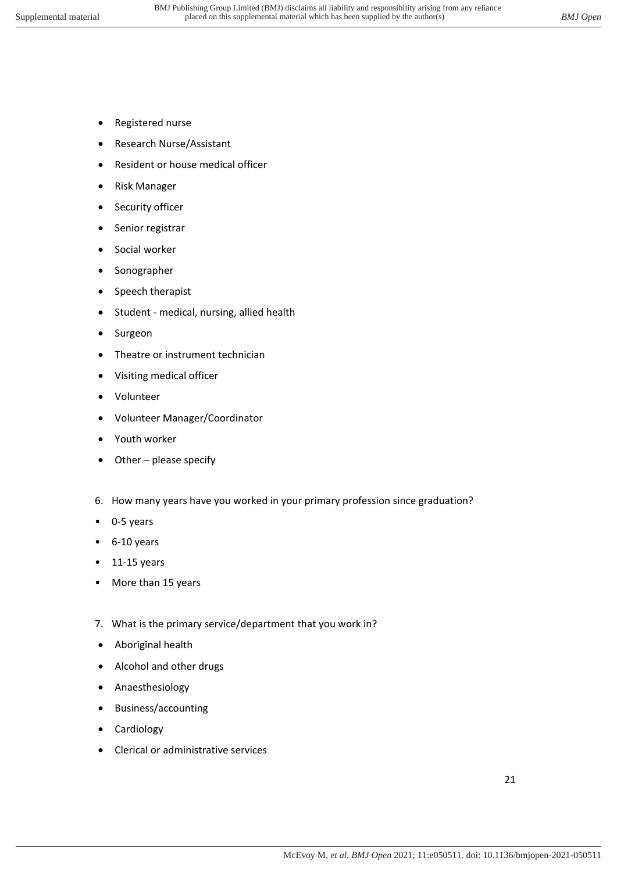- Registered nurse
- Research Nurse/Assistant
- Resident or house medical officer
- Risk Manager
- Security officer
- Senior registrar
- Social worker
- Sonographer
- Speech therapist
- Student medical, nursing, allied health
- Surgeon
- Theatre or instrument technician
- Visiting medical officer
- Volunteer
- Volunteer Manager/Coordinator
- Youth worker
- Other please specify
- 6. How many years have you worked in your primary profession since graduation?
- 0-5 years
- 6-10 years
- 11-15 years
- More than 15 years
- 7. What is the primary service/department that you work in?
- Aboriginal health
- Alcohol and other drugs
- Anaesthesiology
- Business/accounting
- **Cardiology**
- Clerical or administrative services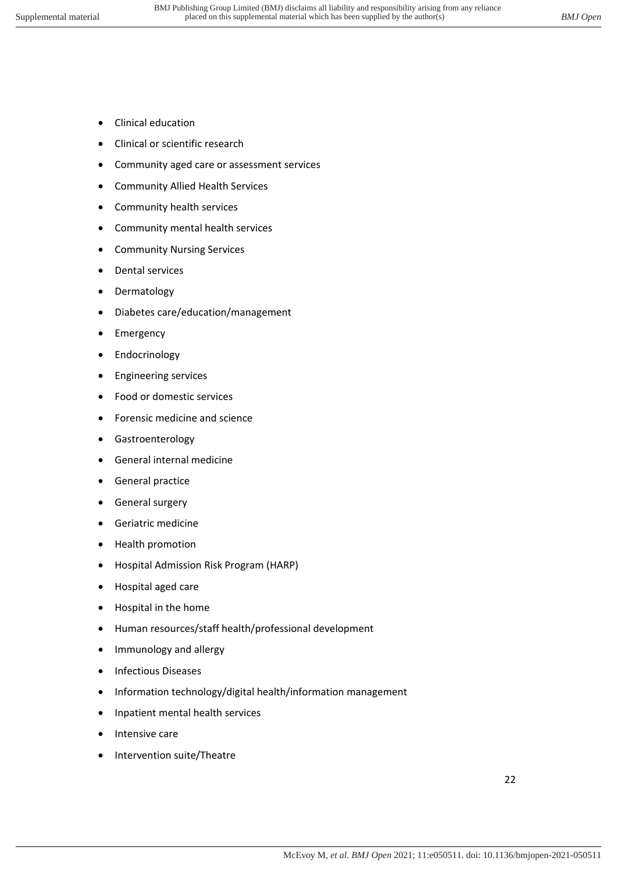- Clinical education
- Clinical or scientific research
- Community aged care or assessment services
- Community Allied Health Services
- Community health services
- Community mental health services
- Community Nursing Services
- Dental services
- Dermatology
- Diabetes care/education/management
- **Emergency**
- **Endocrinology**
- Engineering services
- Food or domestic services
- Forensic medicine and science
- Gastroenterology
- General internal medicine
- General practice
- General surgery
- Geriatric medicine
- Health promotion
- Hospital Admission Risk Program (HARP)
- Hospital aged care
- Hospital in the home
- Human resources/staff health/professional development
- Immunology and allergy
- Infectious Diseases
- Information technology/digital health/information management
- Inpatient mental health services
- Intensive care
- Intervention suite/Theatre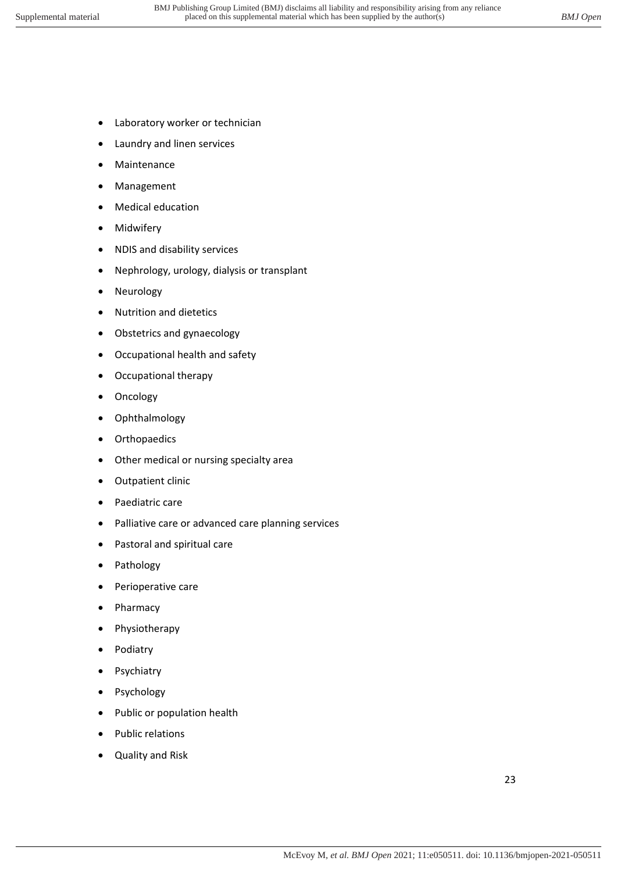- Laboratory worker or technician
- Laundry and linen services
- **Maintenance**
- **Management**
- Medical education
- Midwifery
- NDIS and disability services
- Nephrology, urology, dialysis or transplant
- Neurology
- Nutrition and dietetics
- Obstetrics and gynaecology
- Occupational health and safety
- Occupational therapy
- Oncology
- Ophthalmology
- Orthopaedics
- Other medical or nursing specialty area
- Outpatient clinic
- Paediatric care
- Palliative care or advanced care planning services
- Pastoral and spiritual care
- Pathology
- Perioperative care
- **Pharmacy**
- Physiotherapy
- Podiatry
- **Psychiatry**
- **Psychology**
- Public or population health
- Public relations
- Quality and Risk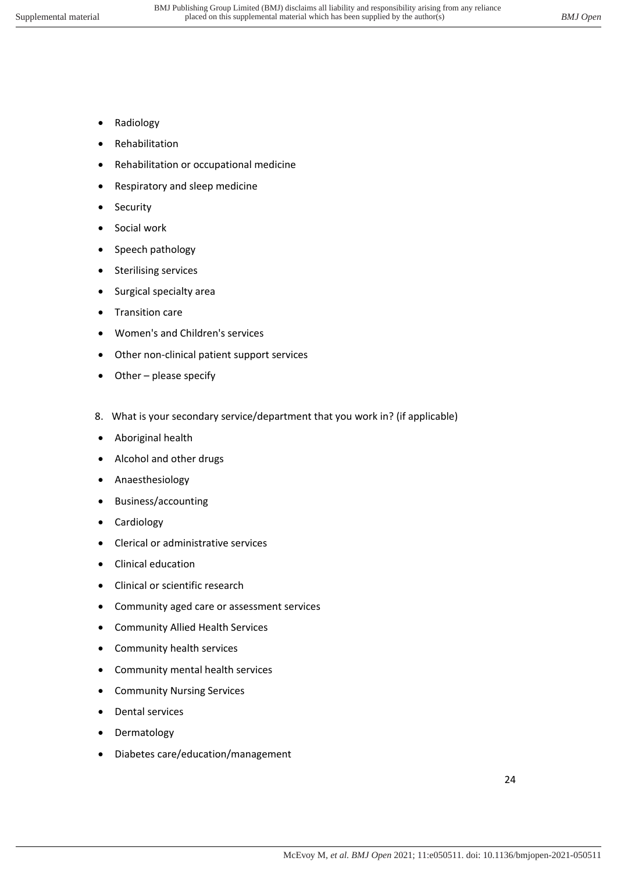- Radiology
- **Rehabilitation**
- Rehabilitation or occupational medicine
- Respiratory and sleep medicine
- **Security**
- Social work
- Speech pathology
- Sterilising services
- Surgical specialty area
- Transition care
- Women's and Children's services
- Other non-clinical patient support services
- Other please specify
- 8. What is your secondary service/department that you work in? (if applicable)
- Aboriginal health
- Alcohol and other drugs
- Anaesthesiology
- Business/accounting
- Cardiology
- Clerical or administrative services
- Clinical education
- Clinical or scientific research
- Community aged care or assessment services
- Community Allied Health Services
- Community health services
- Community mental health services
- Community Nursing Services
- Dental services
- **Dermatology**
- Diabetes care/education/management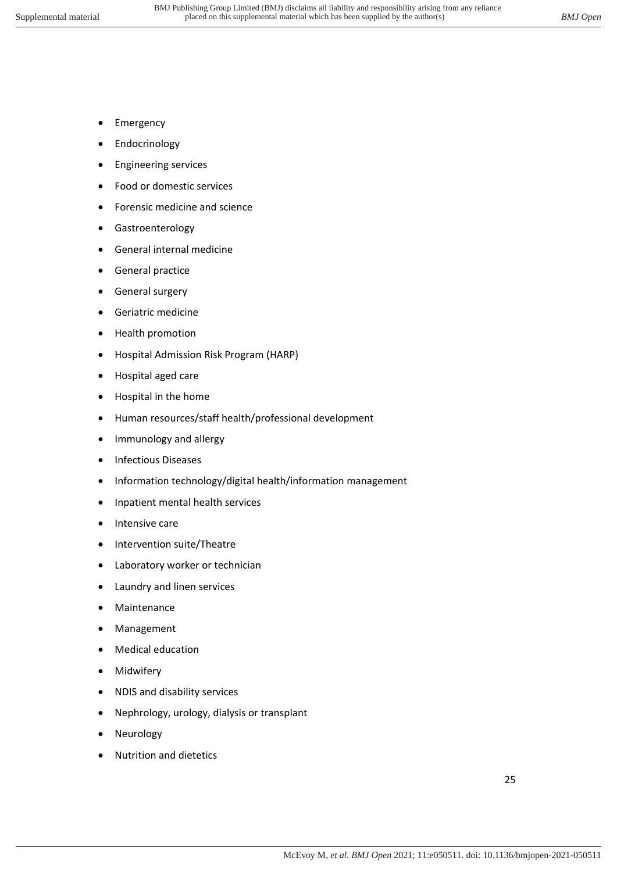- Emergency
- **Endocrinology**
- Engineering services
- Food or domestic services
- Forensic medicine and science
- Gastroenterology
- General internal medicine
- General practice
- General surgery
- Geriatric medicine
- Health promotion
- Hospital Admission Risk Program (HARP)
- Hospital aged care
- Hospital in the home
- Human resources/staff health/professional development
- Immunology and allergy
- Infectious Diseases
- Information technology/digital health/information management
- Inpatient mental health services
- Intensive care
- Intervention suite/Theatre
- Laboratory worker or technician
- Laundry and linen services
- **Maintenance**
- Management
- Medical education
- Midwifery
- NDIS and disability services
- Nephrology, urology, dialysis or transplant
- **Neurology**
- Nutrition and dietetics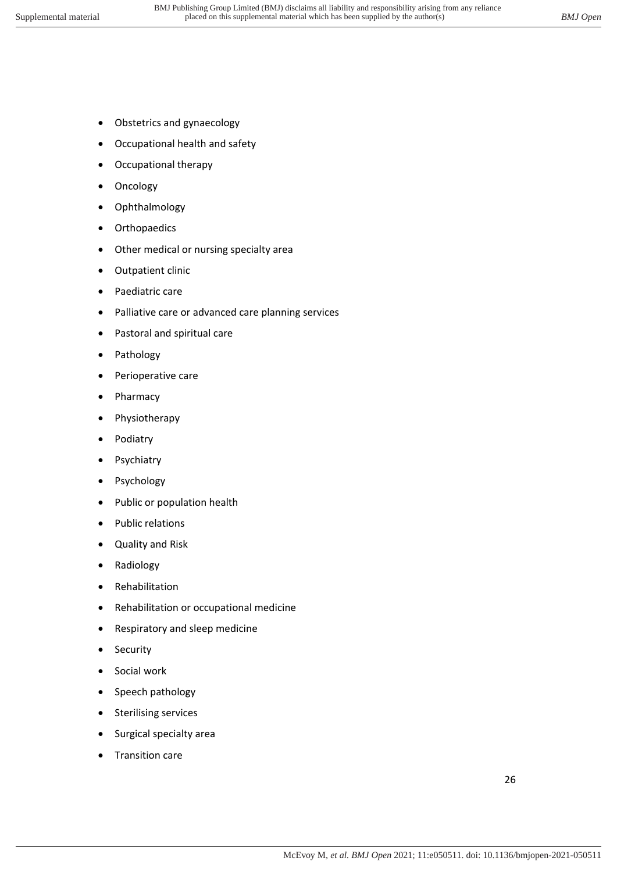- Obstetrics and gynaecology
- Occupational health and safety
- Occupational therapy
- **Oncology**
- Ophthalmology
- Orthopaedics
- Other medical or nursing specialty area
- Outpatient clinic
- Paediatric care
- Palliative care or advanced care planning services
- Pastoral and spiritual care
- **Pathology**
- Perioperative care
- Pharmacy
- Physiotherapy
- **Podiatry**
- **Psychiatry**
- **Psychology**
- Public or population health
- Public relations
- Quality and Risk
- Radiology
- Rehabilitation
- Rehabilitation or occupational medicine
- Respiratory and sleep medicine
- Security
- Social work
- Speech pathology
- Sterilising services
- Surgical specialty area
- Transition care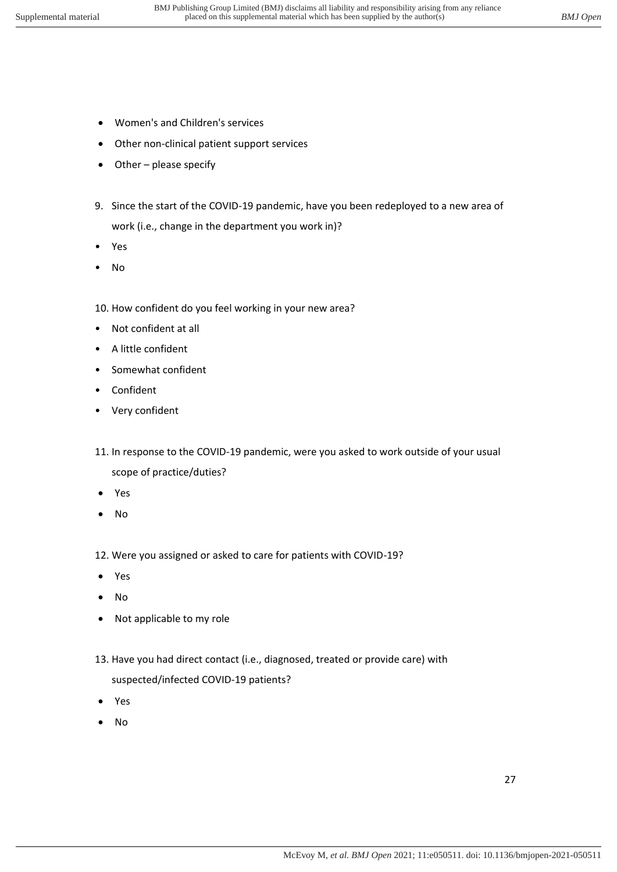- Women's and Children's services
- Other non-clinical patient support services
- Other please specify
- 9. Since the start of the COVID-19 pandemic, have you been redeployed to a new area of work (i.e., change in the department you work in)?
- Yes
- No

10. How confident do you feel working in your new area?

- Not confident at all
- A little confident
- Somewhat confident
- **Confident**
- Very confident
- 11. In response to the COVID-19 pandemic, were you asked to work outside of your usual scope of practice/duties?
- Yes
- No

12. Were you assigned or asked to care for patients with COVID-19?

- Yes
- No
- Not applicable to my role
- 13. Have you had direct contact (i.e., diagnosed, treated or provide care) with suspected/infected COVID-19 patients?
- Yes
- No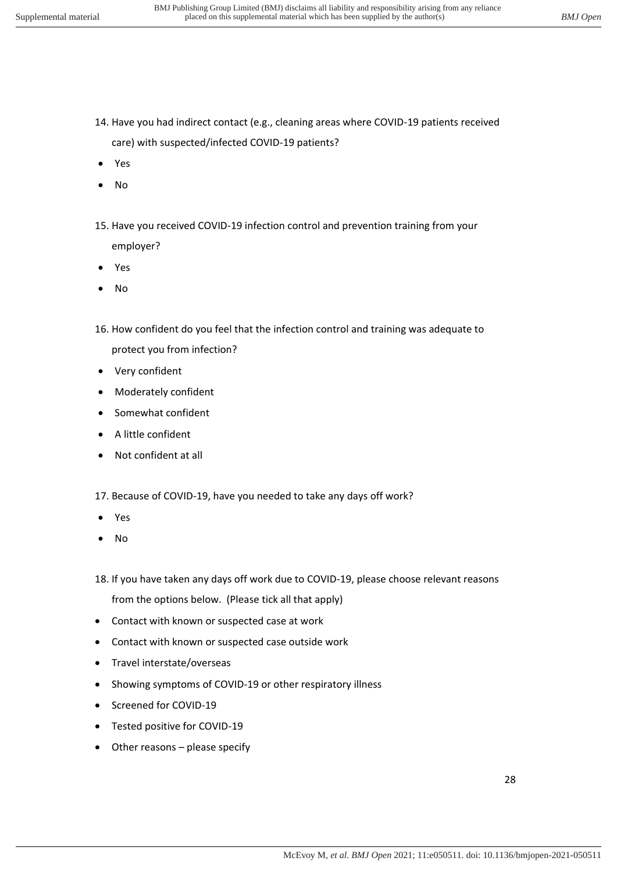- 14. Have you had indirect contact (e.g., cleaning areas where COVID-19 patients received care) with suspected/infected COVID-19 patients?
- Yes
- No
- 15. Have you received COVID-19 infection control and prevention training from your employer?
- Yes
- No
- 16. How confident do you feel that the infection control and training was adequate to protect you from infection?
- Very confident
- Moderately confident
- Somewhat confident
- A little confident
- Not confident at all
- 17. Because of COVID-19, have you needed to take any days off work?
- Yes
- No
- 18. If you have taken any days off work due to COVID-19, please choose relevant reasons

from the options below. (Please tick all that apply)

- Contact with known or suspected case at work
- Contact with known or suspected case outside work
- Travel interstate/overseas
- Showing symptoms of COVID-19 or other respiratory illness
- Screened for COVID-19
- Tested positive for COVID-19
- Other reasons please specify

28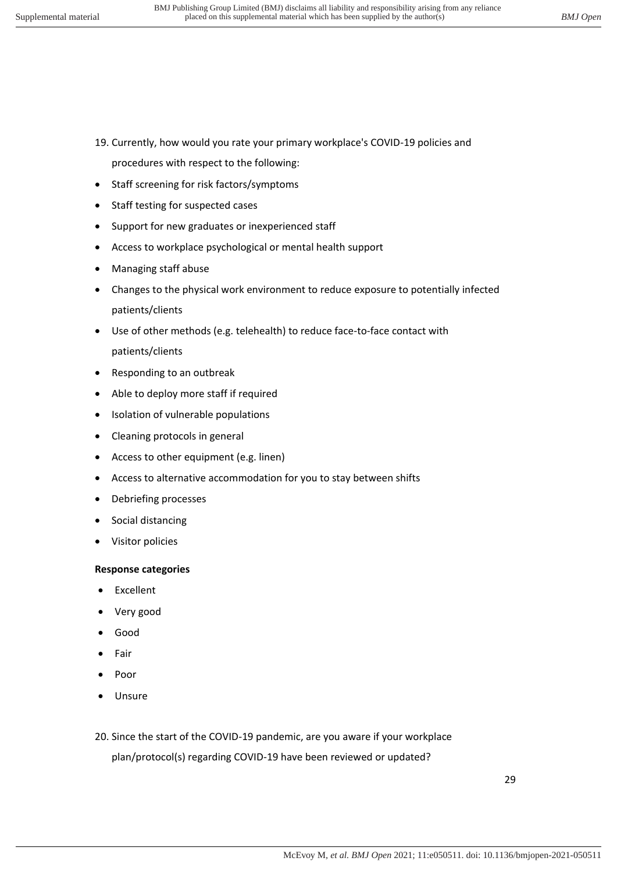19. Currently, how would you rate your primary workplace's COVID-19 policies and

procedures with respect to the following:

- Staff screening for risk factors/symptoms
- Staff testing for suspected cases
- Support for new graduates or inexperienced staff
- Access to workplace psychological or mental health support
- Managing staff abuse
- Changes to the physical work environment to reduce exposure to potentially infected patients/clients
- Use of other methods (e.g. telehealth) to reduce face-to-face contact with patients/clients
- Responding to an outbreak
- Able to deploy more staff if required
- Isolation of vulnerable populations
- Cleaning protocols in general
- Access to other equipment (e.g. linen)
- Access to alternative accommodation for you to stay between shifts
- Debriefing processes
- Social distancing
- Visitor policies

#### **Response categories**

- **Excellent**
- Very good
- Good
- Fair
- Poor
- **Unsure**
- 20. Since the start of the COVID-19 pandemic, are you aware if your workplace

plan/protocol(s) regarding COVID-19 have been reviewed or updated?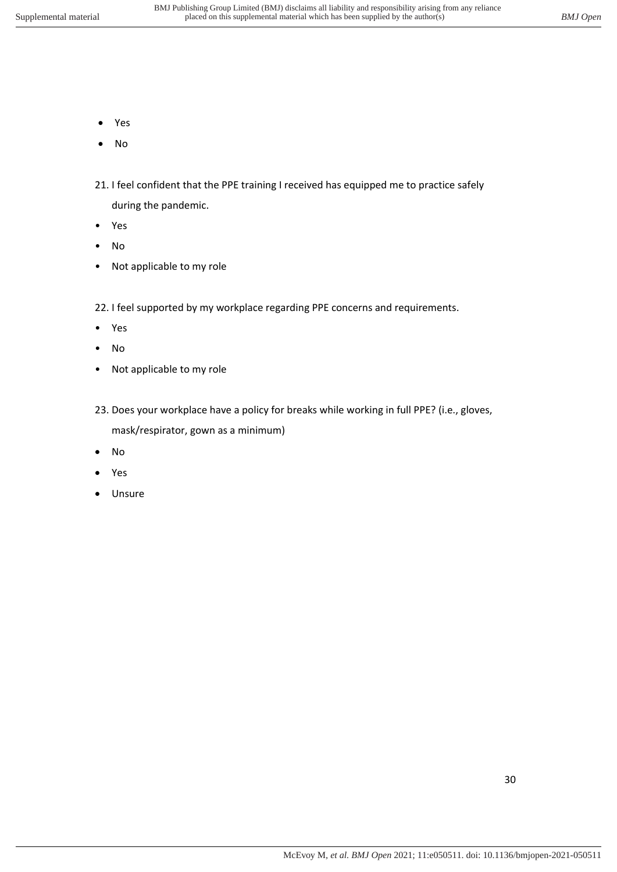- Yes
- No

21. I feel confident that the PPE training I received has equipped me to practice safely during the pandemic.

- Yes
- No
- Not applicable to my role
- 22. I feel supported by my workplace regarding PPE concerns and requirements.
- Yes
- No
- Not applicable to my role
- 23. Does your workplace have a policy for breaks while working in full PPE? (i.e., gloves, mask/respirator, gown as a minimum)
- No
- Yes
- **Unsure**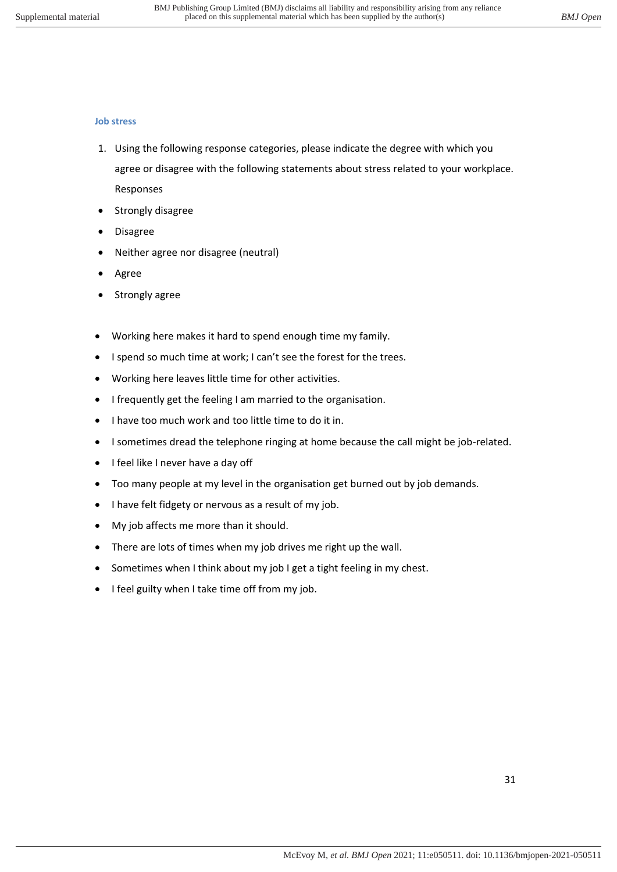### **Job stress**

- 1. Using the following response categories, please indicate the degree with which you agree or disagree with the following statements about stress related to your workplace. Responses
- Strongly disagree
- Disagree
- Neither agree nor disagree (neutral)
- Agree
- Strongly agree
- Working here makes it hard to spend enough time my family.
- I spend so much time at work; I can't see the forest for the trees.
- Working here leaves little time for other activities.
- I frequently get the feeling I am married to the organisation.
- I have too much work and too little time to do it in.
- I sometimes dread the telephone ringing at home because the call might be job-related.
- I feel like I never have a day off
- Too many people at my level in the organisation get burned out by job demands.
- I have felt fidgety or nervous as a result of my job.
- My job affects me more than it should.
- There are lots of times when my job drives me right up the wall.
- Sometimes when I think about my job I get a tight feeling in my chest.
- I feel guilty when I take time off from my job.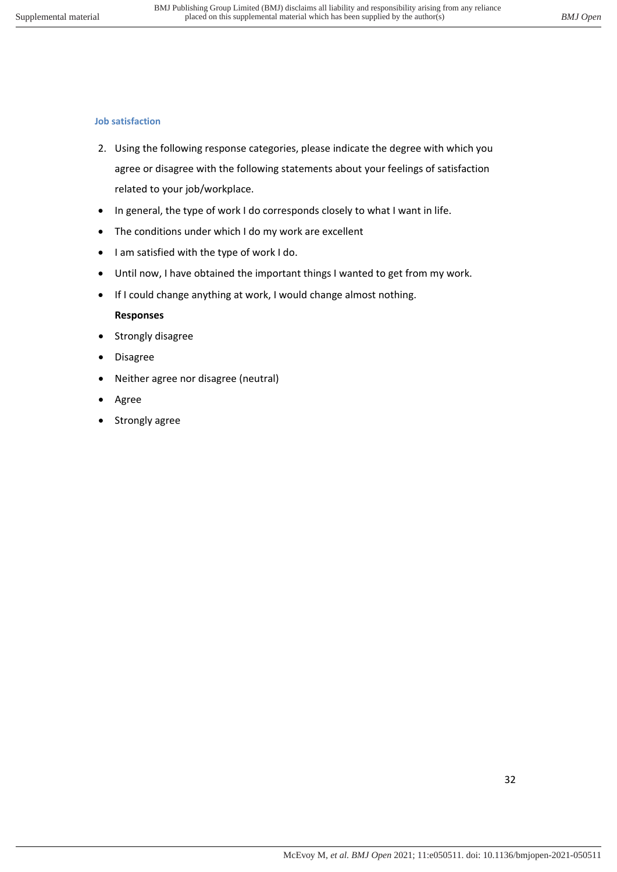#### **Job satisfaction**

- 2. Using the following response categories, please indicate the degree with which you agree or disagree with the following statements about your feelings of satisfaction related to your job/workplace.
- In general, the type of work I do corresponds closely to what I want in life.
- The conditions under which I do my work are excellent
- I am satisfied with the type of work I do.
- Until now, I have obtained the important things I wanted to get from my work.
- If I could change anything at work, I would change almost nothing.

- Strongly disagree
- Disagree
- Neither agree nor disagree (neutral)
- **Agree**
- Strongly agree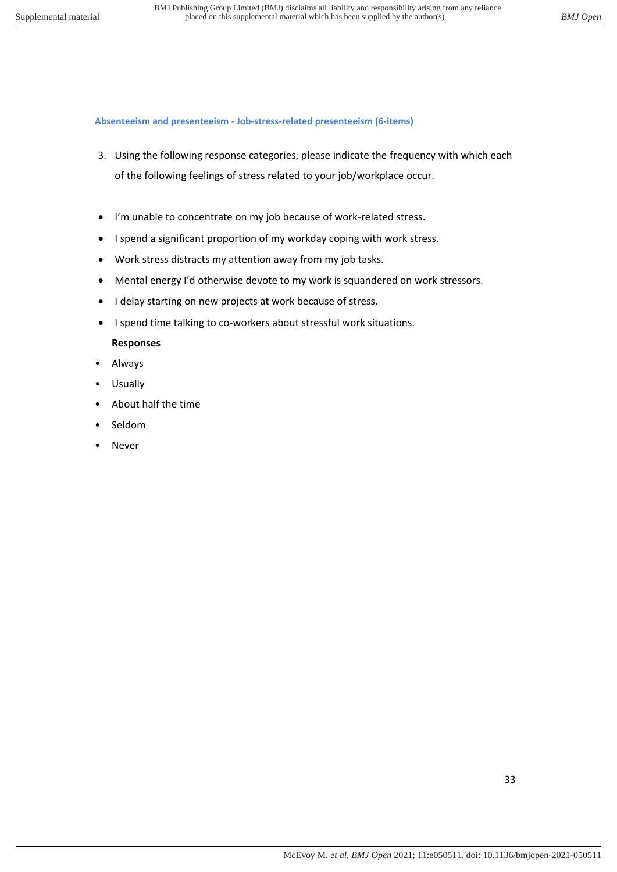#### **Absenteeism and presenteeism - Job-stress-related presenteeism (6-items)**

- 3. Using the following response categories, please indicate the frequency with which each of the following feelings of stress related to your job/workplace occur.
- I'm unable to concentrate on my job because of work-related stress.
- I spend a significant proportion of my workday coping with work stress.
- Work stress distracts my attention away from my job tasks.
- Mental energy I'd otherwise devote to my work is squandered on work stressors.
- I delay starting on new projects at work because of stress.
- I spend time talking to co-workers about stressful work situations.

- Always
- Usually
- About half the time
- Seldom
- **Never**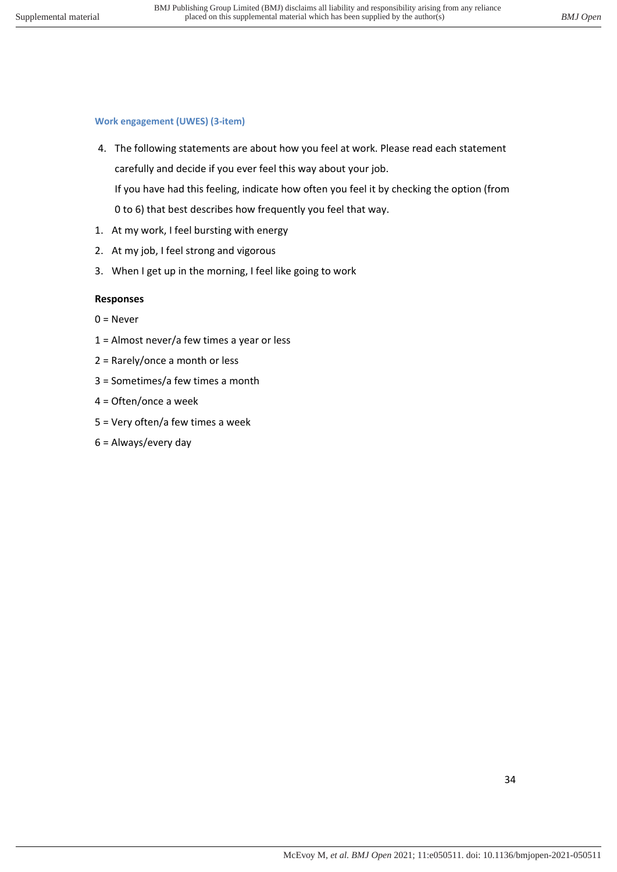# **Work engagement (UWES) (3-item)**

4. The following statements are about how you feel at work. Please read each statement carefully and decide if you ever feel this way about your job.

If you have had this feeling, indicate how often you feel it by checking the option (from

- 0 to 6) that best describes how frequently you feel that way.
- 1. At my work, I feel bursting with energy
- 2. At my job, I feel strong and vigorous
- 3. When I get up in the morning, I feel like going to work

- $0 =$  Never
- 1 = Almost never/a few times a year or less
- 2 = Rarely/once a month or less
- 3 = Sometimes/a few times a month
- 4 = Often/once a week
- 5 = Very often/a few times a week
- 6 = Always/every day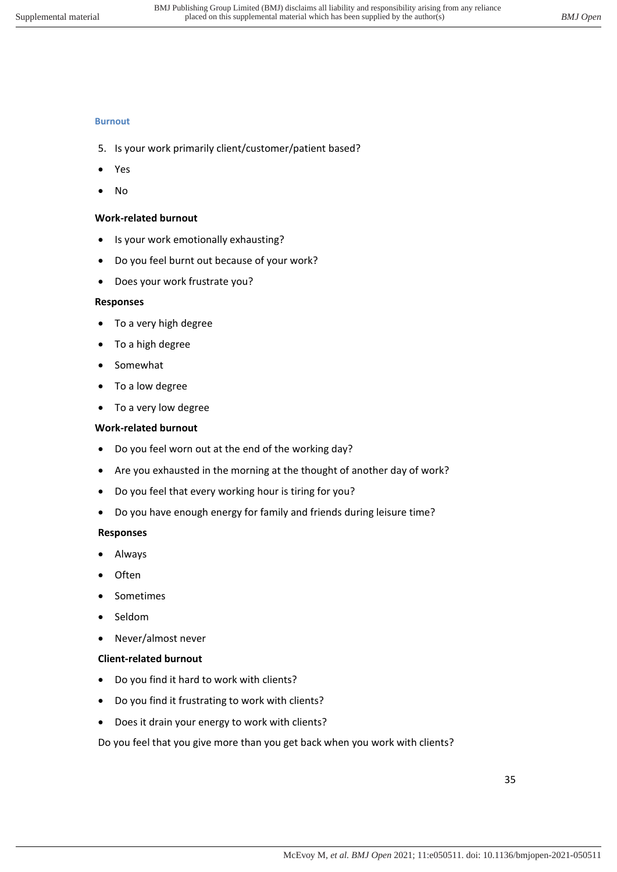#### **Burnout**

- 5. Is your work primarily client/customer/patient based?
- Yes
- No

#### **Work-related burnout**

- Is your work emotionally exhausting?
- Do you feel burnt out because of your work?
- Does your work frustrate you?

#### **Responses**

- To a very high degree
- To a high degree
- Somewhat
- To a low degree
- To a very low degree

#### **Work-related burnout**

- Do you feel worn out at the end of the working day?
- Are you exhausted in the morning at the thought of another day of work?
- Do you feel that every working hour is tiring for you?
- Do you have enough energy for family and friends during leisure time?

#### **Responses**

- Always
- Often
- **Sometimes**
- Seldom
- Never/almost never

#### **Client-related burnout**

- Do you find it hard to work with clients?
- Do you find it frustrating to work with clients?
- Does it drain your energy to work with clients?

Do you feel that you give more than you get back when you work with clients?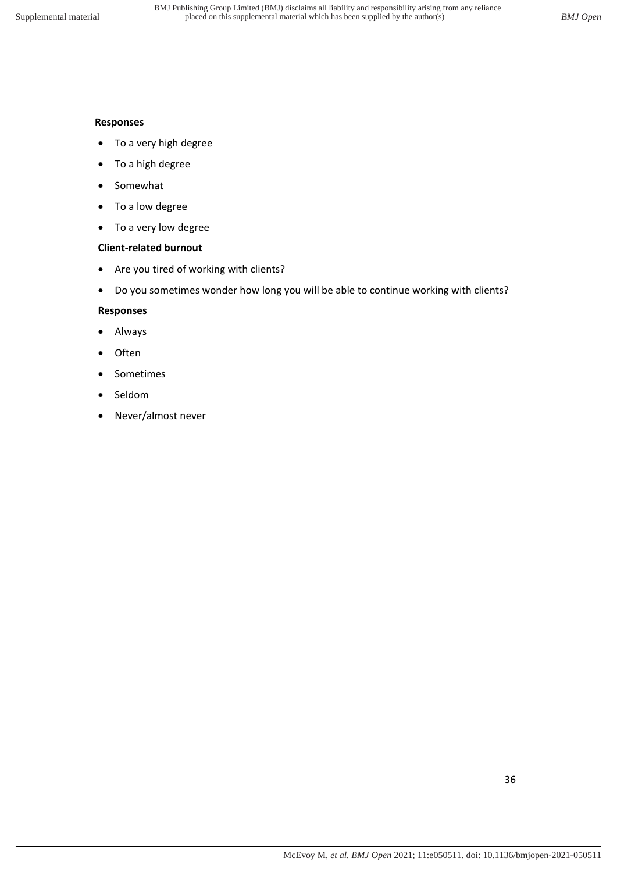## **Responses**

- To a very high degree
- To a high degree
- Somewhat
- To a low degree
- To a very low degree

# **Client-related burnout**

- Are you tired of working with clients?
- Do you sometimes wonder how long you will be able to continue working with clients?

- Always
- Often
- **Sometimes**
- Seldom
- Never/almost never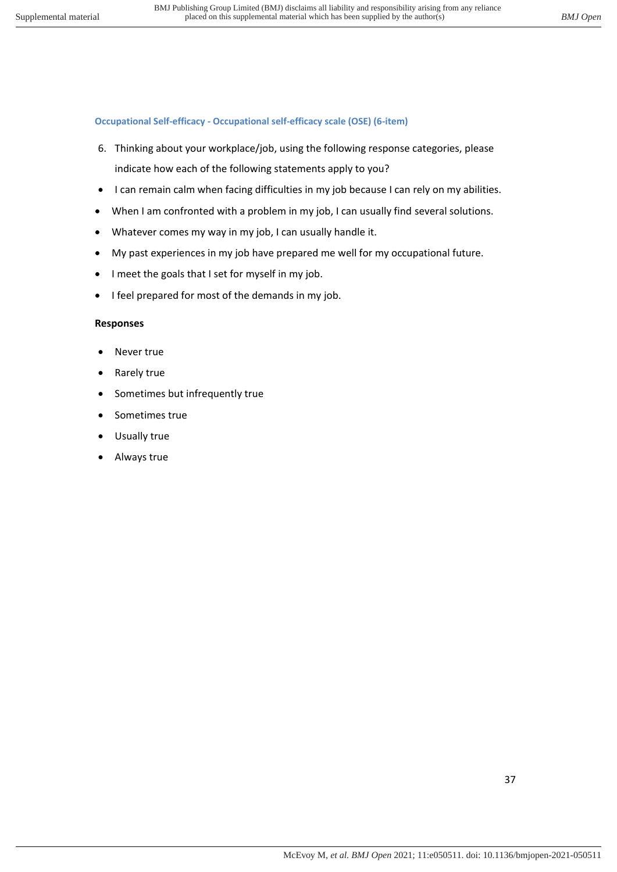**Occupational Self-efficacy - Occupational self-efficacy scale (OSE) (6-item)** 

- 6. Thinking about your workplace/job, using the following response categories, please indicate how each of the following statements apply to you?
- I can remain calm when facing difficulties in my job because I can rely on my abilities.
- When I am confronted with a problem in my job, I can usually find several solutions.
- Whatever comes my way in my job, I can usually handle it.
- My past experiences in my job have prepared me well for my occupational future.
- I meet the goals that I set for myself in my job.
- I feel prepared for most of the demands in my job.

- Never true
- Rarely true
- Sometimes but infrequently true
- Sometimes true
- Usually true
- Always true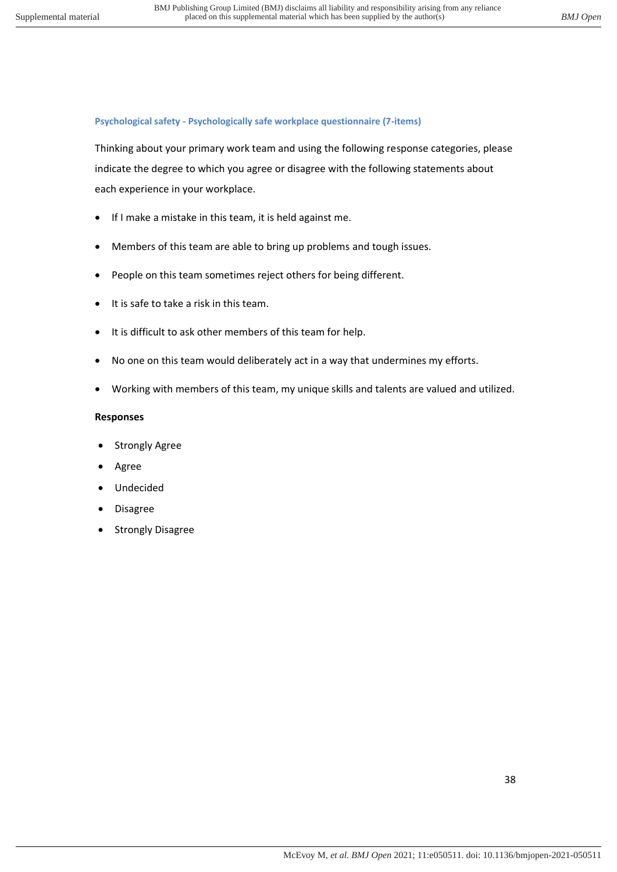### **Psychological safety - Psychologically safe workplace questionnaire (7-items)**

Thinking about your primary work team and using the following response categories, please indicate the degree to which you agree or disagree with the following statements about each experience in your workplace.

- If I make a mistake in this team, it is held against me.
- Members of this team are able to bring up problems and tough issues.
- People on this team sometimes reject others for being different.
- It is safe to take a risk in this team.
- It is difficult to ask other members of this team for help.
- No one on this team would deliberately act in a way that undermines my efforts.
- Working with members of this team, my unique skills and talents are valued and utilized.

- **Strongly Agree**
- Agree
- Undecided
- Disagree
- **Strongly Disagree**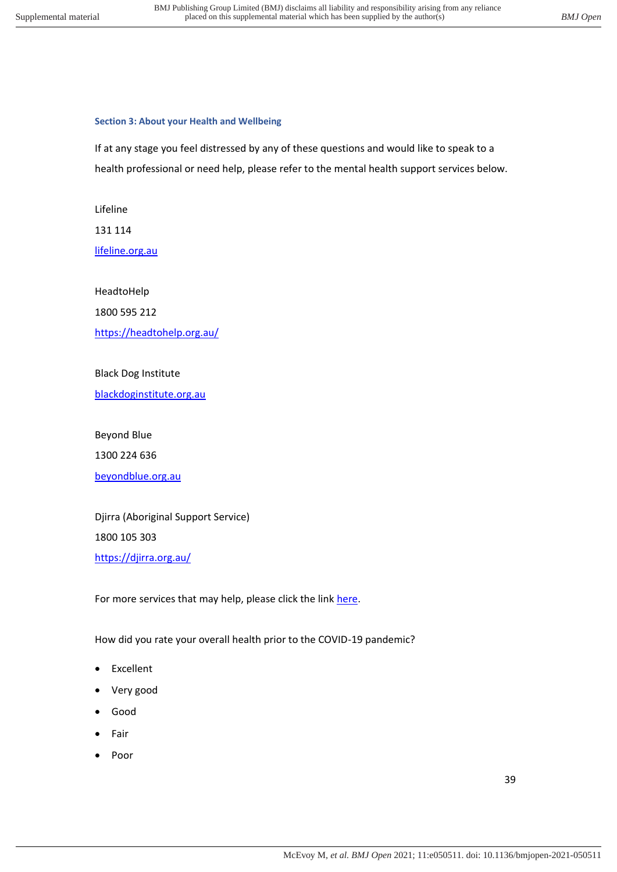## **Section 3: About your Health and Wellbeing**

If at any stage you feel distressed by any of these questions and would like to speak to a health professional or need help, please refer to the mental health support services below.

Lifeline 131 114 [lifeline.org.au](https://www.lifeline.org.au/)

HeadtoHelp 1800 595 212 <https://headtohelp.org.au/>

Black Dog Institute [blackdoginstitute.org.au](https://www.blackdoginstitute.org.au/)

Beyond Blue 1300 224 636 [beyondblue.org.au](https://www.beyondblue.org.au/)

Djirra (Aboriginal Support Service) 1800 105 303 <https://djirra.org.au/>

For more services that may help, please click the link [here.](https://www.bendigohealth.org.au/supportservices/)

How did you rate your overall health prior to the COVID-19 pandemic?

- **Excellent**
- Very good
- Good
- **Fair**
- Poor

39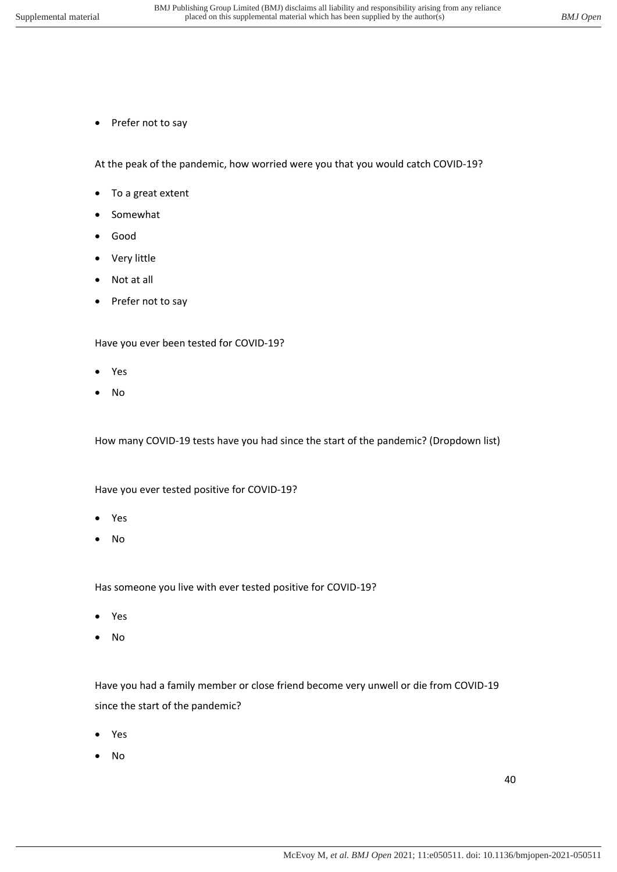• Prefer not to say

At the peak of the pandemic, how worried were you that you would catch COVID-19?

- To a great extent
- **Somewhat**
- Good
- Very little
- Not at all
- Prefer not to say

Have you ever been tested for COVID-19?

- Yes
- No

How many COVID-19 tests have you had since the start of the pandemic? (Dropdown list)

Have you ever tested positive for COVID-19?

- Yes
- No

Has someone you live with ever tested positive for COVID-19?

- Yes
- No

Have you had a family member or close friend become very unwell or die from COVID-19 since the start of the pandemic?

- Yes
- No

40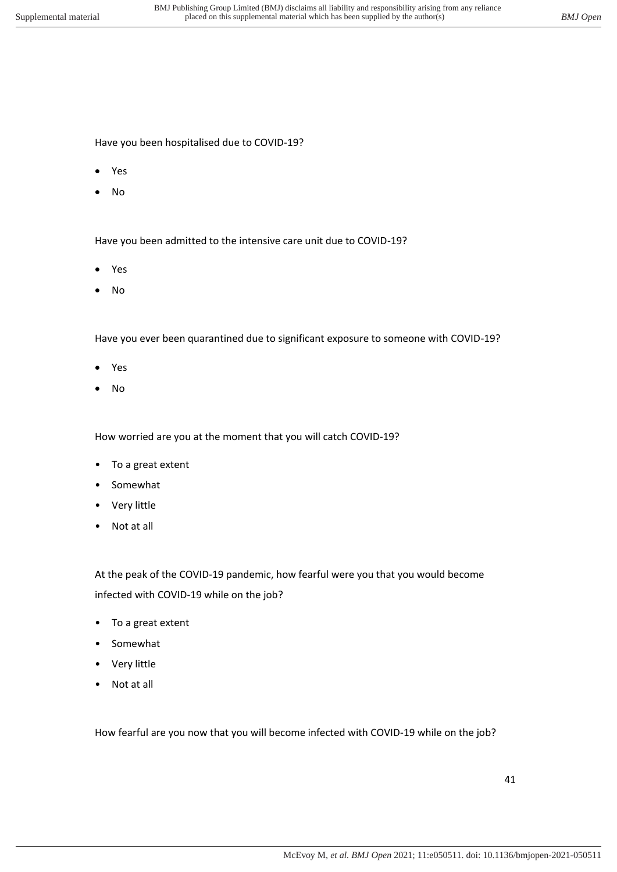Have you been hospitalised due to COVID-19?

- Yes
- No

Have you been admitted to the intensive care unit due to COVID-19?

- Yes
- No

Have you ever been quarantined due to significant exposure to someone with COVID-19?

- Yes
- No

How worried are you at the moment that you will catch COVID-19?

- To a great extent
- **Somewhat**
- Very little
- Not at all

At the peak of the COVID-19 pandemic, how fearful were you that you would become infected with COVID-19 while on the job?

- To a great extent
- **Somewhat**
- Very little
- Not at all

How fearful are you now that you will become infected with COVID-19 while on the job?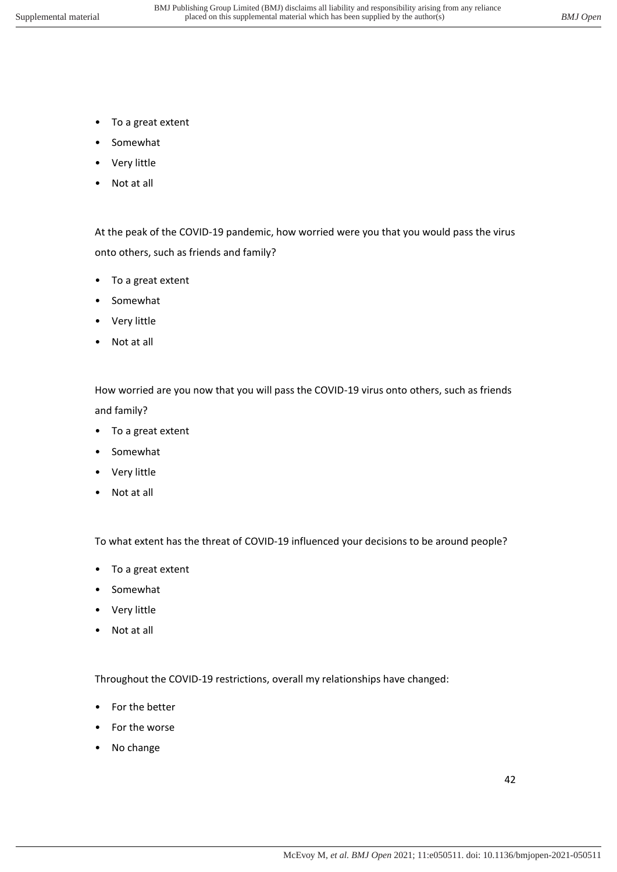- To a great extent
- Somewhat
- Very little
- Not at all

At the peak of the COVID-19 pandemic, how worried were you that you would pass the virus onto others, such as friends and family?

- To a great extent
- Somewhat
- Very little
- Not at all

How worried are you now that you will pass the COVID-19 virus onto others, such as friends and family?

- To a great extent
- Somewhat
- Very little
- Not at all

To what extent has the threat of COVID-19 influenced your decisions to be around people?

- To a great extent
- **Somewhat**
- Very little
- Not at all

Throughout the COVID-19 restrictions, overall my relationships have changed:

- For the better
- For the worse
- No change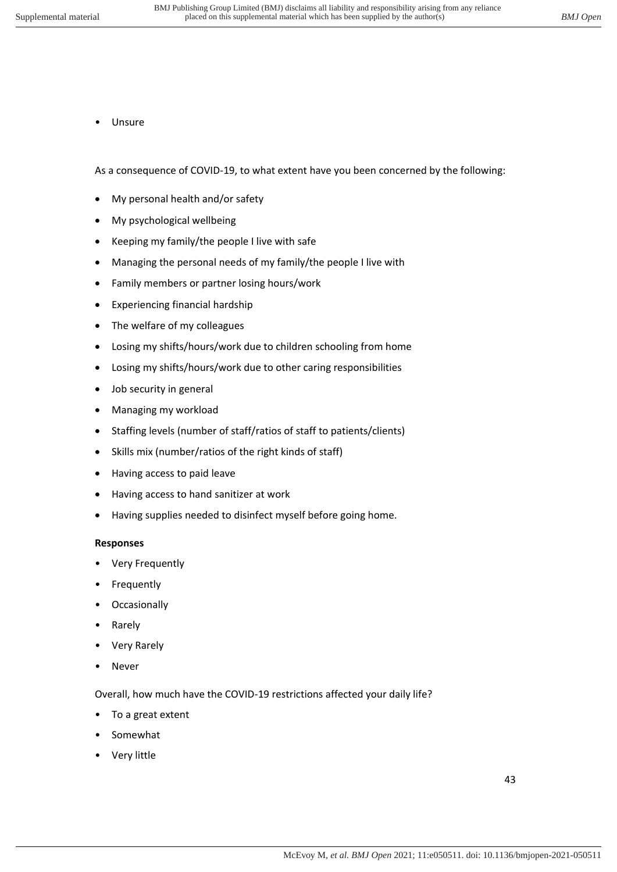# • Unsure

As a consequence of COVID-19, to what extent have you been concerned by the following:

- My personal health and/or safety
- My psychological wellbeing
- Keeping my family/the people I live with safe
- Managing the personal needs of my family/the people I live with
- Family members or partner losing hours/work
- Experiencing financial hardship
- The welfare of my colleagues
- Losing my shifts/hours/work due to children schooling from home
- Losing my shifts/hours/work due to other caring responsibilities
- Job security in general
- Managing my workload
- Staffing levels (number of staff/ratios of staff to patients/clients)
- Skills mix (number/ratios of the right kinds of staff)
- Having access to paid leave
- Having access to hand sanitizer at work
- Having supplies needed to disinfect myself before going home.

# **Responses**

- Very Frequently
- **Frequently**
- **Occasionally**
- **Rarely**
- Very Rarely
- **Never**

Overall, how much have the COVID-19 restrictions affected your daily life?

- To a great extent
- **Somewhat**
- Very little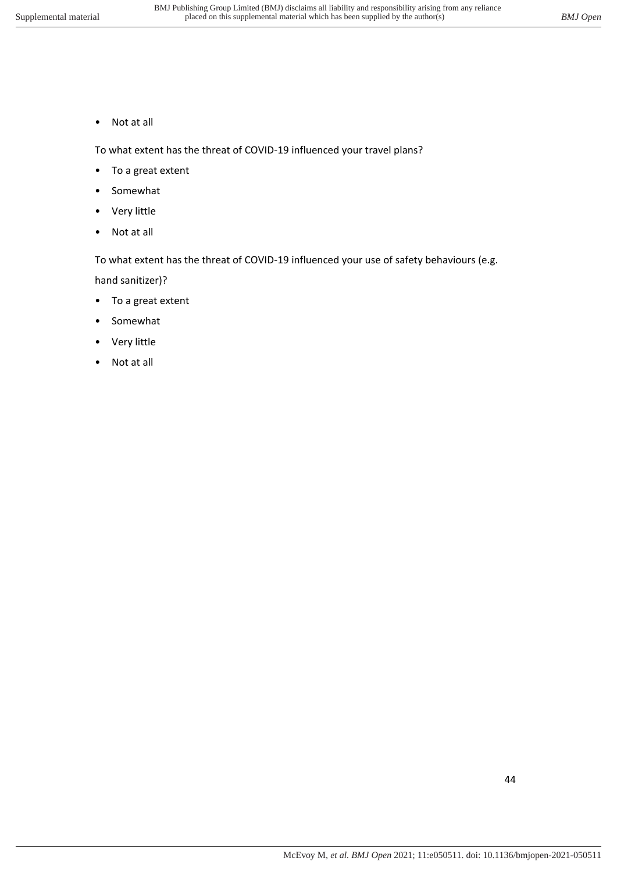• Not at all

To what extent has the threat of COVID-19 influenced your travel plans?

- To a great extent
- **Somewhat**
- Very little
- Not at all

To what extent has the threat of COVID-19 influenced your use of safety behaviours (e.g.

hand sanitizer)?

- To a great extent
- Somewhat
- Very little
- Not at all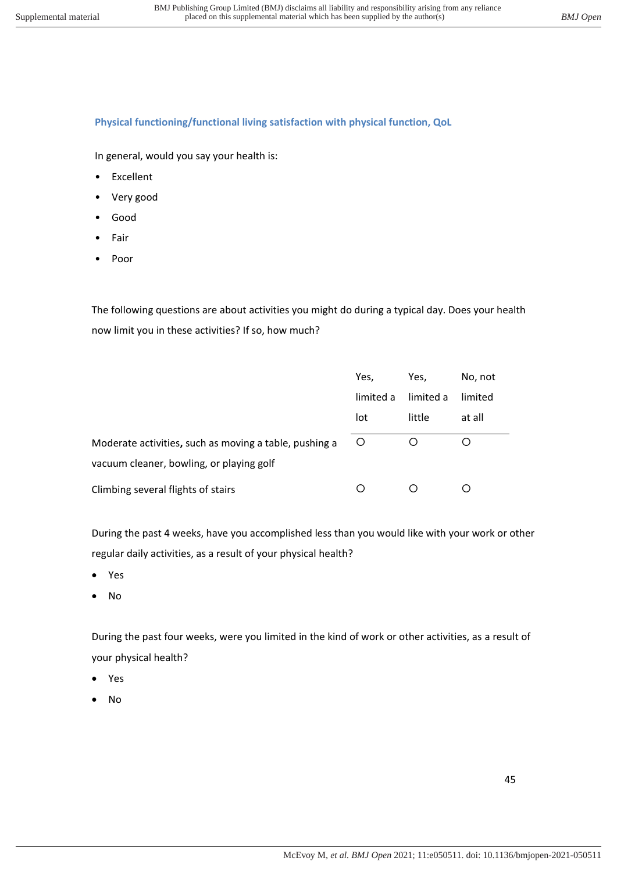# **Physical functioning/functional living satisfaction with physical function, QoL**

In general, would you say your health is:

- **Excellent**
- Very good
- Good
- **Fair**
- Poor

The following questions are about activities you might do during a typical day. Does your health now limit you in these activities? If so, how much?

|                                                        | Yes,      | Yes,      | No, not |  |
|--------------------------------------------------------|-----------|-----------|---------|--|
|                                                        | limited a | limited a | limited |  |
|                                                        | lot       | little    | at all  |  |
| Moderate activities, such as moving a table, pushing a | $\circ$   |           |         |  |
| vacuum cleaner, bowling, or playing golf               |           |           |         |  |
| Climbing several flights of stairs                     |           |           |         |  |

During the past 4 weeks, have you accomplished less than you would like with your work or other regular daily activities, as a result of your physical health?

- Yes
- No

During the past four weeks, were you limited in the kind of work or other activities, as a result of your physical health?

- Yes
- No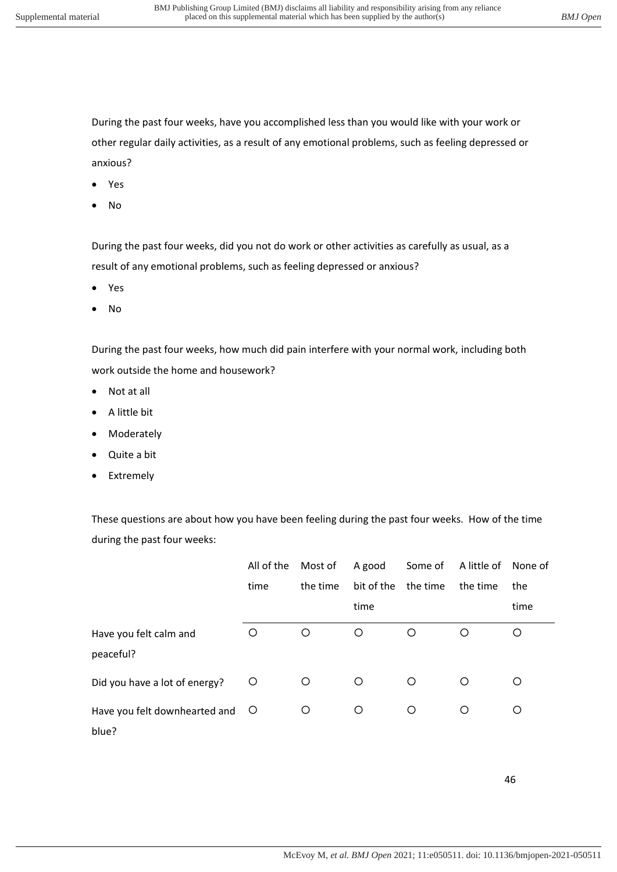During the past four weeks, have you accomplished less than you would like with your work or other regular daily activities, as a result of any emotional problems, such as feeling depressed or anxious?

- Yes
- No

During the past four weeks, did you not do work or other activities as carefully as usual, as a result of any emotional problems, such as feeling depressed or anxious?

- Yes
- No

During the past four weeks, how much did pain interfere with your normal work, including both work outside the home and housework?

- Not at all
- A little bit
- Moderately
- Quite a bit
- Extremely

These questions are about how you have been feeling during the past four weeks. How of the time during the past four weeks:

|                                     | All of the | Most of  | A good     | Some of  | A little of | None of |
|-------------------------------------|------------|----------|------------|----------|-------------|---------|
|                                     | time       | the time | bit of the | the time | the time    | the     |
|                                     |            |          | time       |          |             | time    |
| Have you felt calm and<br>peaceful? |            | O        | O          | O        | O           | O       |
| Did you have a lot of energy?       | $\circ$    | O        | O          | $\circ$  | $\circ$     | O       |
| Have you felt downhearted and       | $\circ$    | O        | O          | O        | O           | O       |
| blue?                               |            |          |            |          |             |         |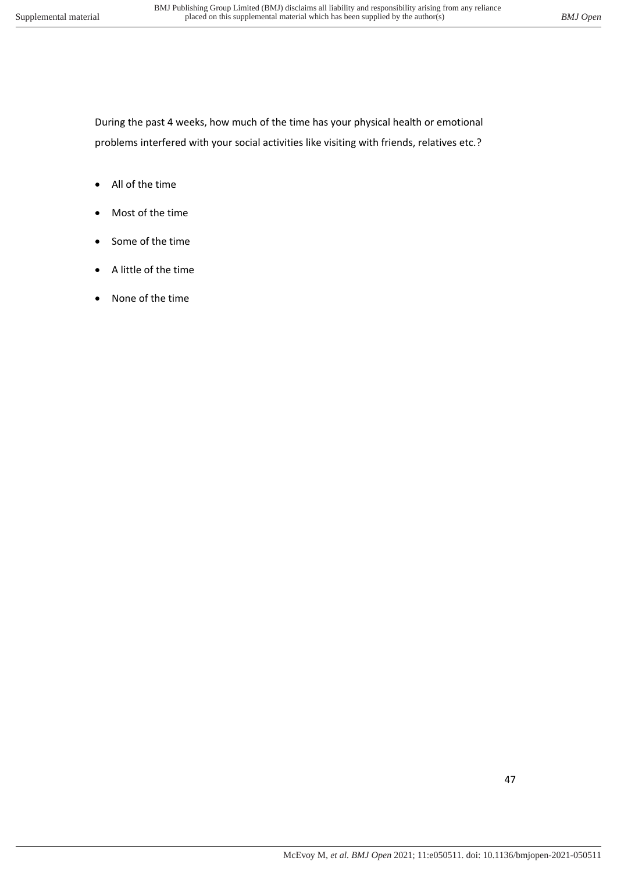During the past 4 weeks, how much of the time has your physical health or emotional problems interfered with your social activities like visiting with friends, relatives etc.?

- All of the time
- Most of the time
- Some of the time
- A little of the time
- None of the time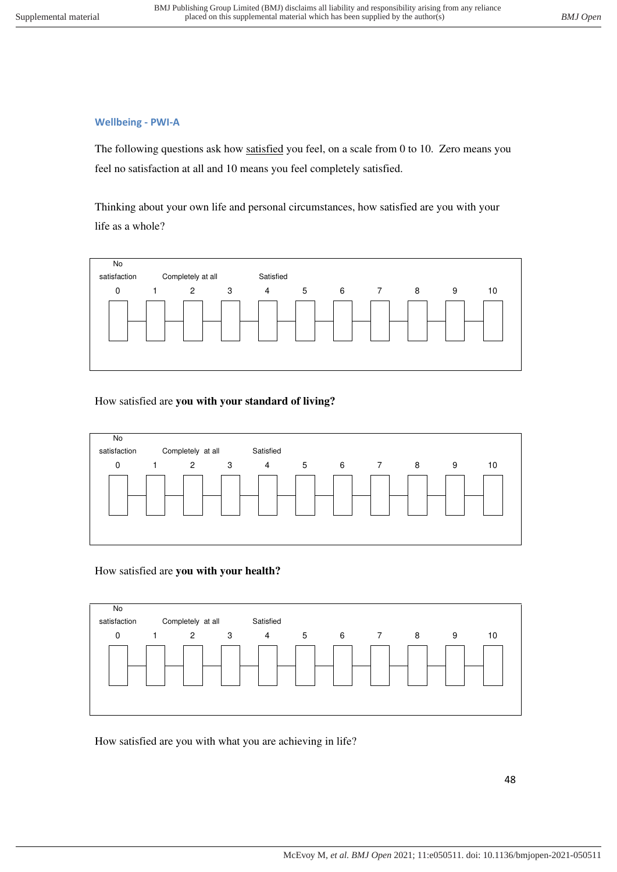### **Wellbeing - PWI-A**

The following questions ask how satisfied you feel, on a scale from 0 to 10. Zero means you feel no satisfaction at all and 10 means you feel completely satisfied.

Thinking about your own life and personal circumstances, how satisfied are you with your life as a whole?



## How satisfied are **you with your standard of living?**



### How satisfied are **you with your health?**



How satisfied are you with what you are achieving in life?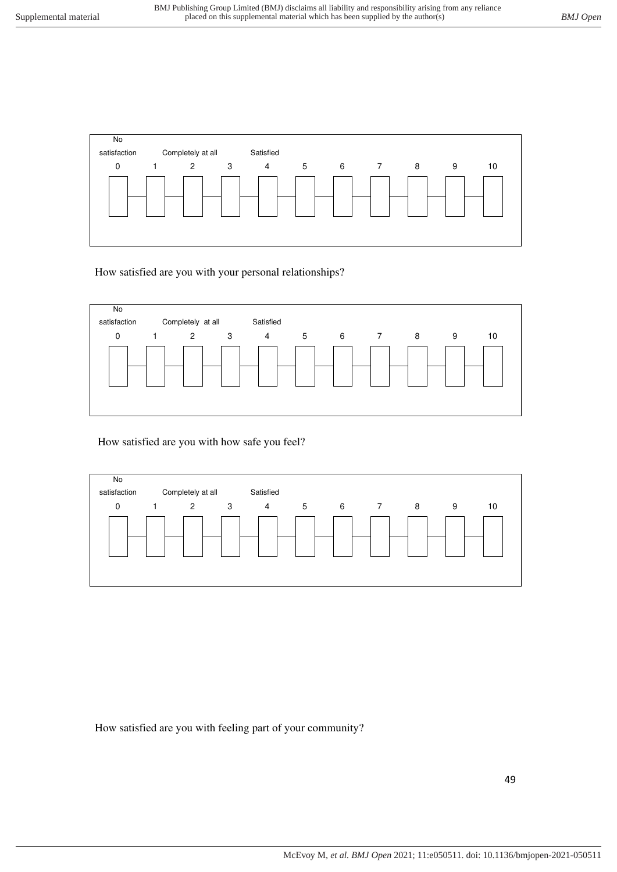| No<br>satisfaction | Completely at all |   | Satisfied      |   |   |   |   |   |    |
|--------------------|-------------------|---|----------------|---|---|---|---|---|----|
| 0                  | $\overline{2}$    | 3 | $\overline{4}$ | 5 | 6 | 7 | 8 | 9 | 10 |

How satisfied are you with your personal relationships?



How satisfied are you with how safe you feel?



How satisfied are you with feeling part of your community?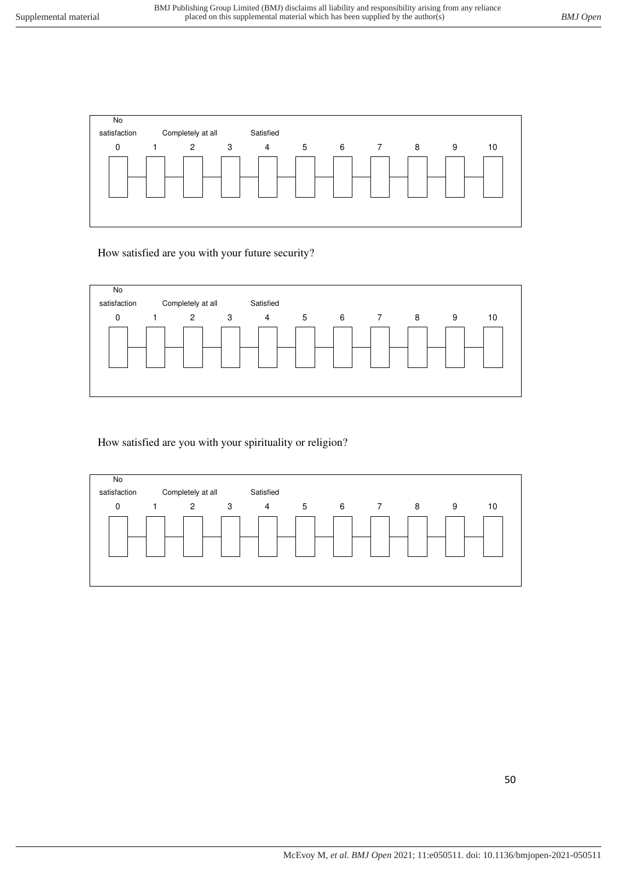

## How satisfied are you with your future security?



How satisfied are you with your spirituality or religion?

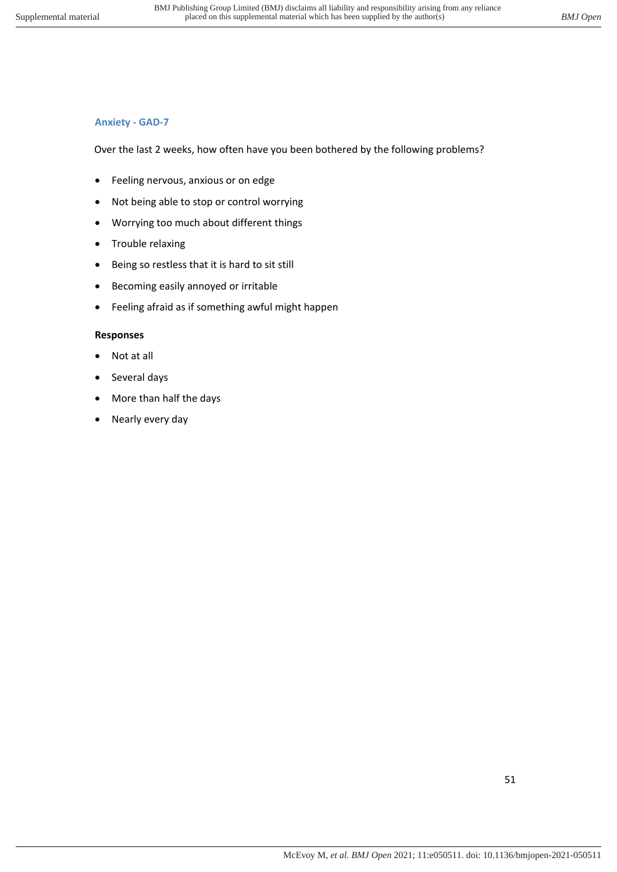### **Anxiety - GAD-7**

Over the last 2 weeks, how often have you been bothered by the following problems?

- Feeling nervous, anxious or on edge
- Not being able to stop or control worrying
- Worrying too much about different things
- Trouble relaxing
- Being so restless that it is hard to sit still
- Becoming easily annoyed or irritable
- Feeling afraid as if something awful might happen

- Not at all
- Several days
- More than half the days
- Nearly every day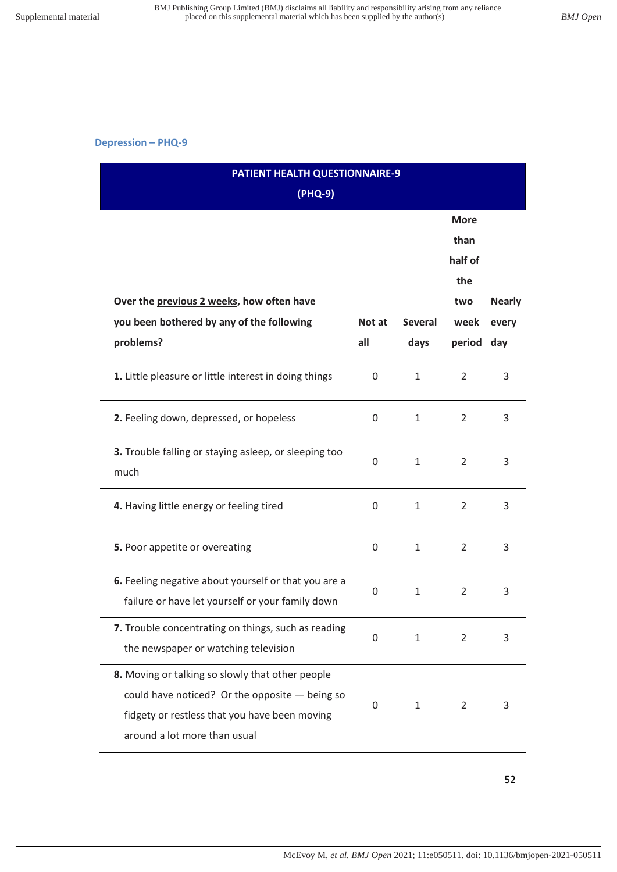### **Depression – PHQ-9**

| PATIENT HEALTH QUESTIONNAIRE-9                                                                                                                                                      |        |                |                |               |
|-------------------------------------------------------------------------------------------------------------------------------------------------------------------------------------|--------|----------------|----------------|---------------|
| (PHQ-9)                                                                                                                                                                             |        |                |                |               |
|                                                                                                                                                                                     |        |                | <b>More</b>    |               |
|                                                                                                                                                                                     |        |                | than           |               |
|                                                                                                                                                                                     |        |                | half of        |               |
|                                                                                                                                                                                     |        |                | the            |               |
| Over the previous 2 weeks, how often have                                                                                                                                           |        |                | two            | <b>Nearly</b> |
| you been bothered by any of the following                                                                                                                                           | Not at | <b>Several</b> | week           | every         |
| problems?                                                                                                                                                                           | all    | days           | period         | day           |
| 1. Little pleasure or little interest in doing things                                                                                                                               | 0      | $\mathbf{1}$   | $\overline{2}$ | 3             |
| 2. Feeling down, depressed, or hopeless                                                                                                                                             | 0      | 1              | 2              | 3             |
| 3. Trouble falling or staying asleep, or sleeping too<br>much                                                                                                                       | 0      | $\mathbf{1}$   | 2              | 3             |
| 4. Having little energy or feeling tired                                                                                                                                            | 0      | $\mathbf{1}$   | 2              | 3             |
| 5. Poor appetite or overeating                                                                                                                                                      | 0      | $\mathbf{1}$   | $\overline{2}$ | 3             |
| 6. Feeling negative about yourself or that you are a<br>failure or have let yourself or your family down                                                                            | 0      | $\mathbf{1}$   | 2              | 3             |
| 7. Trouble concentrating on things, such as reading<br>the newspaper or watching television                                                                                         | 0      | 1              | 2              | 3             |
| 8. Moving or talking so slowly that other people<br>could have noticed? Or the opposite - being so<br>fidgety or restless that you have been moving<br>around a lot more than usual | 0      | $\mathbf{1}$   | 2              | 3             |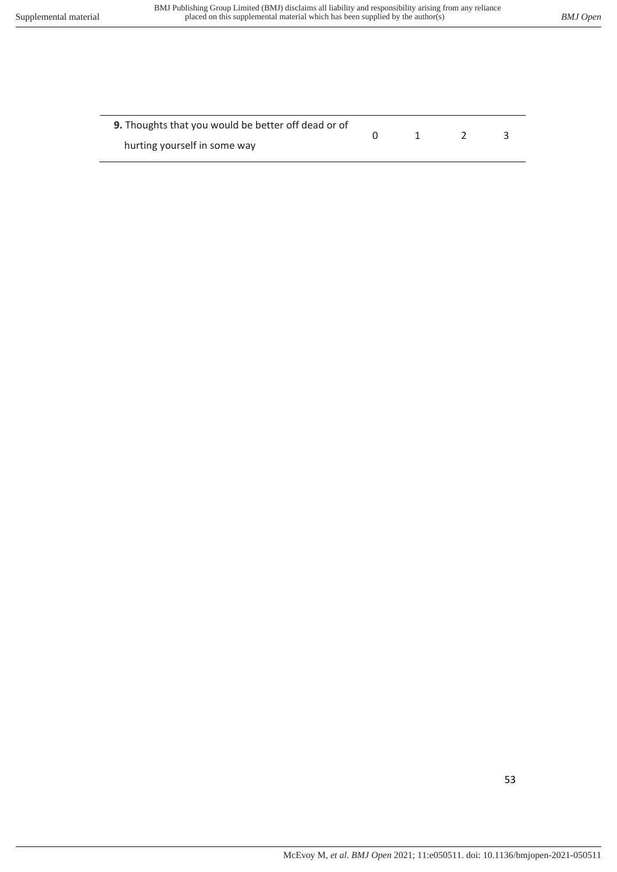| 9. Thoughts that you would be better off dead or of |  |  |
|-----------------------------------------------------|--|--|
| hurting yourself in some way                        |  |  |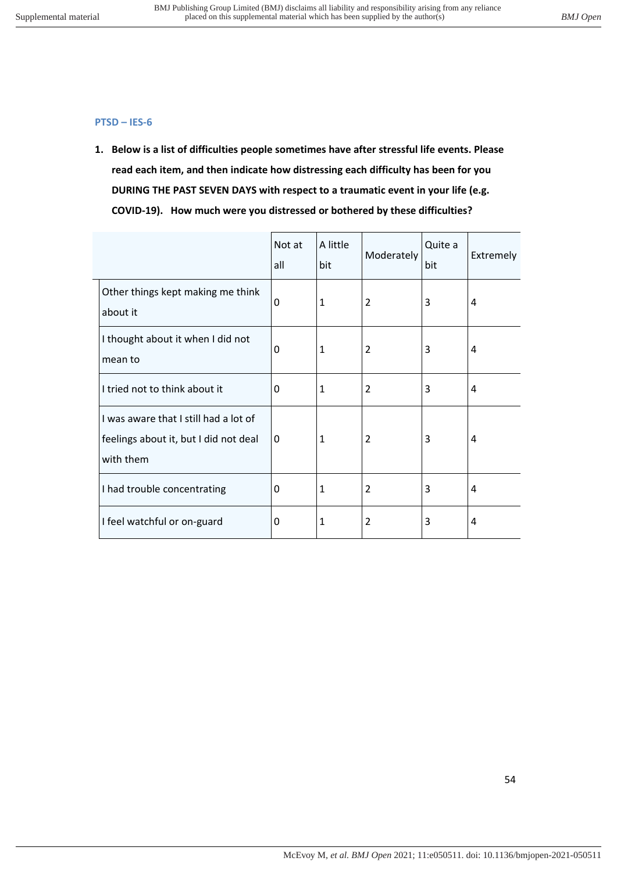#### **PTSD – IES-6**

**1. Below is a list of difficulties people sometimes have after stressful life events. Please read each item, and then indicate how distressing each difficulty has been for you DURING THE PAST SEVEN DAYS with respect to a traumatic event in your life (e.g. COVID-19). How much were you distressed or bothered by these difficulties?** 

|                                                                                             | Not at<br>all | A little<br>bit | Moderately     | Quite a<br>bit | Extremely |
|---------------------------------------------------------------------------------------------|---------------|-----------------|----------------|----------------|-----------|
| Other things kept making me think<br>about it                                               | 0             | 1               | $\overline{2}$ | 3              | 4         |
| I thought about it when I did not<br>mean to                                                | 0             | 1               | $\overline{2}$ | 3              | 4         |
| I tried not to think about it                                                               | 0             | 1               | $\overline{2}$ | 3              | 4         |
| I was aware that I still had a lot of<br>feelings about it, but I did not deal<br>with them | 0             | 1               | 2              | 3              | 4         |
| I had trouble concentrating                                                                 | 0             | 1               | $\overline{2}$ | 3              | 4         |
| I feel watchful or on-guard                                                                 | 0             | 1               | $\overline{2}$ | 3              | 4         |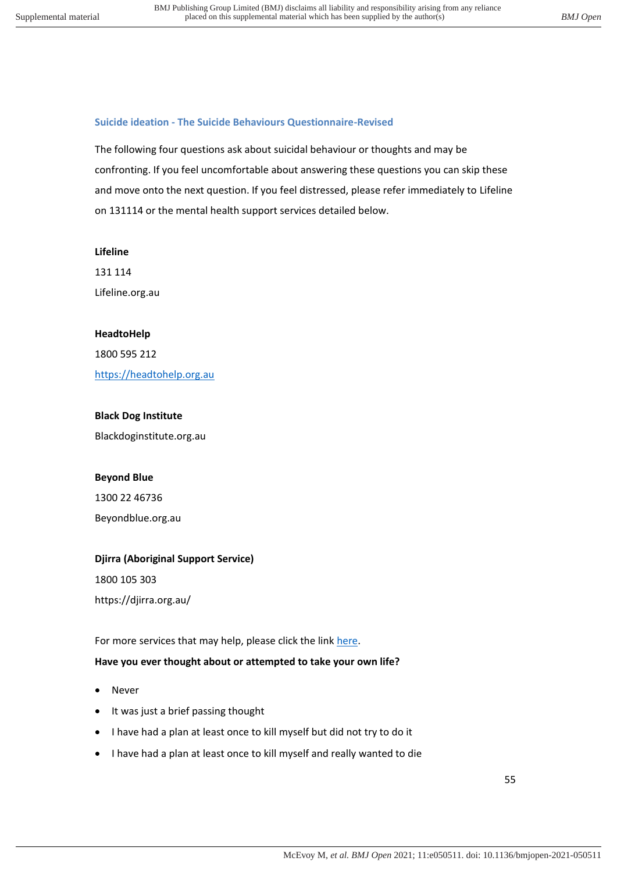### **Suicide ideation - The Suicide Behaviours Questionnaire-Revised**

The following four questions ask about suicidal behaviour or thoughts and may be confronting. If you feel uncomfortable about answering these questions you can skip these and move onto the next question. If you feel distressed, please refer immediately to Lifeline on 131114 or the mental health support services detailed below.

### **Lifeline**

131 114 Lifeline.org.au

### **HeadtoHelp**

1800 595 212 [https://headtohelp.org.au](https://headtohelp.org.au/)

### **Black Dog Institute**

Blackdoginstitute.org.au

### **Beyond Blue**

1300 22 46736 Beyondblue.org.au

## **Djirra (Aboriginal Support Service)**

1800 105 303 https://djirra.org.au/

For more services that may help, please click the link [here.](https://www.bendigohealth.org.au/supportservices/)

## **Have you ever thought about or attempted to take your own life?**

- Never
- It was just a brief passing thought
- I have had a plan at least once to kill myself but did not try to do it
- I have had a plan at least once to kill myself and really wanted to die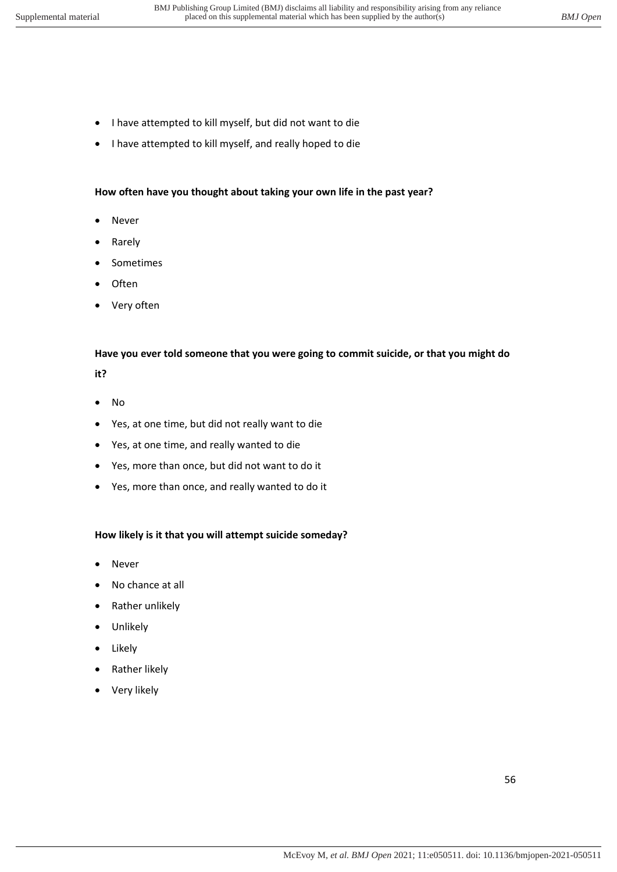- I have attempted to kill myself, but did not want to die
- I have attempted to kill myself, and really hoped to die

# **How often have you thought about taking your own life in the past year?**

- **Never**
- **Rarely**
- **Sometimes**
- Often
- Very often

**Have you ever told someone that you were going to commit suicide, or that you might do it?** 

- No
- Yes, at one time, but did not really want to die
- Yes, at one time, and really wanted to die
- Yes, more than once, but did not want to do it
- Yes, more than once, and really wanted to do it

### **How likely is it that you will attempt suicide someday?**

- **Never**
- No chance at all
- Rather unlikely
- Unlikely
- **Likely**
- Rather likely
- Very likely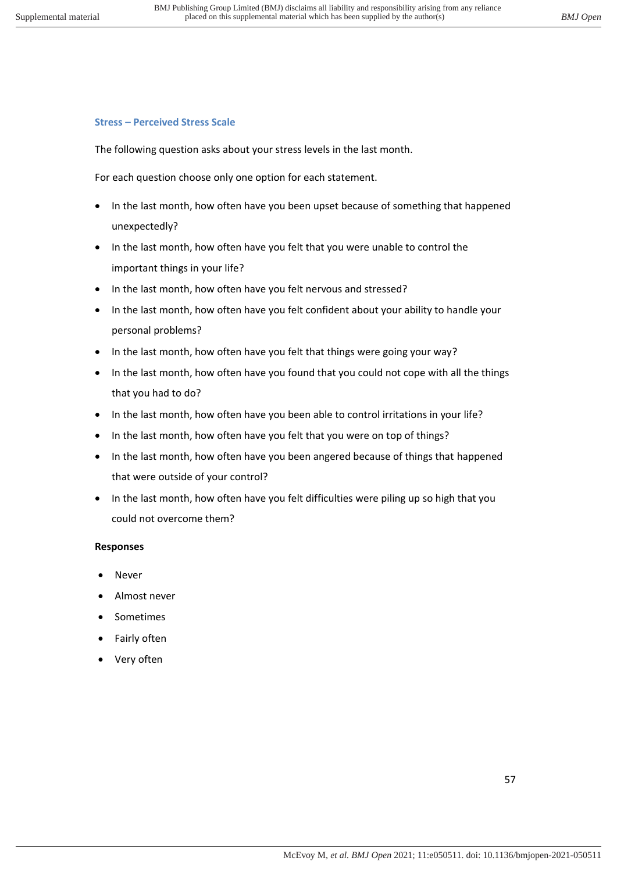# **Stress – Perceived Stress Scale**

The following question asks about your stress levels in the last month.

For each question choose only one option for each statement.

- In the last month, how often have you been upset because of something that happened unexpectedly?
- In the last month, how often have you felt that you were unable to control the important things in your life?
- In the last month, how often have you felt nervous and stressed?
- In the last month, how often have you felt confident about your ability to handle your personal problems?
- In the last month, how often have you felt that things were going your way?
- In the last month, how often have you found that you could not cope with all the things that you had to do?
- In the last month, how often have you been able to control irritations in your life?
- In the last month, how often have you felt that you were on top of things?
- In the last month, how often have you been angered because of things that happened that were outside of your control?
- In the last month, how often have you felt difficulties were piling up so high that you could not overcome them?

- Never
- Almost never
- **Sometimes**
- Fairly often
- Very often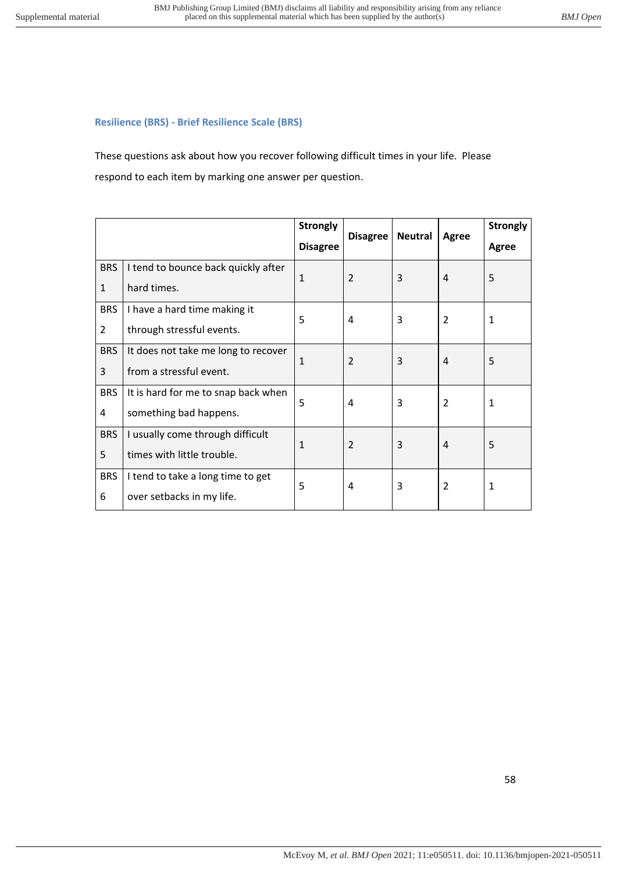# **Resilience (BRS) - Brief Resilience Scale (BRS)**

These questions ask about how you recover following difficult times in your life. Please respond to each item by marking one answer per question.

|                |                                     | <b>Strongly</b> |                 |                |                | <b>Strongly</b> |
|----------------|-------------------------------------|-----------------|-----------------|----------------|----------------|-----------------|
|                |                                     | <b>Disagree</b> | <b>Disagree</b> | <b>Neutral</b> | <b>Agree</b>   | Agree           |
| <b>BRS</b>     | I tend to bounce back quickly after | 1               | 2               | 3              | 4              | 5               |
| 1              | hard times.                         |                 |                 |                |                |                 |
| <b>BRS</b>     | I have a hard time making it        | 5               | 4               | 3              | 2              | 1               |
| $\overline{2}$ | through stressful events.           |                 |                 |                |                |                 |
| <b>BRS</b>     | It does not take me long to recover | 1               | $\overline{2}$  | 3              | 4              | 5               |
| 3              | from a stressful event.             |                 |                 |                |                |                 |
| <b>BRS</b>     | It is hard for me to snap back when | 5               | 4               | 3              | $\overline{2}$ | 1               |
| 4              | something bad happens.              |                 |                 |                |                |                 |
| <b>BRS</b>     | I usually come through difficult    | $\mathbf{1}$    | $\overline{2}$  | 3              | 4              | 5               |
| 5              | times with little trouble.          |                 |                 |                |                |                 |
| <b>BRS</b>     | I tend to take a long time to get   | 5               | 4               | 3              | $\overline{2}$ | 1               |
| 6              | over setbacks in my life.           |                 |                 |                |                |                 |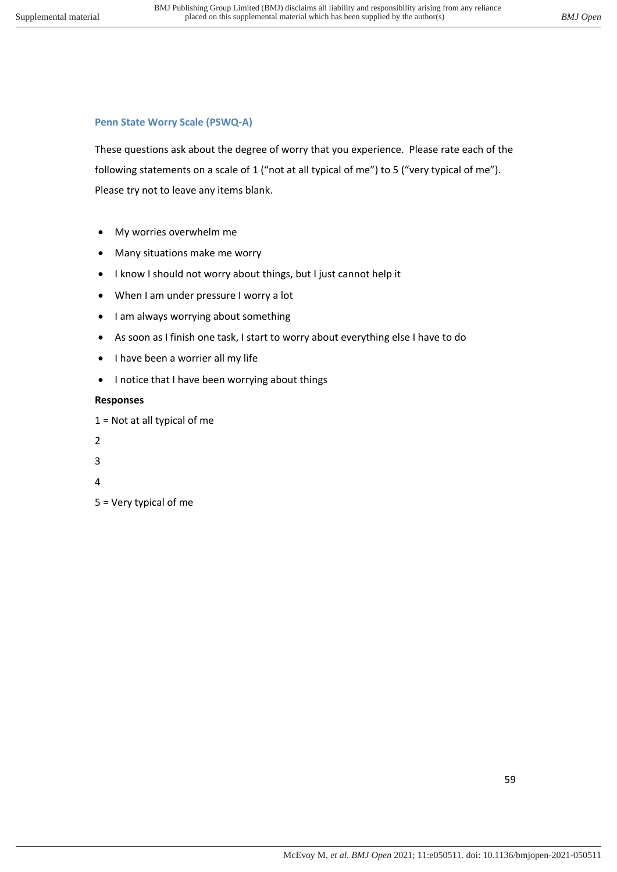# **Penn State Worry Scale (PSWQ-A)**

These questions ask about the degree of worry that you experience. Please rate each of the following statements on a scale of 1 ("not at all typical of me") to 5 ("very typical of me"). Please try not to leave any items blank.

- My worries overwhelm me
- Many situations make me worry
- I know I should not worry about things, but I just cannot help it
- When I am under pressure I worry a lot
- I am always worrying about something
- As soon as I finish one task, I start to worry about everything else I have to do
- I have been a worrier all my life
- I notice that I have been worrying about things

```
1 = Not at all typical of me
```
- 2
- 3
- 4
- 5 = Very typical of me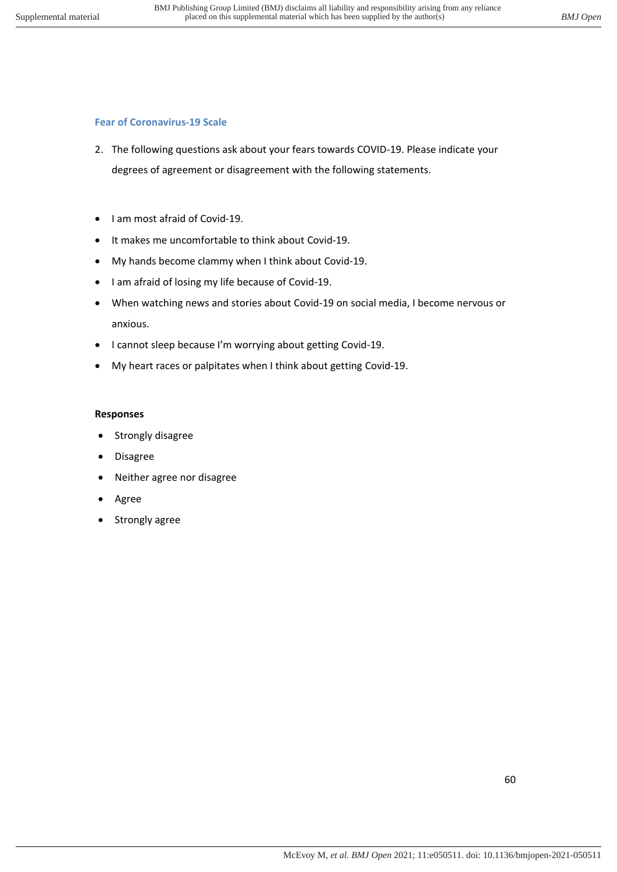# **Fear of Coronavirus-19 Scale**

- 2. The following questions ask about your fears towards COVID-19. Please indicate your degrees of agreement or disagreement with the following statements.
- I am most afraid of Covid-19.
- It makes me uncomfortable to think about Covid-19.
- My hands become clammy when I think about Covid-19.
- I am afraid of losing my life because of Covid-19.
- When watching news and stories about Covid-19 on social media, I become nervous or anxious.
- I cannot sleep because I'm worrying about getting Covid-19.
- My heart races or palpitates when I think about getting Covid-19.

- Strongly disagree
- Disagree
- Neither agree nor disagree
- Agree
- Strongly agree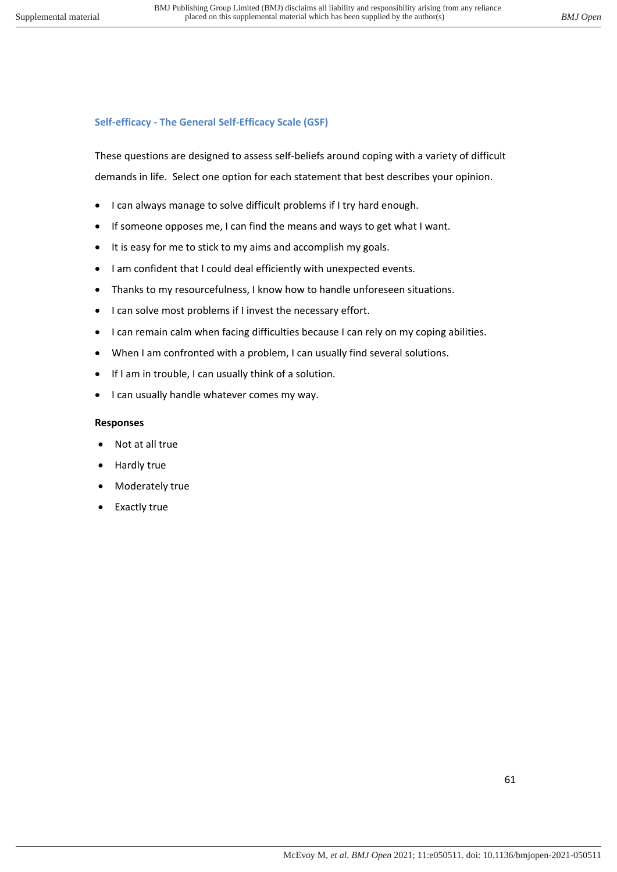## **Self-efficacy - The General Self-Efficacy Scale (GSF)**

These questions are designed to assess self-beliefs around coping with a variety of difficult demands in life. Select one option for each statement that best describes your opinion.

- I can always manage to solve difficult problems if I try hard enough.
- If someone opposes me, I can find the means and ways to get what I want.
- It is easy for me to stick to my aims and accomplish my goals.
- I am confident that I could deal efficiently with unexpected events.
- Thanks to my resourcefulness, I know how to handle unforeseen situations.
- I can solve most problems if I invest the necessary effort.
- I can remain calm when facing difficulties because I can rely on my coping abilities.
- When I am confronted with a problem, I can usually find several solutions.
- If I am in trouble, I can usually think of a solution.
- I can usually handle whatever comes my way.

- Not at all true
- Hardly true
- Moderately true
- **Exactly true**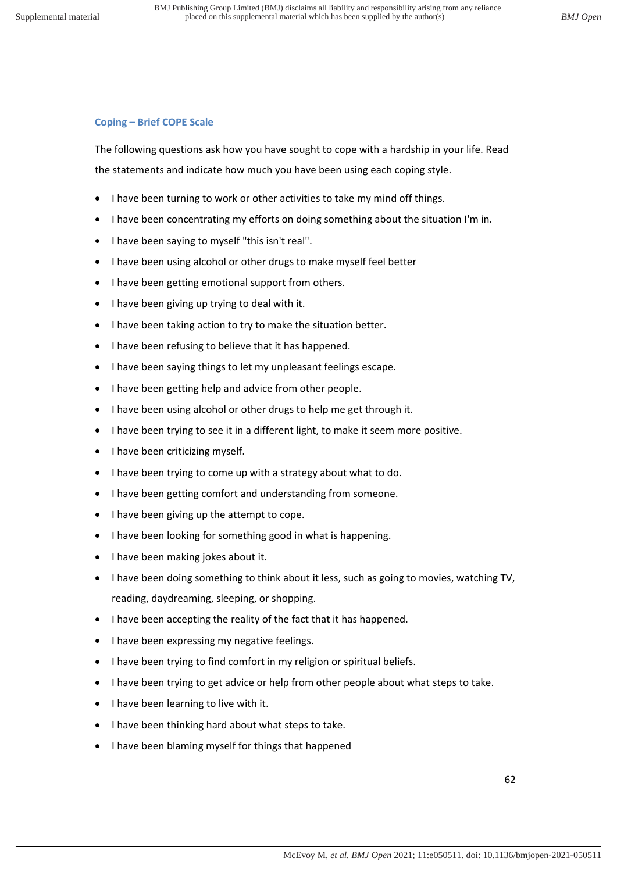# **Coping – Brief COPE Scale**

The following questions ask how you have sought to cope with a hardship in your life. Read the statements and indicate how much you have been using each coping style.

- I have been turning to work or other activities to take my mind off things.
- I have been concentrating my efforts on doing something about the situation I'm in.
- I have been saying to myself "this isn't real".
- I have been using alcohol or other drugs to make myself feel better
- I have been getting emotional support from others.
- I have been giving up trying to deal with it.
- I have been taking action to try to make the situation better.
- I have been refusing to believe that it has happened.
- I have been saying things to let my unpleasant feelings escape.
- I have been getting help and advice from other people.
- I have been using alcohol or other drugs to help me get through it.
- I have been trying to see it in a different light, to make it seem more positive.
- I have been criticizing myself.
- I have been trying to come up with a strategy about what to do.
- I have been getting comfort and understanding from someone.
- I have been giving up the attempt to cope.
- I have been looking for something good in what is happening.
- I have been making jokes about it.
- I have been doing something to think about it less, such as going to movies, watching TV, reading, daydreaming, sleeping, or shopping.
- I have been accepting the reality of the fact that it has happened.
- I have been expressing my negative feelings.
- I have been trying to find comfort in my religion or spiritual beliefs.
- I have been trying to get advice or help from other people about what steps to take.
- I have been learning to live with it.
- I have been thinking hard about what steps to take.
- I have been blaming myself for things that happened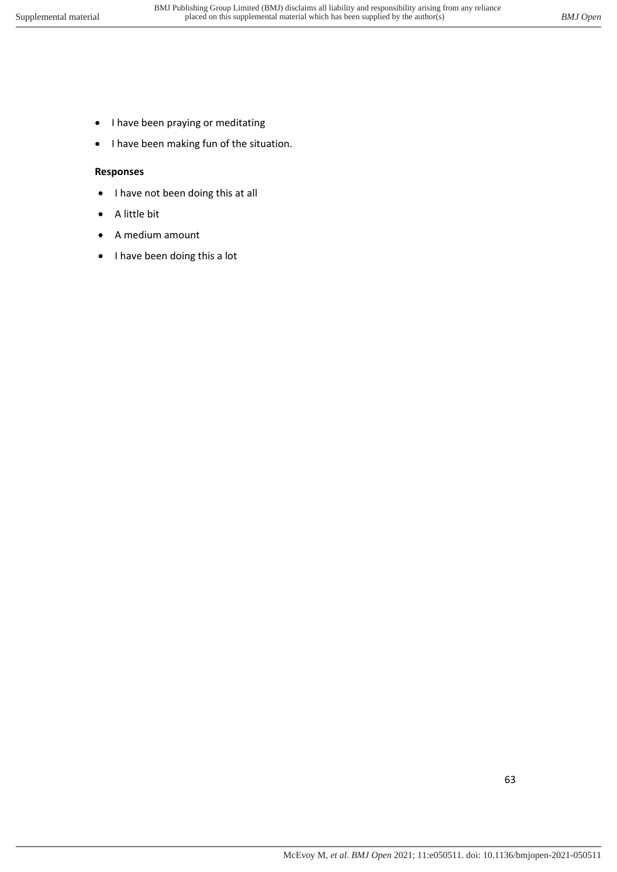- I have been praying or meditating
- I have been making fun of the situation.

- I have not been doing this at all
- A little bit
- A medium amount
- I have been doing this a lot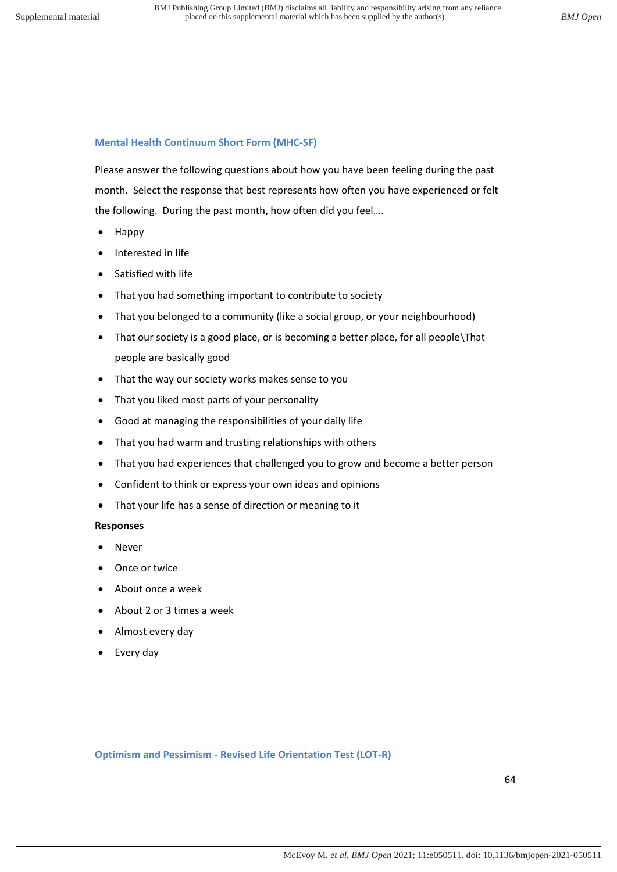## **Mental Health Continuum Short Form (MHC-SF)**

Please answer the following questions about how you have been feeling during the past month. Select the response that best represents how often you have experienced or felt the following. During the past month, how often did you feel….

- Happy
- Interested in life
- Satisfied with life
- That you had something important to contribute to society
- That you belonged to a community (like a social group, or your neighbourhood)
- That our society is a good place, or is becoming a better place, for all people\That people are basically good
- That the way our society works makes sense to you
- That you liked most parts of your personality
- Good at managing the responsibilities of your daily life
- That you had warm and trusting relationships with others
- That you had experiences that challenged you to grow and become a better person
- Confident to think or express your own ideas and opinions
- That your life has a sense of direction or meaning to it

### **Responses**

- Never
- Once or twice
- About once a week
- About 2 or 3 times a week
- Almost every day
- Every day

**Optimism and Pessimism - Revised Life Orientation Test (LOT-R)**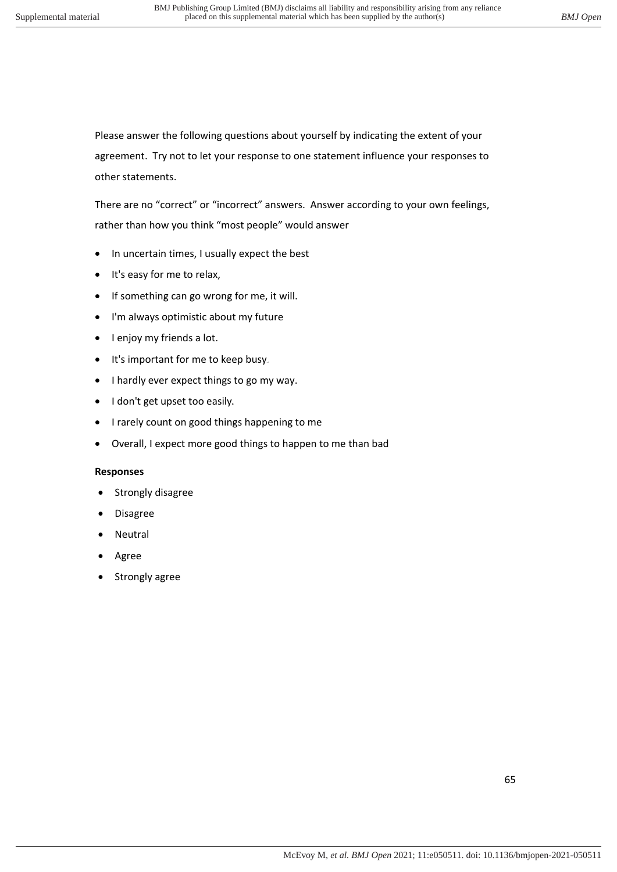Please answer the following questions about yourself by indicating the extent of your agreement. Try not to let your response to one statement influence your responses to other statements.

There are no "correct" or "incorrect" answers. Answer according to your own feelings, rather than how you think "most people" would answer

- In uncertain times, I usually expect the best
- It's easy for me to relax,
- If something can go wrong for me, it will.
- I'm always optimistic about my future
- I enjoy my friends a lot.
- It's important for me to keep busy
- I hardly ever expect things to go my way.
- I don't get upset too easily
- I rarely count on good things happening to me
- Overall, I expect more good things to happen to me than bad

- Strongly disagree
- Disagree
- **Neutral**
- **Agree**
- Strongly agree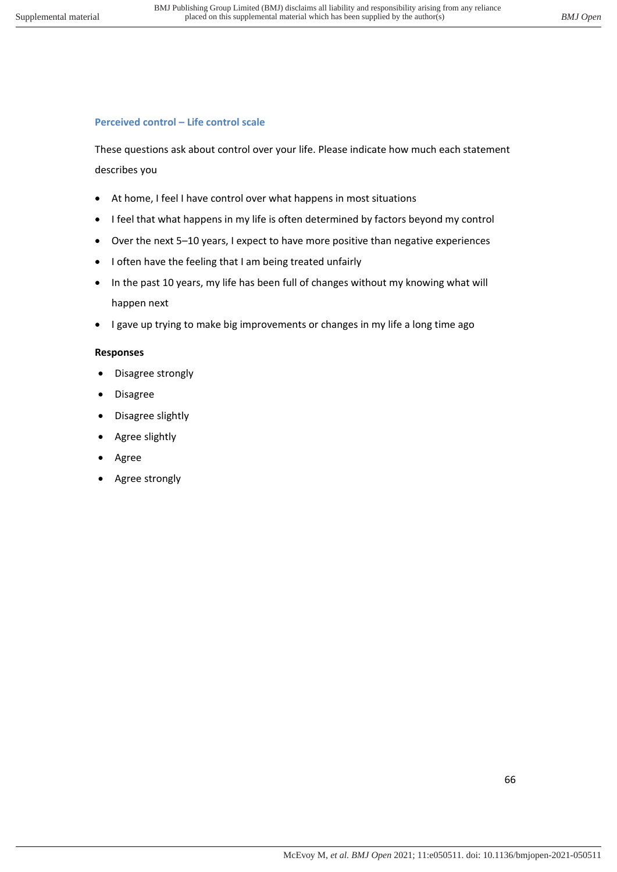# **Perceived control – Life control scale**

These questions ask about control over your life. Please indicate how much each statement describes you

- At home, I feel I have control over what happens in most situations
- I feel that what happens in my life is often determined by factors beyond my control
- Over the next 5–10 years, I expect to have more positive than negative experiences
- I often have the feeling that I am being treated unfairly
- In the past 10 years, my life has been full of changes without my knowing what will happen next
- I gave up trying to make big improvements or changes in my life a long time ago

- Disagree strongly
- **Disagree**
- Disagree slightly
- Agree slightly
- Agree
- Agree strongly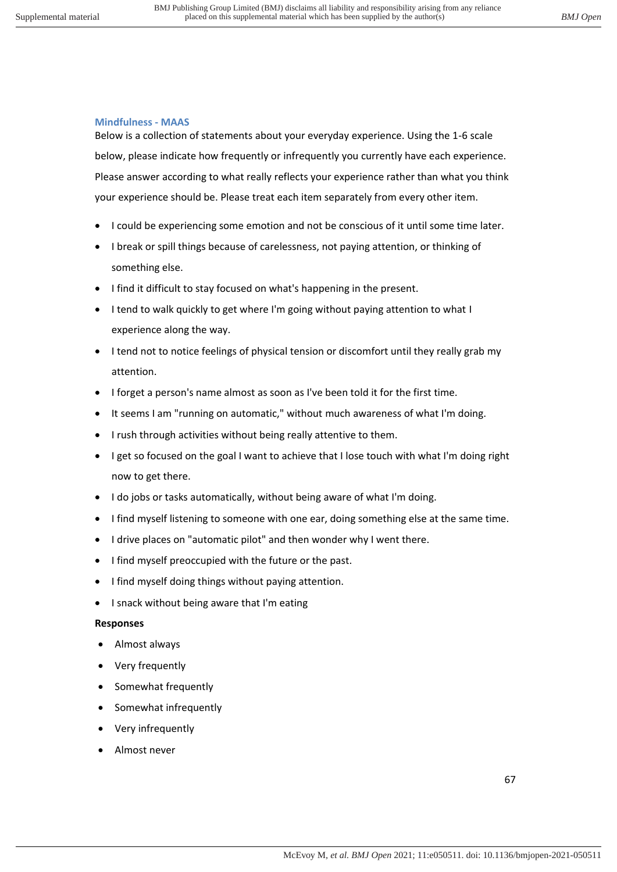## **Mindfulness - MAAS**

Below is a collection of statements about your everyday experience. Using the 1-6 scale below, please indicate how frequently or infrequently you currently have each experience. Please answer according to what really reflects your experience rather than what you think your experience should be. Please treat each item separately from every other item.

- I could be experiencing some emotion and not be conscious of it until some time later.
- I break or spill things because of carelessness, not paying attention, or thinking of something else.
- I find it difficult to stay focused on what's happening in the present.
- I tend to walk quickly to get where I'm going without paying attention to what I experience along the way.
- I tend not to notice feelings of physical tension or discomfort until they really grab my attention.
- I forget a person's name almost as soon as I've been told it for the first time.
- It seems I am "running on automatic," without much awareness of what I'm doing.
- I rush through activities without being really attentive to them.
- I get so focused on the goal I want to achieve that I lose touch with what I'm doing right now to get there.
- I do jobs or tasks automatically, without being aware of what I'm doing.
- I find myself listening to someone with one ear, doing something else at the same time.
- I drive places on "automatic pilot" and then wonder why I went there.
- I find myself preoccupied with the future or the past.
- I find myself doing things without paying attention.
- I snack without being aware that I'm eating

- Almost always
- Very frequently
- Somewhat frequently
- Somewhat infrequently
- Very infrequently
- Almost never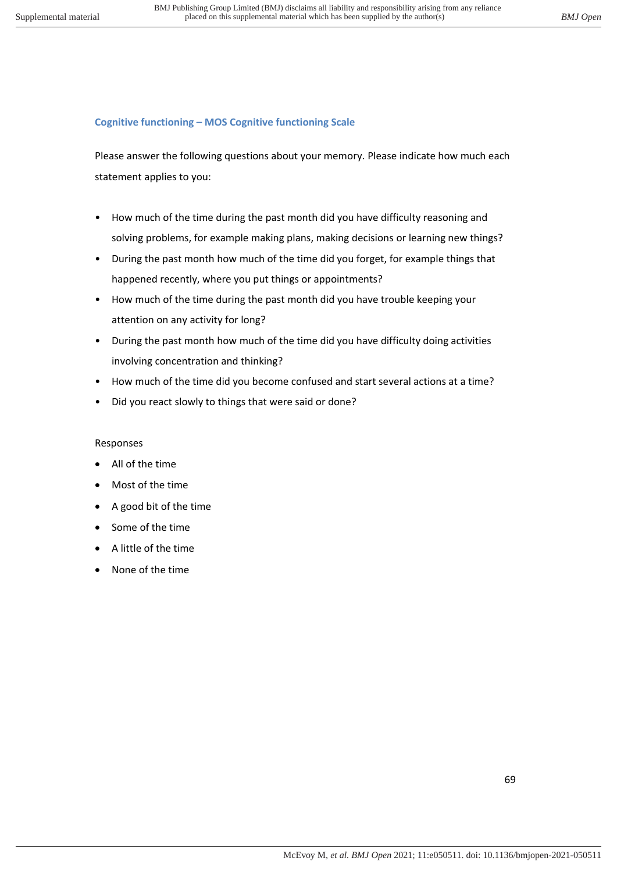### **Cognitive functioning – MOS Cognitive functioning Scale**

Please answer the following questions about your memory. Please indicate how much each statement applies to you:

- How much of the time during the past month did you have difficulty reasoning and solving problems, for example making plans, making decisions or learning new things?
- During the past month how much of the time did you forget, for example things that happened recently, where you put things or appointments?
- How much of the time during the past month did you have trouble keeping your attention on any activity for long?
- During the past month how much of the time did you have difficulty doing activities involving concentration and thinking?
- How much of the time did you become confused and start several actions at a time?
- Did you react slowly to things that were said or done?

- All of the time
- Most of the time
- A good bit of the time
- Some of the time
- A little of the time
- None of the time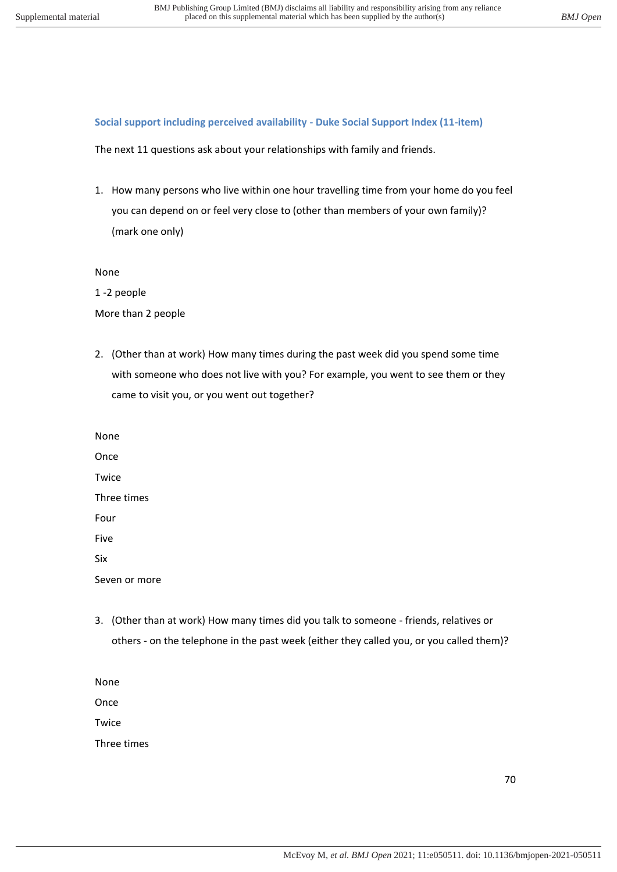**Social support including perceived availability - Duke Social Support Index (11-item)** 

The next 11 questions ask about your relationships with family and friends.

1. How many persons who live within one hour travelling time from your home do you feel you can depend on or feel very close to (other than members of your own family)? (mark one only)

None

1 -2 people

More than 2 people

2. (Other than at work) How many times during the past week did you spend some time with someone who does not live with you? For example, you went to see them or they came to visit you, or you went out together?

| None          |
|---------------|
| Once          |
| Twice         |
| Three times   |
| Four          |
| Five          |
| Six           |
| Seven or more |

3. (Other than at work) How many times did you talk to someone - friends, relatives or others - on the telephone in the past week (either they called you, or you called them)?

None

Once

Twice

Three times

70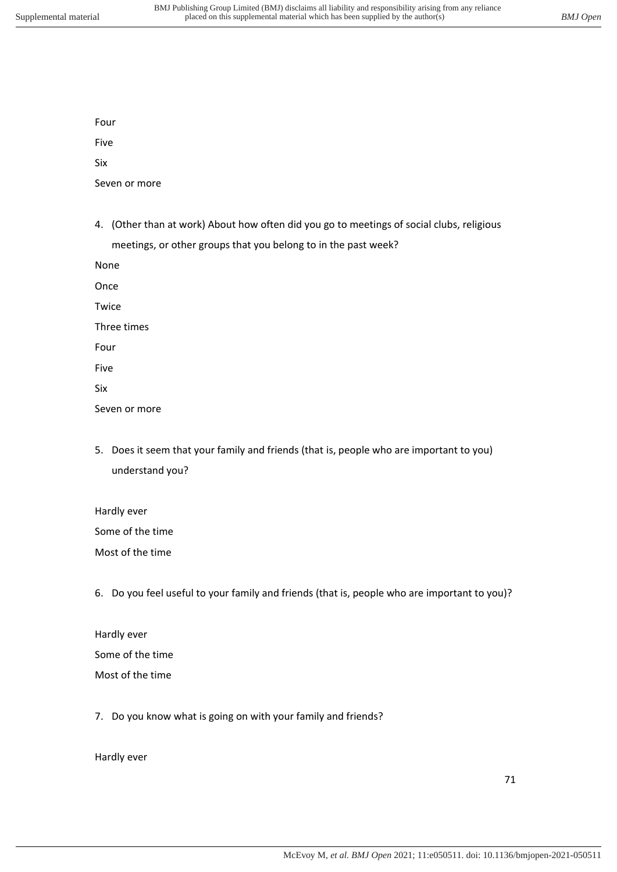Four

Five

Six

Seven or more

4. (Other than at work) About how often did you go to meetings of social clubs, religious meetings, or other groups that you belong to in the past week?

None

**Once** 

Twice

Three times

Four

Five

Six

Seven or more

5. Does it seem that your family and friends (that is, people who are important to you) understand you?

| Hardly ever      |
|------------------|
| Some of the time |
| Most of the time |

6. Do you feel useful to your family and friends (that is, people who are important to you)?

| Hardly ever      |
|------------------|
| Some of the time |
| Most of the time |

7. Do you know what is going on with your family and friends?

Hardly ever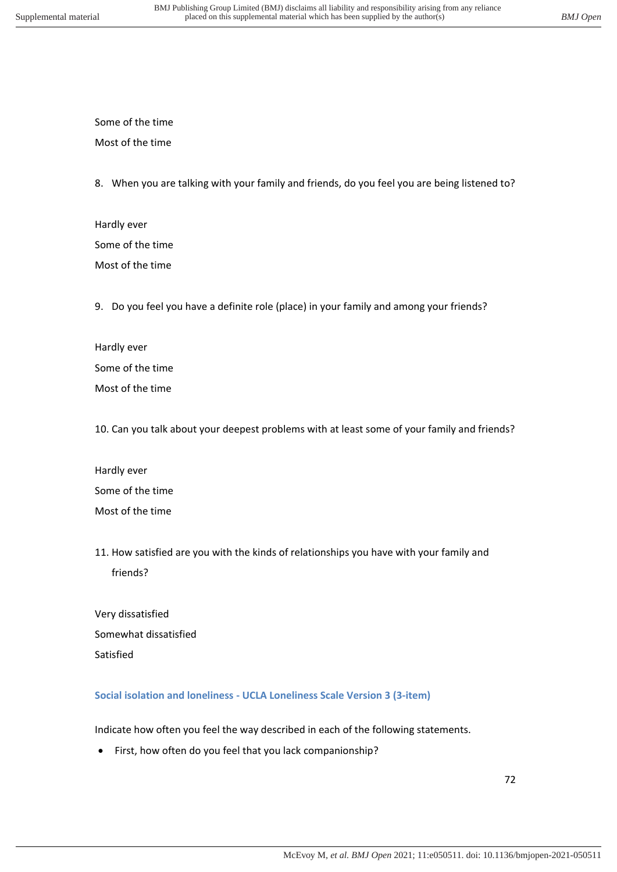Some of the time Most of the time

8. When you are talking with your family and friends, do you feel you are being listened to?

Hardly ever Some of the time Most of the time

9. Do you feel you have a definite role (place) in your family and among your friends?

Hardly ever Some of the time Most of the time

10. Can you talk about your deepest problems with at least some of your family and friends?

| Hardly ever      |
|------------------|
| Some of the time |
| Most of the time |

11. How satisfied are you with the kinds of relationships you have with your family and friends?

| Very dissatisfied     |
|-----------------------|
| Somewhat dissatisfied |
| Satisfied             |

## **Social isolation and loneliness - UCLA Loneliness Scale Version 3 (3-item)**

Indicate how often you feel the way described in each of the following statements.

• First, how often do you feel that you lack companionship?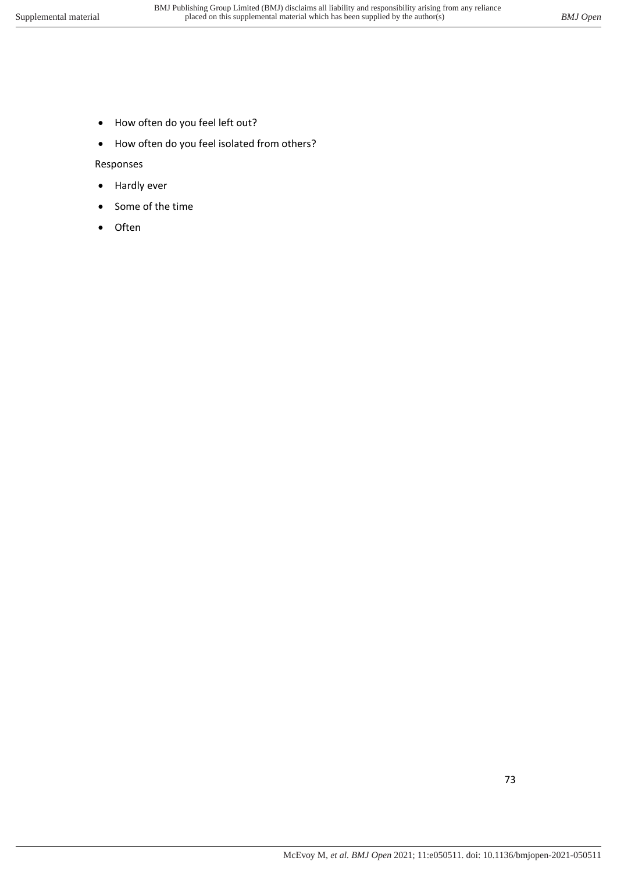- How often do you feel left out?
- How often do you feel isolated from others?

Responses

- Hardly ever
- Some of the time
- Often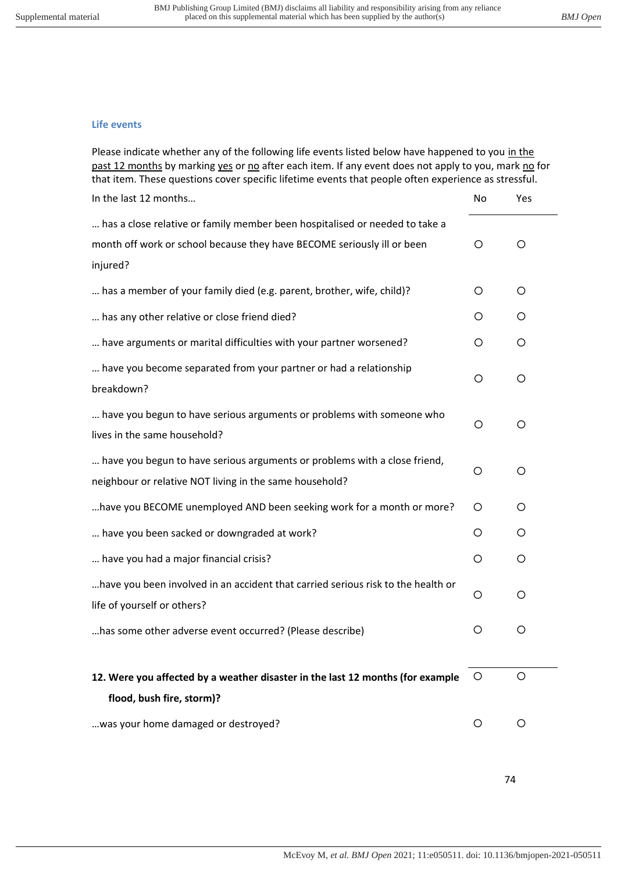### **Life events**

Please indicate whether any of the following life events listed below have happened to you in the past 12 months by marking yes or no after each item. If any event does not apply to you, mark no for that item. These questions cover specific lifetime events that people often experience as stressful.

| In the last 12 months                                                                                                                                              | No           | Yes          |
|--------------------------------------------------------------------------------------------------------------------------------------------------------------------|--------------|--------------|
| has a close relative or family member been hospitalised or needed to take a<br>month off work or school because they have BECOME seriously ill or been<br>injured? | O            | O            |
| has a member of your family died (e.g. parent, brother, wife, child)?                                                                                              | O            | O            |
| has any other relative or close friend died?                                                                                                                       | O            | O            |
| have arguments or marital difficulties with your partner worsened?                                                                                                 | O            | O            |
| have you become separated from your partner or had a relationship<br>breakdown?                                                                                    | O            | O            |
| have you begun to have serious arguments or problems with someone who<br>lives in the same household?                                                              | O            | O            |
| have you begun to have serious arguments or problems with a close friend,<br>neighbour or relative NOT living in the same household?                               | O            | $\circ$      |
| have you BECOME unemployed AND been seeking work for a month or more?                                                                                              | $\circ$      | O            |
| have you been sacked or downgraded at work?                                                                                                                        | O            | O            |
| have you had a major financial crisis?                                                                                                                             | O            | $\circ$      |
| have you been involved in an accident that carried serious risk to the health or<br>life of yourself or others?                                                    | O            | O            |
| has some other adverse event occurred? (Please describe)                                                                                                           | O            | $\circ$      |
| 12. Were you affected by a weather disaster in the last 12 months (for example<br>flood, bush fire, storm)?<br>was your home damaged or destroyed?                 | $\circ$<br>O | $\circ$<br>O |
|                                                                                                                                                                    |              |              |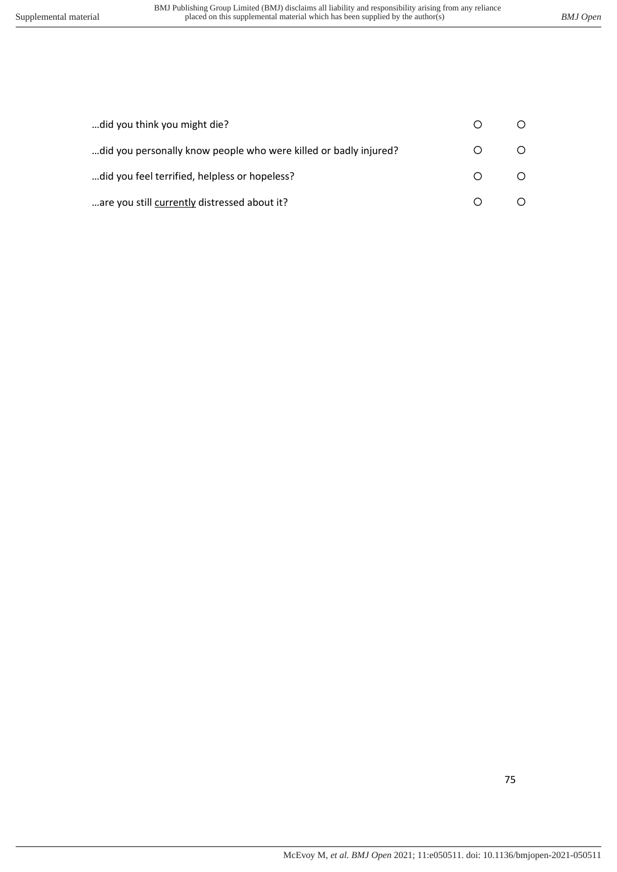| did you think you might die?                                     |  |
|------------------------------------------------------------------|--|
| did you personally know people who were killed or badly injured? |  |
| did you feel terrified, helpless or hopeless?                    |  |
| are you still currently distressed about it?                     |  |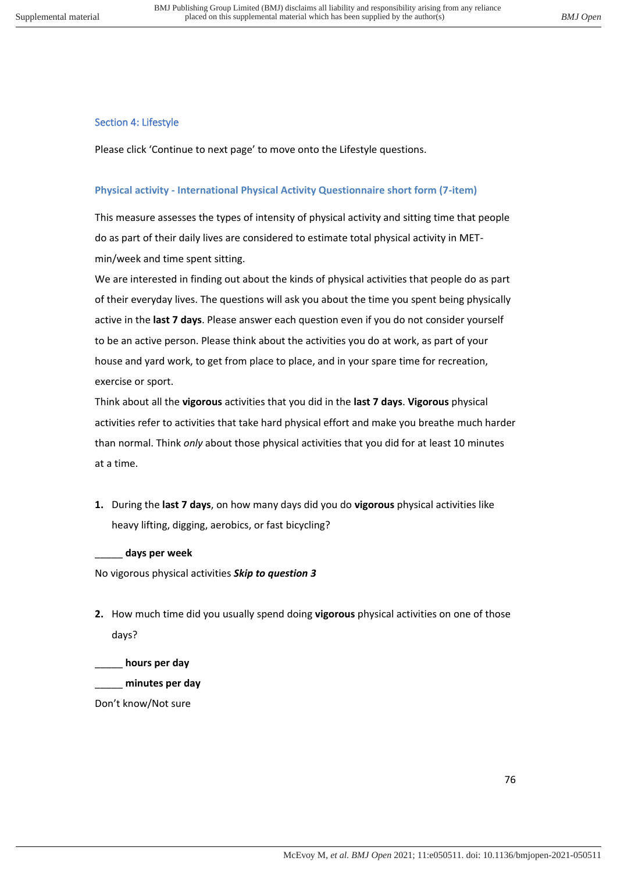## Section 4: Lifestyle

Please click 'Continue to next page' to move onto the Lifestyle questions.

## **Physical activity - International Physical Activity Questionnaire short form (7-item)**

This measure assesses the types of intensity of physical activity and sitting time that people do as part of their daily lives are considered to estimate total physical activity in METmin/week and time spent sitting.

We are interested in finding out about the kinds of physical activities that people do as part of their everyday lives. The questions will ask you about the time you spent being physically active in the **last 7 days**. Please answer each question even if you do not consider yourself to be an active person. Please think about the activities you do at work, as part of your house and yard work, to get from place to place, and in your spare time for recreation, exercise or sport.

Think about all the **vigorous** activities that you did in the **last 7 days**. **Vigorous** physical activities refer to activities that take hard physical effort and make you breathe much harder than normal. Think *only* about those physical activities that you did for at least 10 minutes at a time.

**1.** During the **last 7 days**, on how many days did you do **vigorous** physical activities like heavy lifting, digging, aerobics, or fast bicycling?

## \_\_\_\_\_ **days per week**

No vigorous physical activities *Skip to question 3* 

**2.** How much time did you usually spend doing **vigorous** physical activities on one of those days?

\_\_\_\_\_ **hours per day** 

\_\_\_\_\_ **minutes per day** 

Don't know/Not sure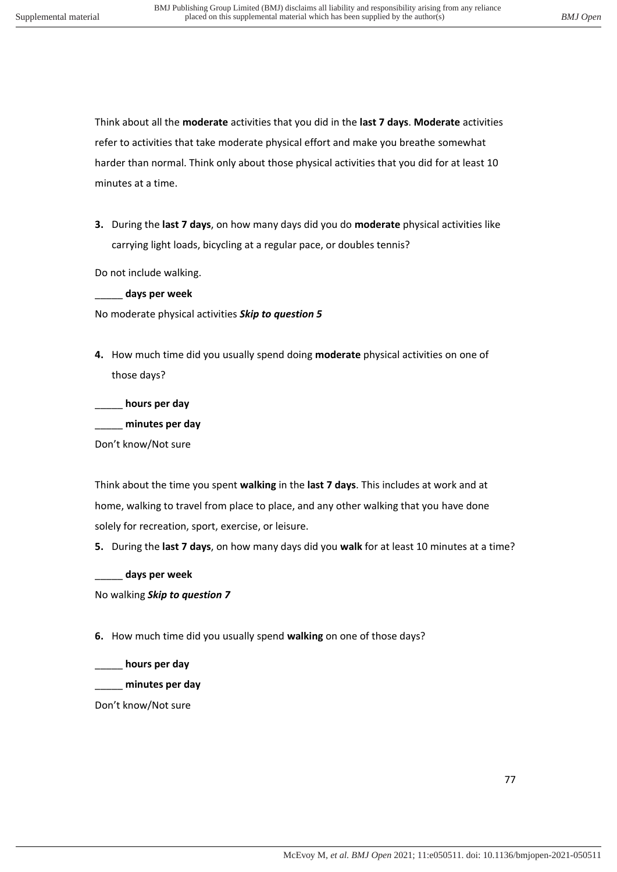Think about all the **moderate** activities that you did in the **last 7 days**. **Moderate** activities refer to activities that take moderate physical effort and make you breathe somewhat harder than normal. Think only about those physical activities that you did for at least 10 minutes at a time.

**3.** During the **last 7 days**, on how many days did you do **moderate** physical activities like carrying light loads, bicycling at a regular pace, or doubles tennis?

Do not include walking.

### \_\_\_\_\_ **days per week**

No moderate physical activities *Skip to question 5* 

**4.** How much time did you usually spend doing **moderate** physical activities on one of those days?

\_\_\_\_\_ **hours per day** 

\_\_\_\_\_ **minutes per day** 

Don't know/Not sure

Think about the time you spent **walking** in the **last 7 days**. This includes at work and at home, walking to travel from place to place, and any other walking that you have done solely for recreation, sport, exercise, or leisure.

**5.** During the **last 7 days**, on how many days did you **walk** for at least 10 minutes at a time?

\_\_\_\_\_ **days per week**  No walking *Skip to question 7* 

**6.** How much time did you usually spend **walking** on one of those days?

\_\_\_\_\_ **hours per day** 

\_\_\_\_\_ **minutes per day** 

Don't know/Not sure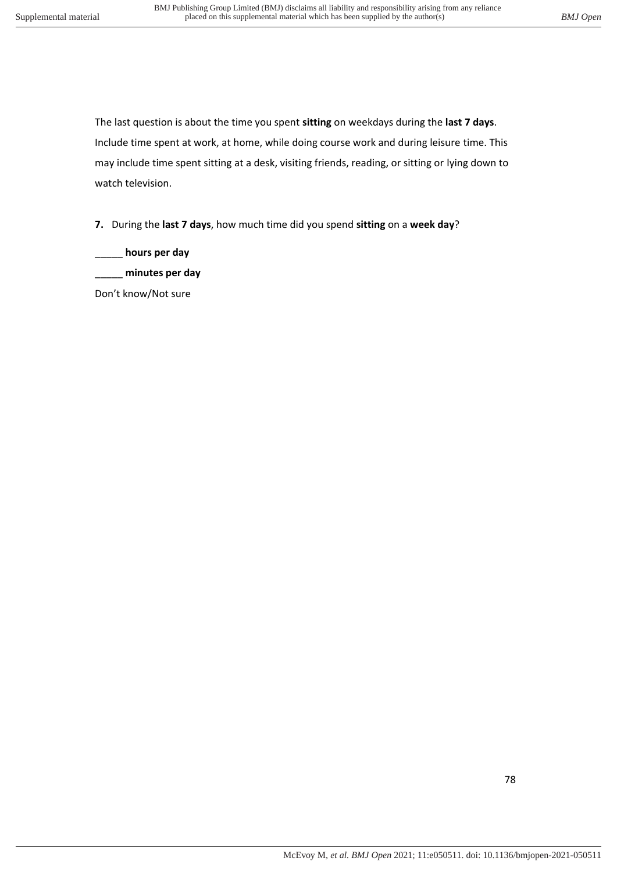The last question is about the time you spent **sitting** on weekdays during the **last 7 days**. Include time spent at work, at home, while doing course work and during leisure time. This may include time spent sitting at a desk, visiting friends, reading, or sitting or lying down to watch television.

**7.** During the **last 7 days**, how much time did you spend **sitting** on a **week day**?

\_\_\_\_\_ **hours per day** 

\_\_\_\_\_ **minutes per day** 

Don't know/Not sure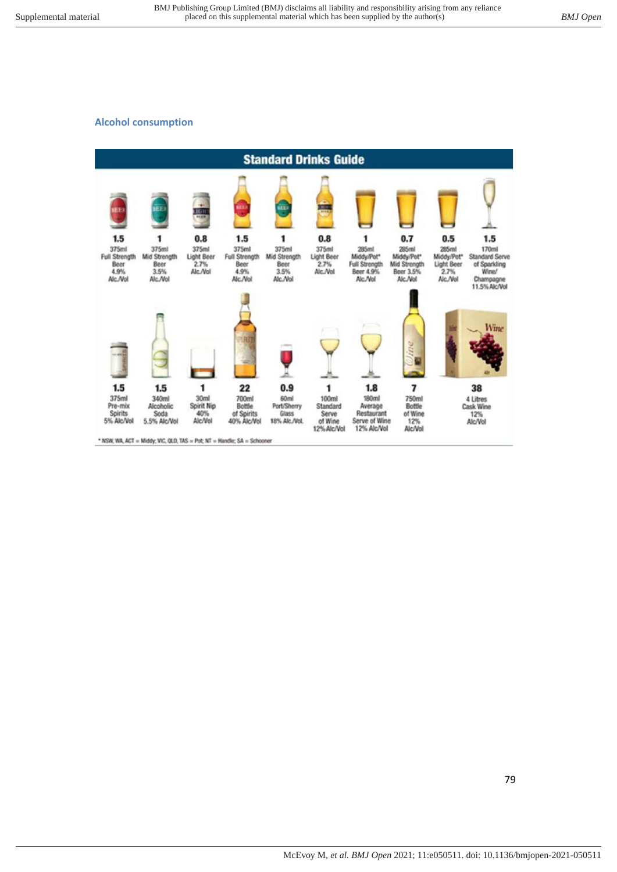# **Alcohol consumption**

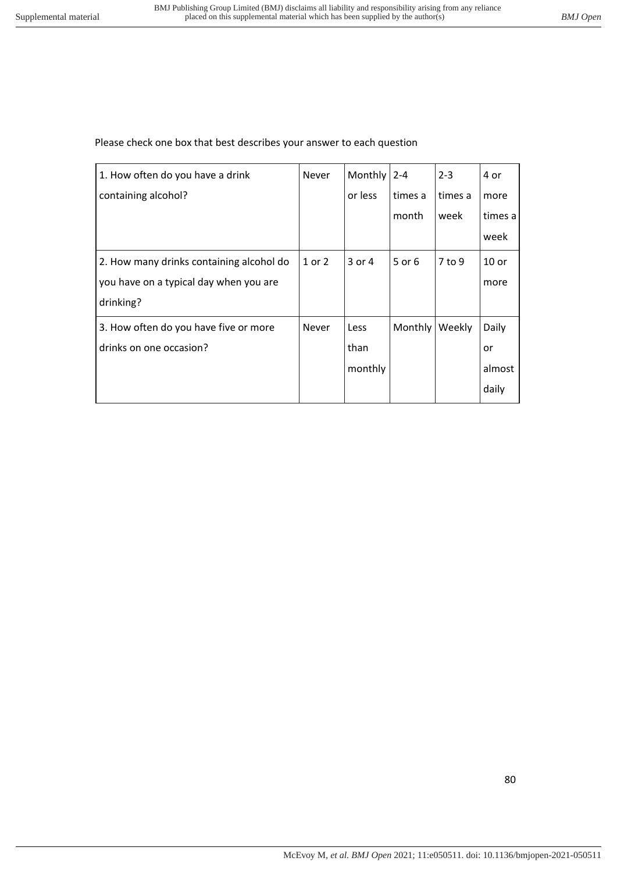Please check one box that best describes your answer to each question

| 1. How often do you have a drink         | Never  | Monthly $2-4$ |         | $2 - 3$  | 4 or    |
|------------------------------------------|--------|---------------|---------|----------|---------|
| containing alcohol?                      |        | or less       | times a | times a  | more    |
|                                          |        |               | month   | week     | times a |
|                                          |        |               |         |          | week    |
| 2. How many drinks containing alcohol do | 1 or 2 | 3 or 4        | 5 or 6  | $7$ to 9 | $10$ or |
| you have on a typical day when you are   |        |               |         |          | more    |
| drinking?                                |        |               |         |          |         |
| 3. How often do you have five or more    | Never  | Less          | Monthly | Weekly   | Daily   |
| drinks on one occasion?                  |        | than          |         |          | or      |
|                                          |        | monthly       |         |          | almost  |
|                                          |        |               |         |          | daily   |
|                                          |        |               |         |          |         |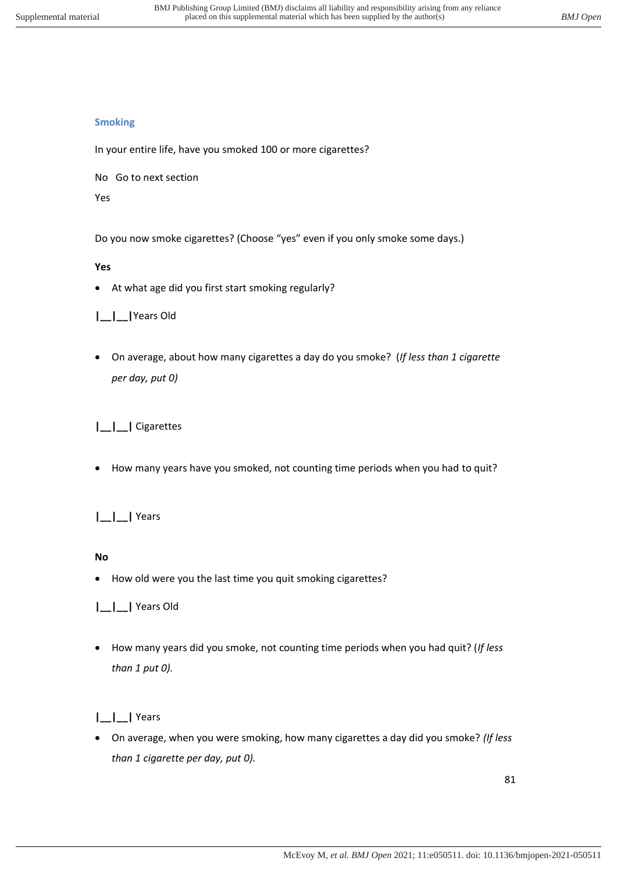# **Smoking**

In your entire life, have you smoked 100 or more cigarettes?

No Go to next section

Yes

Do you now smoke cigarettes? (Choose "yes" even if you only smoke some days.)

## **Yes**

• At what age did you first start smoking regularly?

**|\_\_|\_\_|**Years Old

• On average, about how many cigarettes a day do you smoke? (*If less than 1 cigarette per day, put 0)* 

**|\_\_|\_\_|** Cigarettes

• How many years have you smoked, not counting time periods when you had to quit?

# **|\_\_|\_\_|** Years

**No** 

• How old were you the last time you quit smoking cigarettes?

**|\_\_|\_\_|** Years Old

• How many years did you smoke, not counting time periods when you had quit? (*If less than 1 put 0).* 

**|\_\_|\_\_|** Years

• On average, when you were smoking, how many cigarettes a day did you smoke? *(If less than 1 cigarette per day, put 0).*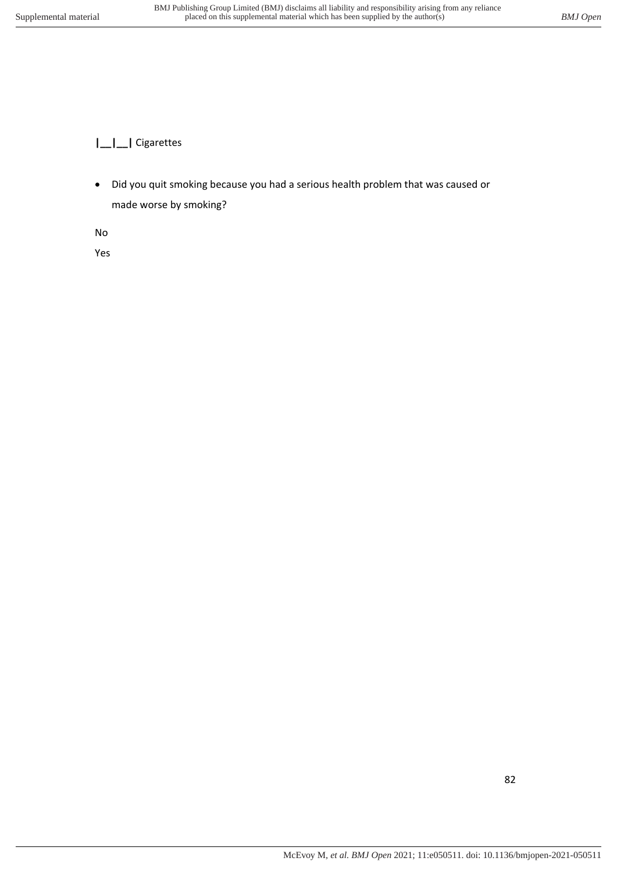# **|\_\_|\_\_|** Cigarettes

• Did you quit smoking because you had a serious health problem that was caused or made worse by smoking?

No

Yes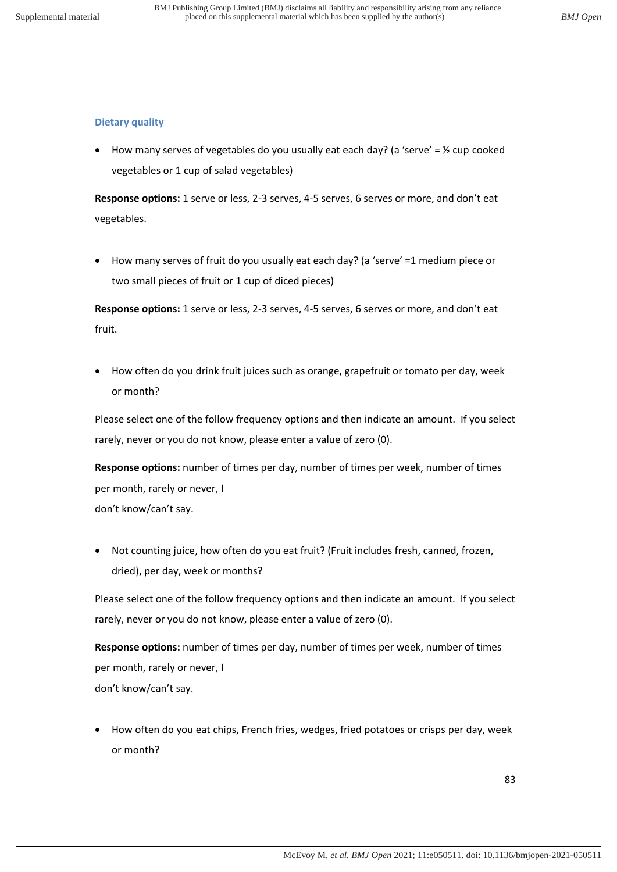# **Dietary quality**

How many serves of vegetables do you usually eat each day? (a 'serve' =  $\frac{1}{2}$  cup cooked vegetables or 1 cup of salad vegetables)

**Response options:** 1 serve or less, 2-3 serves, 4-5 serves, 6 serves or more, and don't eat vegetables.

• How many serves of fruit do you usually eat each day? (a 'serve' =1 medium piece or two small pieces of fruit or 1 cup of diced pieces)

**Response options:** 1 serve or less, 2-3 serves, 4-5 serves, 6 serves or more, and don't eat fruit.

• How often do you drink fruit juices such as orange, grapefruit or tomato per day, week or month?

Please select one of the follow frequency options and then indicate an amount. If you select rarely, never or you do not know, please enter a value of zero (0).

**Response options:** number of times per day, number of times per week, number of times per month, rarely or never, I don't know/can't say.

• Not counting juice, how often do you eat fruit? (Fruit includes fresh, canned, frozen, dried), per day, week or months?

Please select one of the follow frequency options and then indicate an amount. If you select rarely, never or you do not know, please enter a value of zero (0).

**Response options:** number of times per day, number of times per week, number of times per month, rarely or never, I don't know/can't say.

• How often do you eat chips, French fries, wedges, fried potatoes or crisps per day, week or month?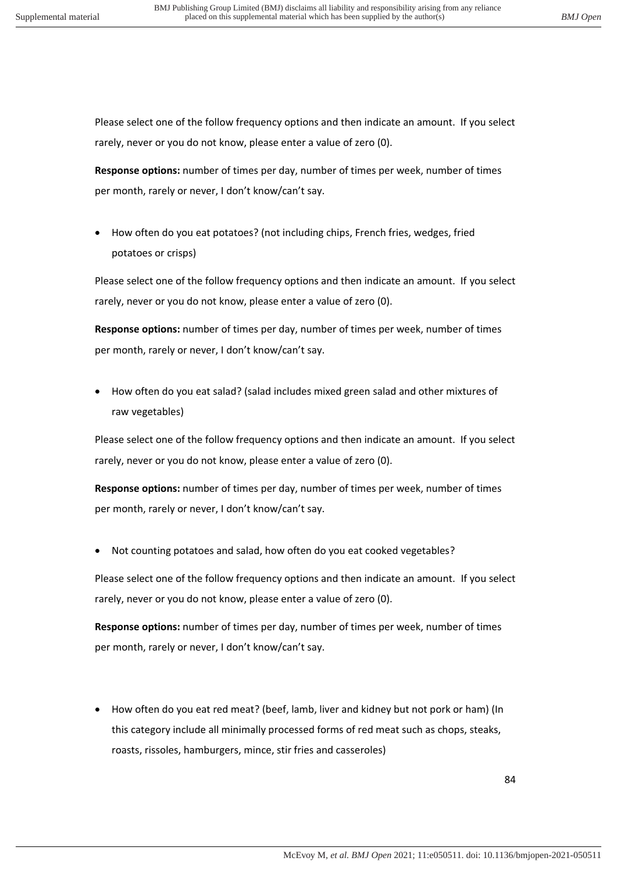Please select one of the follow frequency options and then indicate an amount. If you select rarely, never or you do not know, please enter a value of zero (0).

**Response options:** number of times per day, number of times per week, number of times per month, rarely or never, I don't know/can't say.

• How often do you eat potatoes? (not including chips, French fries, wedges, fried potatoes or crisps)

Please select one of the follow frequency options and then indicate an amount. If you select rarely, never or you do not know, please enter a value of zero (0).

**Response options:** number of times per day, number of times per week, number of times per month, rarely or never, I don't know/can't say.

• How often do you eat salad? (salad includes mixed green salad and other mixtures of raw vegetables)

Please select one of the follow frequency options and then indicate an amount. If you select rarely, never or you do not know, please enter a value of zero (0).

**Response options:** number of times per day, number of times per week, number of times per month, rarely or never, I don't know/can't say.

• Not counting potatoes and salad, how often do you eat cooked vegetables?

Please select one of the follow frequency options and then indicate an amount. If you select rarely, never or you do not know, please enter a value of zero (0).

**Response options:** number of times per day, number of times per week, number of times per month, rarely or never, I don't know/can't say.

• How often do you eat red meat? (beef, lamb, liver and kidney but not pork or ham) (In this category include all minimally processed forms of red meat such as chops, steaks, roasts, rissoles, hamburgers, mince, stir fries and casseroles)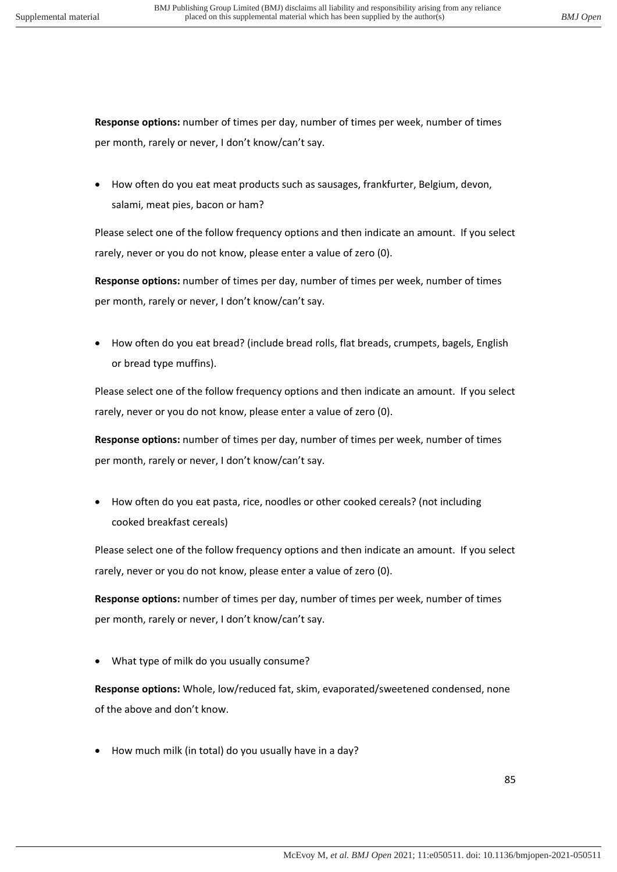**Response options:** number of times per day, number of times per week, number of times per month, rarely or never, I don't know/can't say.

• How often do you eat meat products such as sausages, frankfurter, Belgium, devon, salami, meat pies, bacon or ham?

Please select one of the follow frequency options and then indicate an amount. If you select rarely, never or you do not know, please enter a value of zero (0).

**Response options:** number of times per day, number of times per week, number of times per month, rarely or never, I don't know/can't say.

• How often do you eat bread? (include bread rolls, flat breads, crumpets, bagels, English or bread type muffins).

Please select one of the follow frequency options and then indicate an amount. If you select rarely, never or you do not know, please enter a value of zero (0).

**Response options:** number of times per day, number of times per week, number of times per month, rarely or never, I don't know/can't say.

• How often do you eat pasta, rice, noodles or other cooked cereals? (not including cooked breakfast cereals)

Please select one of the follow frequency options and then indicate an amount. If you select rarely, never or you do not know, please enter a value of zero (0).

**Response options:** number of times per day, number of times per week, number of times per month, rarely or never, I don't know/can't say.

• What type of milk do you usually consume?

**Response options:** Whole, low/reduced fat, skim, evaporated/sweetened condensed, none of the above and don't know.

• How much milk (in total) do you usually have in a day?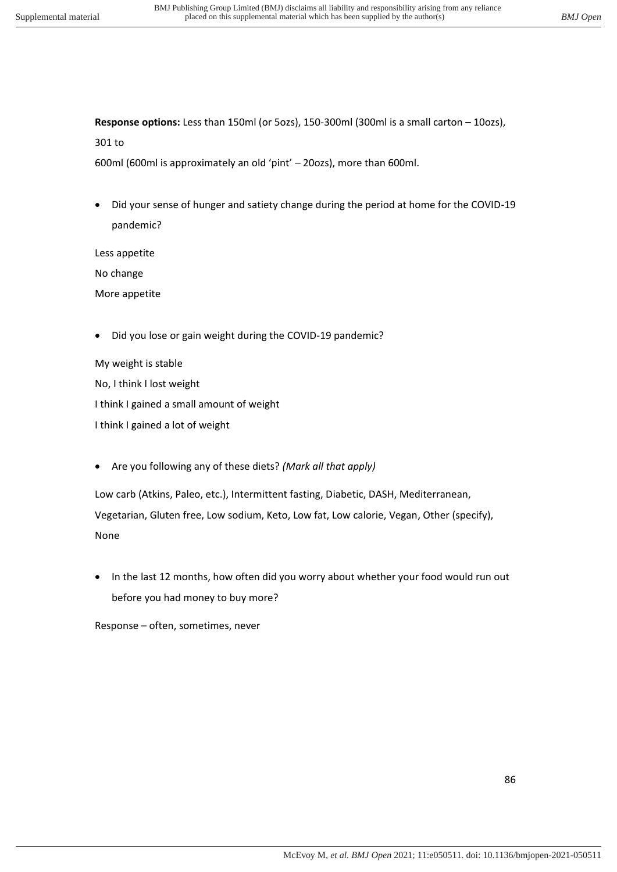**Response options:** Less than 150ml (or 5ozs), 150-300ml (300ml is a small carton – 10ozs),

## 301 to

600ml (600ml is approximately an old 'pint' – 20ozs), more than 600ml.

• Did your sense of hunger and satiety change during the period at home for the COVID-19 pandemic?

Less appetite

No change

More appetite

• Did you lose or gain weight during the COVID-19 pandemic?

My weight is stable No, I think I lost weight I think I gained a small amount of weight I think I gained a lot of weight

• Are you following any of these diets? *(Mark all that apply)*

Low carb (Atkins, Paleo, etc.), Intermittent fasting, Diabetic, DASH, Mediterranean, Vegetarian, Gluten free, Low sodium, Keto, Low fat, Low calorie, Vegan, Other (specify), None

• In the last 12 months, how often did you worry about whether your food would run out before you had money to buy more?

Response – often, sometimes, never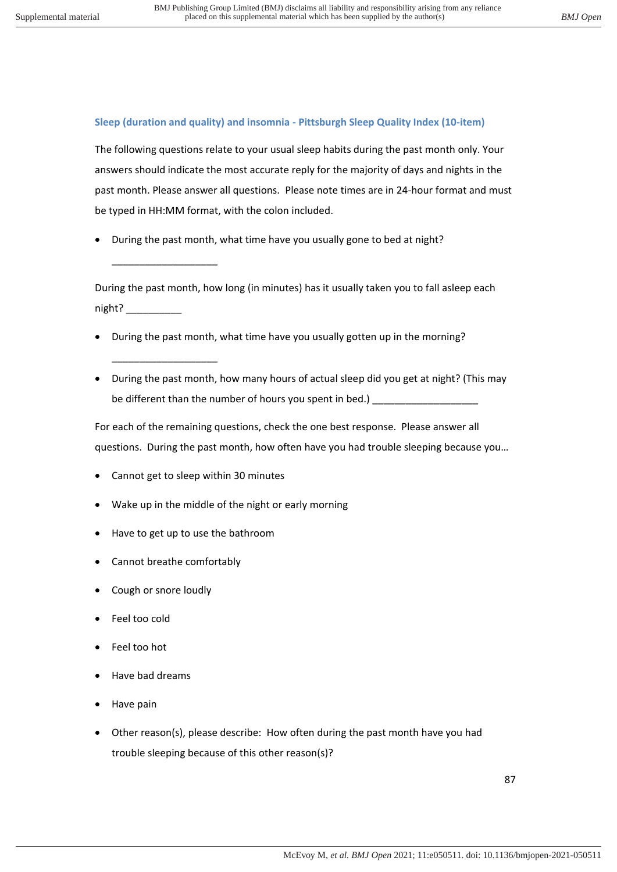## **Sleep (duration and quality) and insomnia - Pittsburgh Sleep Quality Index (10-item)**

The following questions relate to your usual sleep habits during the past month only. Your answers should indicate the most accurate reply for the majority of days and nights in the past month. Please answer all questions. Please note times are in 24-hour format and must be typed in HH:MM format, with the colon included.

• During the past month, what time have you usually gone to bed at night?

During the past month, how long (in minutes) has it usually taken you to fall asleep each night? \_\_\_\_\_\_\_\_\_\_

- During the past month, what time have you usually gotten up in the morning?
- During the past month, how many hours of actual sleep did you get at night? (This may be different than the number of hours you spent in bed.) **we allow the set of the set of the set of the set of the set of the set of the set of the set of the set of the set of the set of the set of the set of the set of t**

For each of the remaining questions, check the one best response. Please answer all questions. During the past month, how often have you had trouble sleeping because you…

- Cannot get to sleep within 30 minutes
- Wake up in the middle of the night or early morning
- Have to get up to use the bathroom
- Cannot breathe comfortably

 $\frac{1}{2}$  ,  $\frac{1}{2}$  ,  $\frac{1}{2}$  ,  $\frac{1}{2}$  ,  $\frac{1}{2}$  ,  $\frac{1}{2}$  ,  $\frac{1}{2}$  ,  $\frac{1}{2}$  ,  $\frac{1}{2}$  ,  $\frac{1}{2}$  ,  $\frac{1}{2}$  ,  $\frac{1}{2}$  ,  $\frac{1}{2}$  ,  $\frac{1}{2}$  ,  $\frac{1}{2}$  ,  $\frac{1}{2}$  ,  $\frac{1}{2}$  ,  $\frac{1}{2}$  ,  $\frac{1$ 

 $\frac{1}{2}$  ,  $\frac{1}{2}$  ,  $\frac{1}{2}$  ,  $\frac{1}{2}$  ,  $\frac{1}{2}$  ,  $\frac{1}{2}$  ,  $\frac{1}{2}$  ,  $\frac{1}{2}$  ,  $\frac{1}{2}$  ,  $\frac{1}{2}$  ,  $\frac{1}{2}$  ,  $\frac{1}{2}$  ,  $\frac{1}{2}$  ,  $\frac{1}{2}$  ,  $\frac{1}{2}$  ,  $\frac{1}{2}$  ,  $\frac{1}{2}$  ,  $\frac{1}{2}$  ,  $\frac{1$ 

- Cough or snore loudly
- Feel too cold
- Feel too hot
- Have bad dreams
- Have pain
- Other reason(s), please describe: How often during the past month have you had trouble sleeping because of this other reason(s)?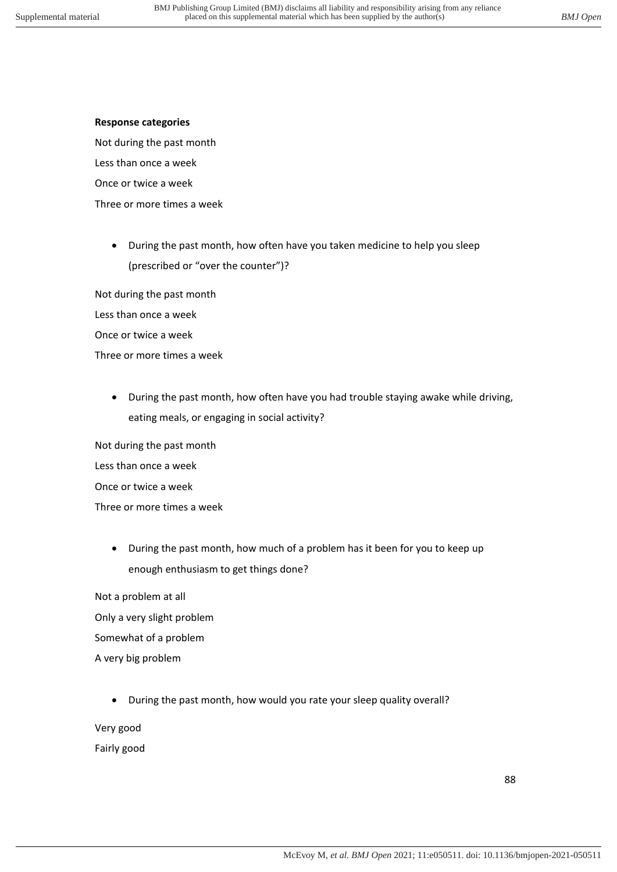### **Response categories**

Not during the past month Less than once a week Once or twice a week Three or more times a week

> • During the past month, how often have you taken medicine to help you sleep (prescribed or "over the counter")?

Not during the past month Less than once a week Once or twice a week Three or more times a week

> • During the past month, how often have you had trouble staying awake while driving, eating meals, or engaging in social activity?

Not during the past month Less than once a week Once or twice a week Three or more times a week

> • During the past month, how much of a problem has it been for you to keep up enough enthusiasm to get things done?

Not a problem at all Only a very slight problem Somewhat of a problem A very big problem

• During the past month, how would you rate your sleep quality overall?

Very good Fairly good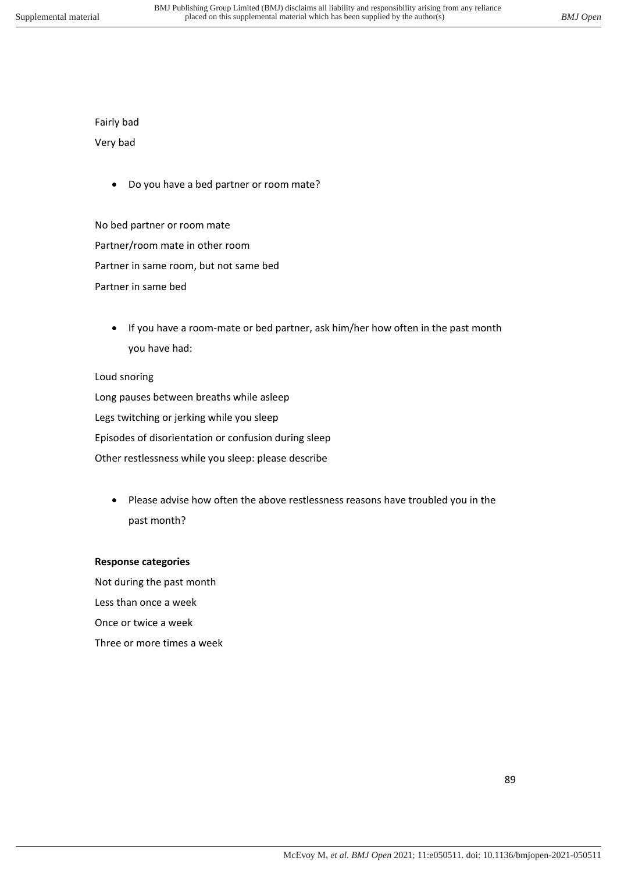Fairly bad

Very bad

• Do you have a bed partner or room mate?

No bed partner or room mate Partner/room mate in other room Partner in same room, but not same bed Partner in same bed

• If you have a room-mate or bed partner, ask him/her how often in the past month you have had:

Loud snoring Long pauses between breaths while asleep Legs twitching or jerking while you sleep Episodes of disorientation or confusion during sleep Other restlessness while you sleep: please describe

• Please advise how often the above restlessness reasons have troubled you in the past month?

## **Response categories**

Not during the past month Less than once a week Once or twice a week Three or more times a week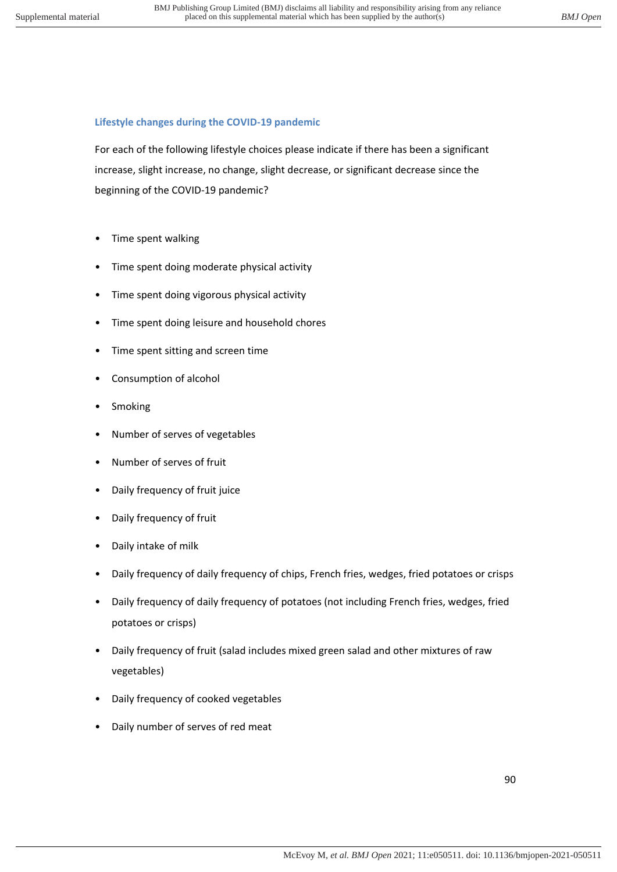# **Lifestyle changes during the COVID-19 pandemic**

For each of the following lifestyle choices please indicate if there has been a significant increase, slight increase, no change, slight decrease, or significant decrease since the beginning of the COVID-19 pandemic?

- Time spent walking
- Time spent doing moderate physical activity
- Time spent doing vigorous physical activity
- Time spent doing leisure and household chores
- Time spent sitting and screen time
- Consumption of alcohol
- **Smoking**
- Number of serves of vegetables
- Number of serves of fruit
- Daily frequency of fruit juice
- Daily frequency of fruit
- Daily intake of milk
- Daily frequency of daily frequency of chips, French fries, wedges, fried potatoes or crisps
- Daily frequency of daily frequency of potatoes (not including French fries, wedges, fried potatoes or crisps)
- Daily frequency of fruit (salad includes mixed green salad and other mixtures of raw vegetables)
- Daily frequency of cooked vegetables
- Daily number of serves of red meat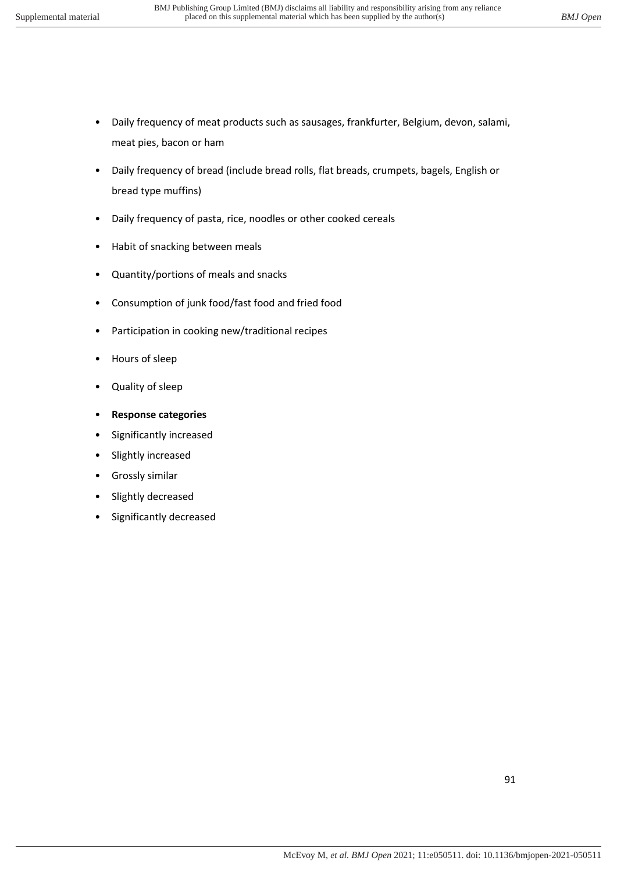- Daily frequency of meat products such as sausages, frankfurter, Belgium, devon, salami, meat pies, bacon or ham
- Daily frequency of bread (include bread rolls, flat breads, crumpets, bagels, English or bread type muffins)
- Daily frequency of pasta, rice, noodles or other cooked cereals
- Habit of snacking between meals
- Quantity/portions of meals and snacks
- Consumption of junk food/fast food and fried food
- Participation in cooking new/traditional recipes
- Hours of sleep
- Quality of sleep
- **Response categories**
- Significantly increased
- Slightly increased
- Grossly similar
- Slightly decreased
- Significantly decreased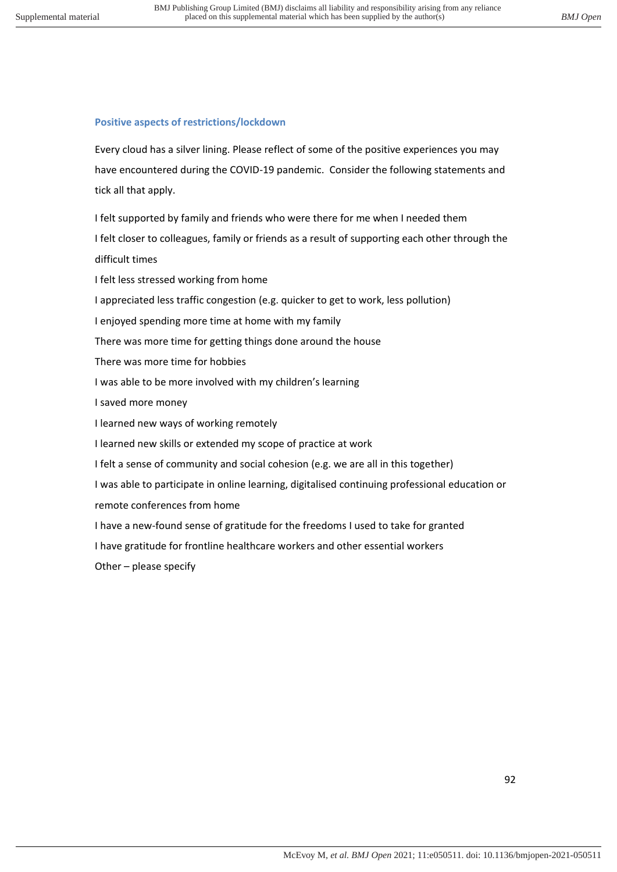## **Positive aspects of restrictions/lockdown**

Every cloud has a silver lining. Please reflect of some of the positive experiences you may have encountered during the COVID-19 pandemic. Consider the following statements and tick all that apply.

I felt supported by family and friends who were there for me when I needed them

I felt closer to colleagues, family or friends as a result of supporting each other through the difficult times

I felt less stressed working from home

I appreciated less traffic congestion (e.g. quicker to get to work, less pollution)

I enjoyed spending more time at home with my family

There was more time for getting things done around the house

There was more time for hobbies

I was able to be more involved with my children's learning

I saved more money

I learned new ways of working remotely

I learned new skills or extended my scope of practice at work

I felt a sense of community and social cohesion (e.g. we are all in this together)

I was able to participate in online learning, digitalised continuing professional education or remote conferences from home

I have a new-found sense of gratitude for the freedoms I used to take for granted

I have gratitude for frontline healthcare workers and other essential workers

Other – please specify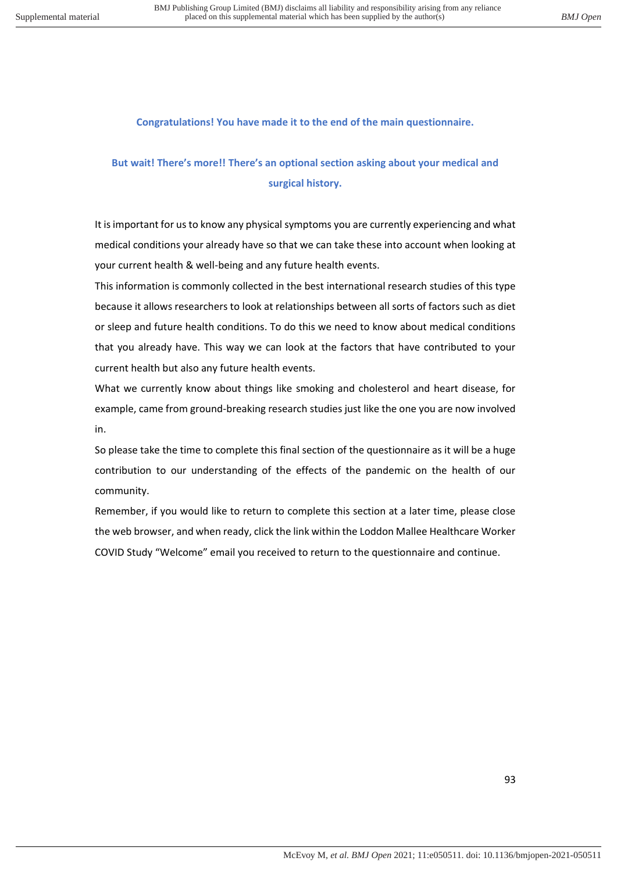**Congratulations! You have made it to the end of the main questionnaire.** 

# **But wait! There's more!! There's an optional section asking about your medical and surgical history.**

It is important for us to know any physical symptoms you are currently experiencing and what medical conditions your already have so that we can take these into account when looking at your current health & well-being and any future health events.

This information is commonly collected in the best international research studies of this type because it allows researchers to look at relationships between all sorts of factors such as diet or sleep and future health conditions. To do this we need to know about medical conditions that you already have. This way we can look at the factors that have contributed to your current health but also any future health events.

What we currently know about things like smoking and cholesterol and heart disease, for example, came from ground-breaking research studies just like the one you are now involved in.

So please take the time to complete this final section of the questionnaire as it will be a huge contribution to our understanding of the effects of the pandemic on the health of our community.

Remember, if you would like to return to complete this section at a later time, please close the web browser, and when ready, click the link within the Loddon Mallee Healthcare Worker COVID Study "Welcome" email you received to return to the questionnaire and continue.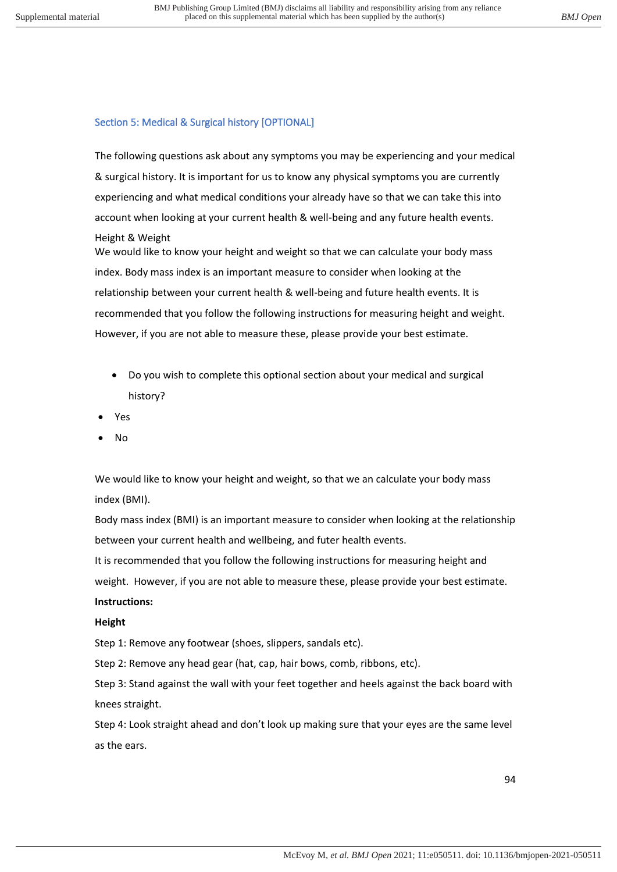# Section 5: Medical & Surgical history [OPTIONAL]

The following questions ask about any symptoms you may be experiencing and your medical & surgical history. It is important for us to know any physical symptoms you are currently experiencing and what medical conditions your already have so that we can take this into account when looking at your current health & well-being and any future health events. Height & Weight

We would like to know your height and weight so that we can calculate your body mass index. Body mass index is an important measure to consider when looking at the relationship between your current health & well-being and future health events. It is recommended that you follow the following instructions for measuring height and weight. However, if you are not able to measure these, please provide your best estimate.

- Do you wish to complete this optional section about your medical and surgical history?
- Yes
- No

We would like to know your height and weight, so that we an calculate your body mass index (BMI).

Body mass index (BMI) is an important measure to consider when looking at the relationship between your current health and wellbeing, and futer health events.

It is recommended that you follow the following instructions for measuring height and

weight. However, if you are not able to measure these, please provide your best estimate.

## **Instructions:**

## **Height**

Step 1: Remove any footwear (shoes, slippers, sandals etc).

Step 2: Remove any head gear (hat, cap, hair bows, comb, ribbons, etc).

Step 3: Stand against the wall with your feet together and heels against the back board with knees straight.

Step 4: Look straight ahead and don't look up making sure that your eyes are the same level as the ears.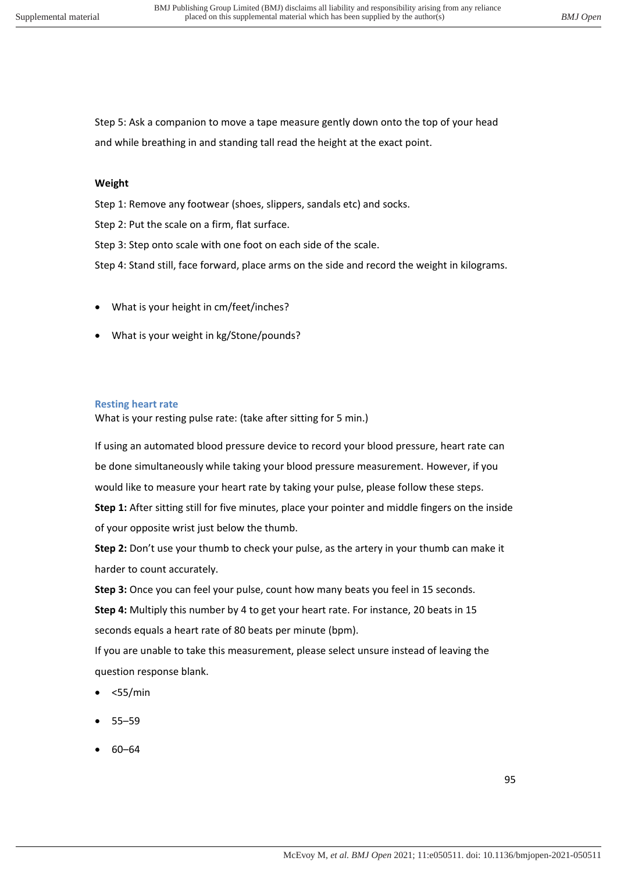Step 5: Ask a companion to move a tape measure gently down onto the top of your head and while breathing in and standing tall read the height at the exact point.

## **Weight**

Step 1: Remove any footwear (shoes, slippers, sandals etc) and socks.

Step 2: Put the scale on a firm, flat surface.

Step 3: Step onto scale with one foot on each side of the scale.

Step 4: Stand still, face forward, place arms on the side and record the weight in kilograms.

- What is your height in cm/feet/inches?
- What is your weight in kg/Stone/pounds?

#### **Resting heart rate**

What is your resting pulse rate: (take after sitting for 5 min.)

If using an automated blood pressure device to record your blood pressure, heart rate can be done simultaneously while taking your blood pressure measurement. However, if you would like to measure your heart rate by taking your pulse, please follow these steps. **Step 1:** After sitting still for five minutes, place your pointer and middle fingers on the inside of your opposite wrist just below the thumb.

**Step 2:** Don't use your thumb to check your pulse, as the artery in your thumb can make it harder to count accurately.

**Step 3:** Once you can feel your pulse, count how many beats you feel in 15 seconds.

**Step 4:** Multiply this number by 4 to get your heart rate. For instance, 20 beats in 15 seconds equals a heart rate of 80 beats per minute (bpm).

If you are unable to take this measurement, please select unsure instead of leaving the question response blank.

- <55/min
- 55–59
- 60–64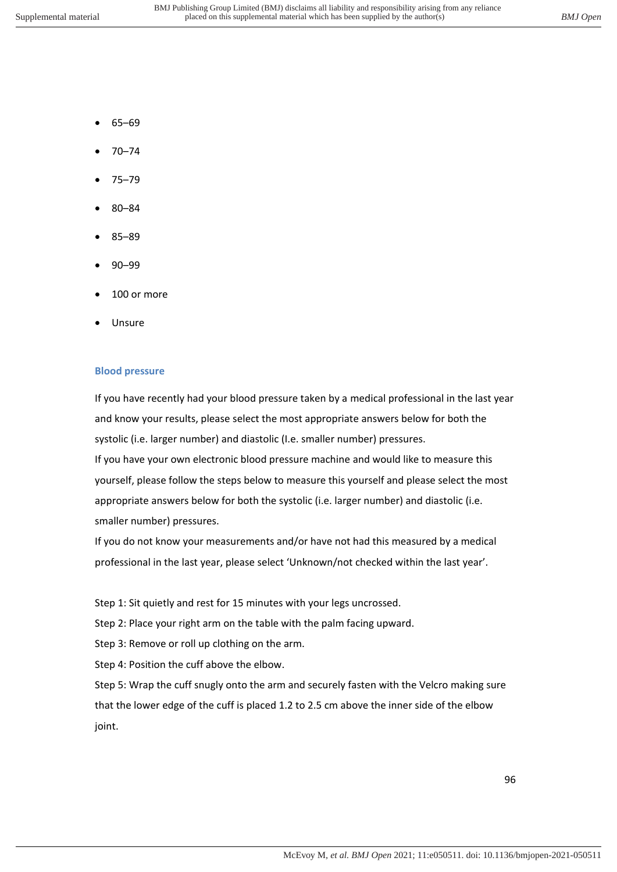- 65–69
- 70–74
- 75–79
- 80–84
- 85–89
- 90–99
- 100 or more
- **Unsure**

### **Blood pressure**

If you have recently had your blood pressure taken by a medical professional in the last year and know your results, please select the most appropriate answers below for both the systolic (i.e. larger number) and diastolic (I.e. smaller number) pressures. If you have your own electronic blood pressure machine and would like to measure this yourself, please follow the steps below to measure this yourself and please select the most appropriate answers below for both the systolic (i.e. larger number) and diastolic (i.e.

smaller number) pressures.

If you do not know your measurements and/or have not had this measured by a medical professional in the last year, please select 'Unknown/not checked within the last year'.

Step 1: Sit quietly and rest for 15 minutes with your legs uncrossed.

Step 2: Place your right arm on the table with the palm facing upward.

Step 3: Remove or roll up clothing on the arm.

Step 4: Position the cuff above the elbow.

Step 5: Wrap the cuff snugly onto the arm and securely fasten with the Velcro making sure that the lower edge of the cuff is placed 1.2 to 2.5 cm above the inner side of the elbow joint.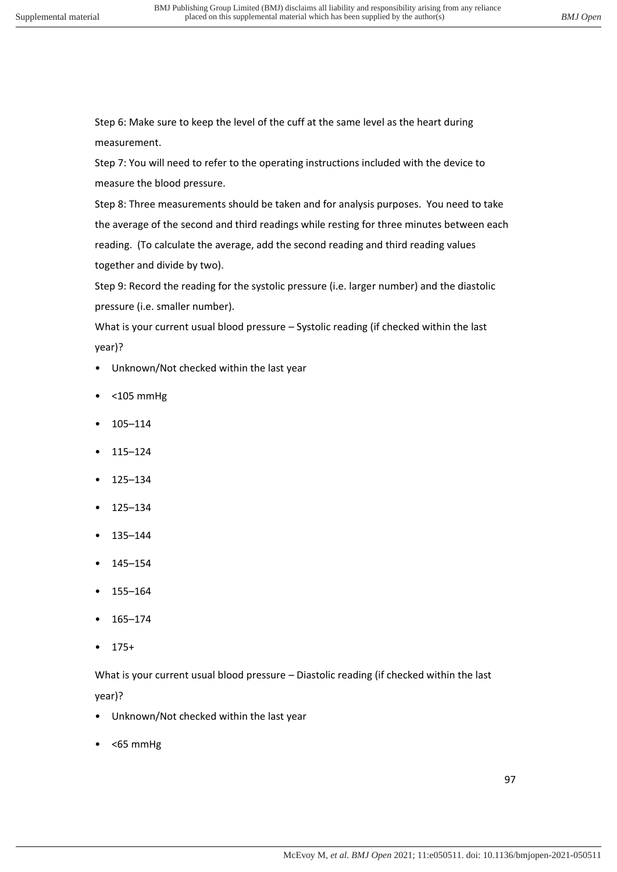Step 6: Make sure to keep the level of the cuff at the same level as the heart during measurement.

Step 7: You will need to refer to the operating instructions included with the device to measure the blood pressure.

Step 8: Three measurements should be taken and for analysis purposes. You need to take the average of the second and third readings while resting for three minutes between each reading. (To calculate the average, add the second reading and third reading values together and divide by two).

Step 9: Record the reading for the systolic pressure (i.e. larger number) and the diastolic pressure (i.e. smaller number).

What is your current usual blood pressure – Systolic reading (if checked within the last year)?

- Unknown/Not checked within the last year
- <105 mmHg
- 105–114
- 115–124
- 125–134
- 125–134
- 135–144
- 145–154
- 155–164
- 165–174
- 175+

What is your current usual blood pressure – Diastolic reading (if checked within the last year)?

- Unknown/Not checked within the last year
- <65 mmHg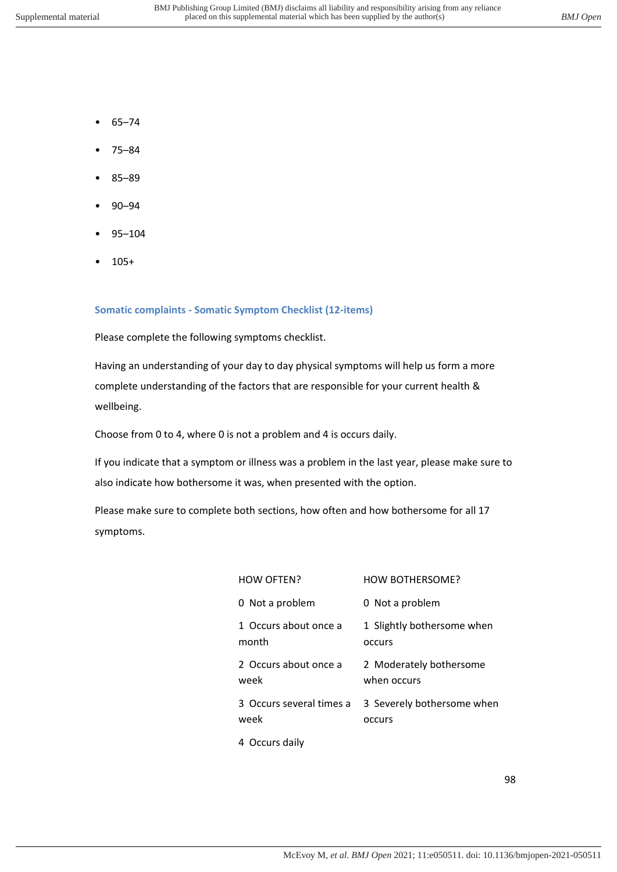- 65–74
- 75–84
- 85–89
- 90–94
- 95–104
- 105+

### **Somatic complaints - Somatic Symptom Checklist (12-items)**

Please complete the following symptoms checklist.

Having an understanding of your day to day physical symptoms will help us form a more complete understanding of the factors that are responsible for your current health & wellbeing.

Choose from 0 to 4, where 0 is not a problem and 4 is occurs daily.

If you indicate that a symptom or illness was a problem in the last year, please make sure to also indicate how bothersome it was, when presented with the option.

Please make sure to complete both sections, how often and how bothersome for all 17 symptoms.

| HOW OFTEN?                | HOW BOTHERSOME?            |
|---------------------------|----------------------------|
| 0 Not a problem           | 0 Not a problem            |
| 1. Occurs about once a    | 1 Slightly bothersome when |
| month                     | occurs                     |
| 2. Occurs about once a    | 2 Moderately bothersome    |
| week                      | when occurs                |
| 3. Occurs several times a | 3 Severely bothersome when |
| week                      | occurs                     |

4 Occurs daily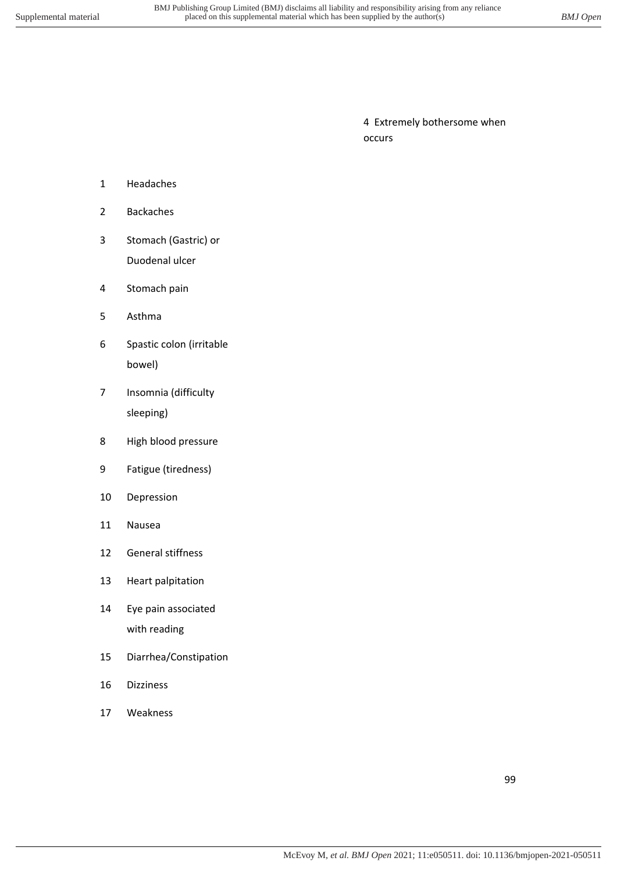4 Extremely bothersome when occurs

- 1 Headaches
- 2 Backaches
- 3 Stomach (Gastric) or Duodenal ulcer
- 4 Stomach pain
- 5 Asthma
- 6 Spastic colon (irritable bowel)
- 7 Insomnia (difficulty sleeping)
- 8 High blood pressure
- 9 Fatigue (tiredness)
- 10 Depression
- 11 Nausea
- 12 General stiffness
- 13 Heart palpitation
- 14 Eye pain associated with reading
- 15 Diarrhea/Constipation
- 16 Dizziness
- 17 Weakness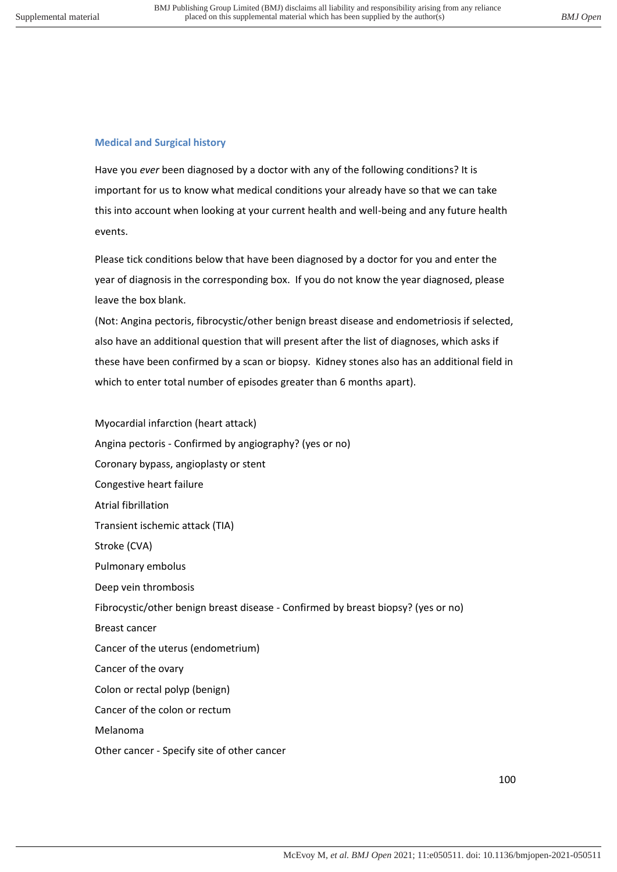## **Medical and Surgical history**

Have you *ever* been diagnosed by a doctor with any of the following conditions? It is important for us to know what medical conditions your already have so that we can take this into account when looking at your current health and well-being and any future health events.

Please tick conditions below that have been diagnosed by a doctor for you and enter the year of diagnosis in the corresponding box. If you do not know the year diagnosed, please leave the box blank.

(Not: Angina pectoris, fibrocystic/other benign breast disease and endometriosis if selected, also have an additional question that will present after the list of diagnoses, which asks if these have been confirmed by a scan or biopsy. Kidney stones also has an additional field in which to enter total number of episodes greater than 6 months apart).

Myocardial infarction (heart attack) Angina pectoris - Confirmed by angiography? (yes or no) Coronary bypass, angioplasty or stent Congestive heart failure Atrial fibrillation Transient ischemic attack (TIA) Stroke (CVA) Pulmonary embolus Deep vein thrombosis Fibrocystic/other benign breast disease - Confirmed by breast biopsy? (yes or no) Breast cancer Cancer of the uterus (endometrium) Cancer of the ovary Colon or rectal polyp (benign) Cancer of the colon or rectum Melanoma

Other cancer - Specify site of other cancer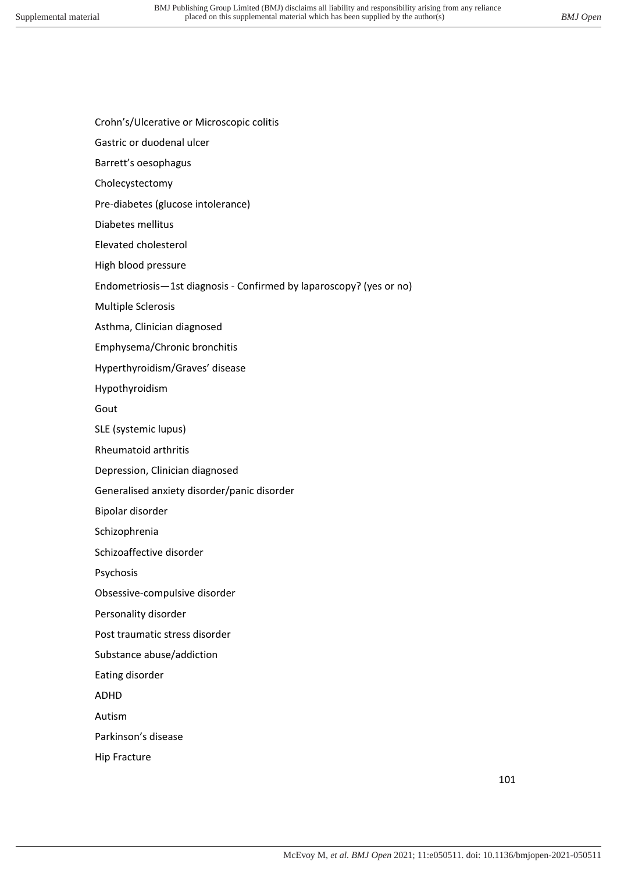- Crohn's/Ulcerative or Microscopic colitis
- Gastric or duodenal ulcer
- Barrett's oesophagus
- Cholecystectomy
- Pre-diabetes (glucose intolerance)
- Diabetes mellitus
- Elevated cholesterol
- High blood pressure
- Endometriosis—1st diagnosis Confirmed by laparoscopy? (yes or no)
- Multiple Sclerosis
- Asthma, Clinician diagnosed
- Emphysema/Chronic bronchitis
- Hyperthyroidism/Graves' disease
- Hypothyroidism
- Gout
- SLE (systemic lupus)
- Rheumatoid arthritis
- Depression, Clinician diagnosed
- Generalised anxiety disorder/panic disorder
- Bipolar disorder
- Schizophrenia
- Schizoaffective disorder
- Psychosis
- Obsessive-compulsive disorder
- Personality disorder
- Post traumatic stress disorder
- Substance abuse/addiction
- Eating disorder
- ADHD
- Autism
- Parkinson's disease
- Hip Fracture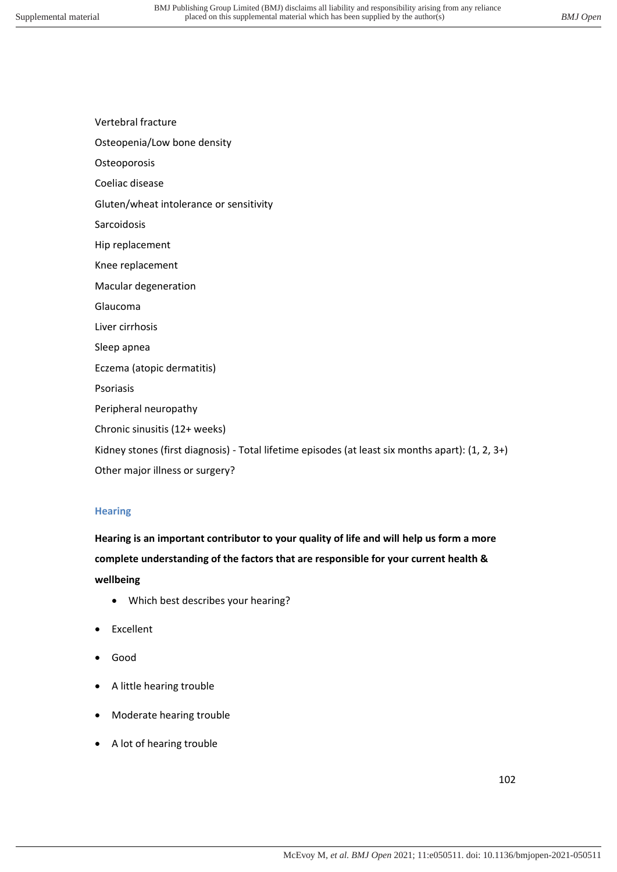Vertebral fracture

Osteopenia/Low bone density

Osteoporosis

Coeliac disease

Gluten/wheat intolerance or sensitivity

Sarcoidosis

Hip replacement

Knee replacement

Macular degeneration

Glaucoma

Liver cirrhosis

Sleep apnea

Eczema (atopic dermatitis)

Psoriasis

Peripheral neuropathy

Chronic sinusitis (12+ weeks)

Kidney stones (first diagnosis) - Total lifetime episodes (at least six months apart): (1, 2, 3+)

Other major illness or surgery?

## **Hearing**

**Hearing is an important contributor to your quality of life and will help us form a more complete understanding of the factors that are responsible for your current health & wellbeing** 

- Which best describes your hearing?
- **Excellent**
- Good
- A little hearing trouble
- Moderate hearing trouble
- A lot of hearing trouble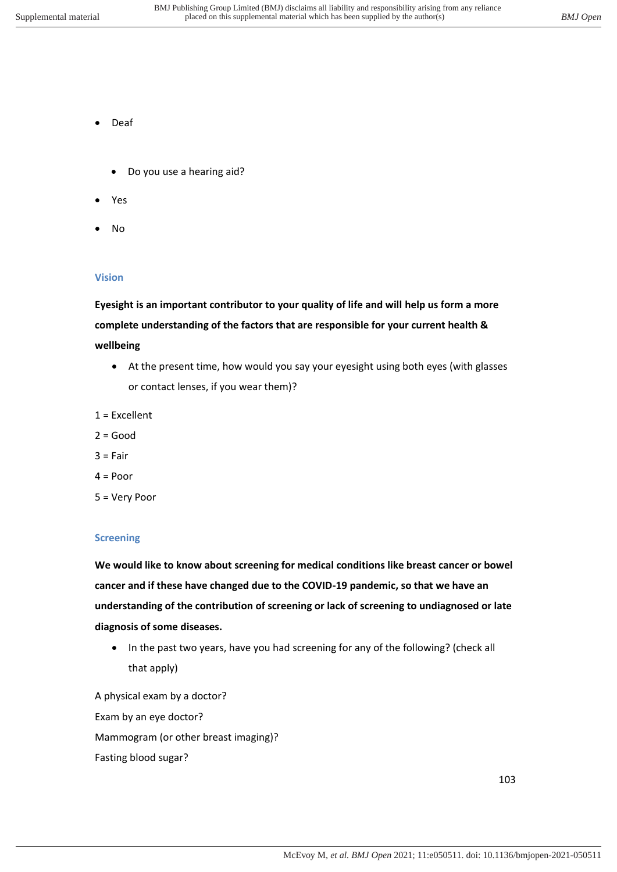- Deaf
	- Do you use a hearing aid?
- Yes
- No

## **Vision**

**Eyesight is an important contributor to your quality of life and will help us form a more complete understanding of the factors that are responsible for your current health & wellbeing** 

- At the present time, how would you say your eyesight using both eyes (with glasses or contact lenses, if you wear them)?
- $1$  = Excellent
- $2 = Good$
- $3 =$  Fair
- $4 = Poor$
- 5 = Very Poor

## **Screening**

**We would like to know about screening for medical conditions like breast cancer or bowel cancer and if these have changed due to the COVID-19 pandemic, so that we have an understanding of the contribution of screening or lack of screening to undiagnosed or late diagnosis of some diseases.** 

• In the past two years, have you had screening for any of the following? (check all that apply)

A physical exam by a doctor? Exam by an eye doctor? Mammogram (or other breast imaging)? Fasting blood sugar?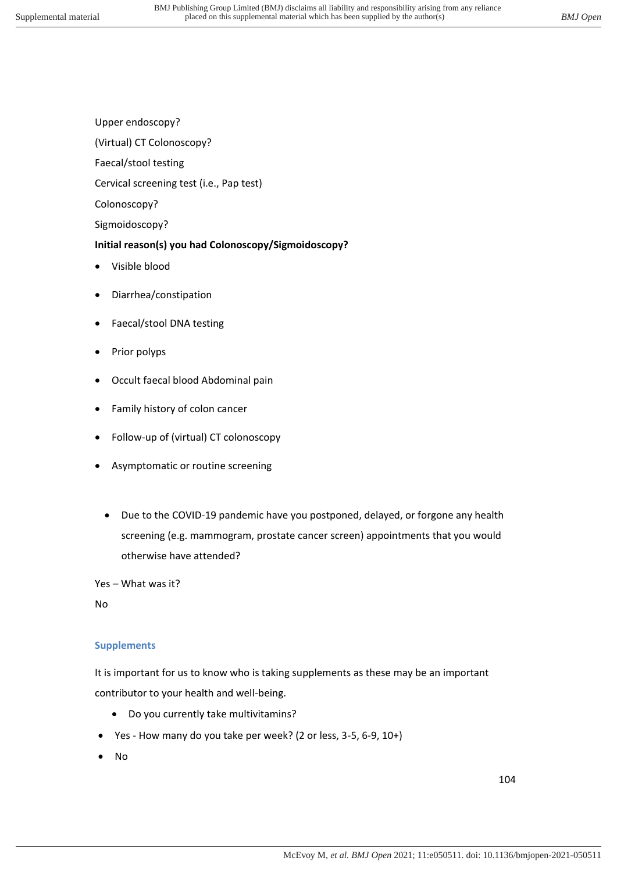Upper endoscopy? (Virtual) CT Colonoscopy? Faecal/stool testing Cervical screening test (i.e., Pap test) Colonoscopy? Sigmoidoscopy? **Initial reason(s) you had Colonoscopy/Sigmoidoscopy?** 

- Visible blood
- Diarrhea/constipation
- Faecal/stool DNA testing
- Prior polyps
- Occult faecal blood Abdominal pain
- Family history of colon cancer
- Follow-up of (virtual) CT colonoscopy
- Asymptomatic or routine screening
	- Due to the COVID-19 pandemic have you postponed, delayed, or forgone any health screening (e.g. mammogram, prostate cancer screen) appointments that you would otherwise have attended?

No

## **Supplements**

It is important for us to know who is taking supplements as these may be an important contributor to your health and well-being.

- Do you currently take multivitamins?
- Yes How many do you take per week? (2 or less, 3-5, 6-9, 10+)
- No

Yes – What was it?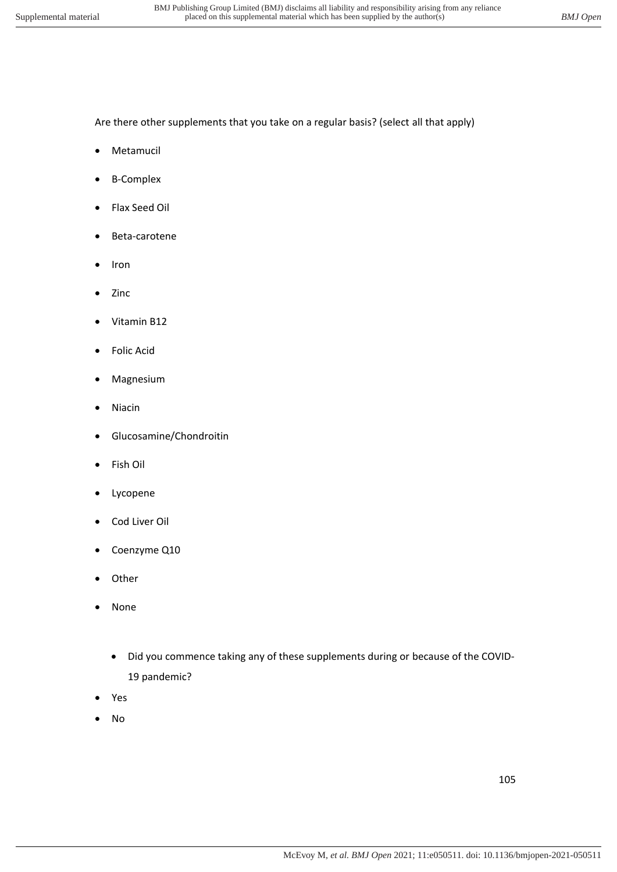Are there other supplements that you take on a regular basis? (select all that apply)

- **Metamucil**
- B-Complex
- Flax Seed Oil
- Beta-carotene
- Iron
- Zinc
- Vitamin B12
- Folic Acid
- Magnesium
- Niacin
- Glucosamine/Chondroitin
- Fish Oil
- Lycopene
- Cod Liver Oil
- Coenzyme Q10
- **Other**
- None
	- Did you commence taking any of these supplements during or because of the COVID-19 pandemic?
- Yes
- No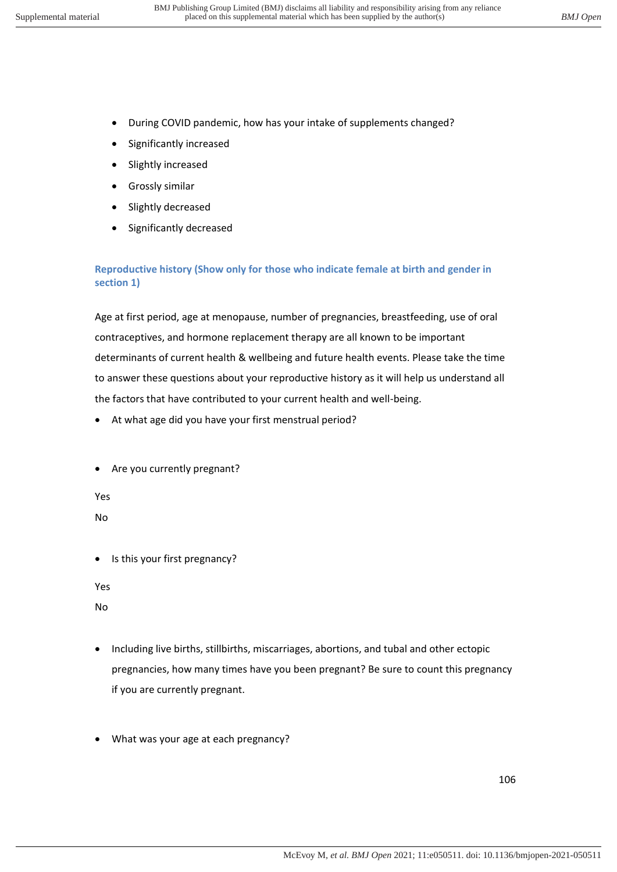- During COVID pandemic, how has your intake of supplements changed?
- Significantly increased
- Slightly increased
- Grossly similar
- Slightly decreased
- Significantly decreased

# **Reproductive history (Show only for those who indicate female at birth and gender in section 1)**

Age at first period, age at menopause, number of pregnancies, breastfeeding, use of oral contraceptives, and hormone replacement therapy are all known to be important determinants of current health & wellbeing and future health events. Please take the time to answer these questions about your reproductive history as it will help us understand all the factors that have contributed to your current health and well-being.

- At what age did you have your first menstrual period?
- Are you currently pregnant?

Yes

No

• Is this your first pregnancy?

Yes

No

- Including live births, stillbirths, miscarriages, abortions, and tubal and other ectopic pregnancies, how many times have you been pregnant? Be sure to count this pregnancy if you are currently pregnant.
- What was your age at each pregnancy?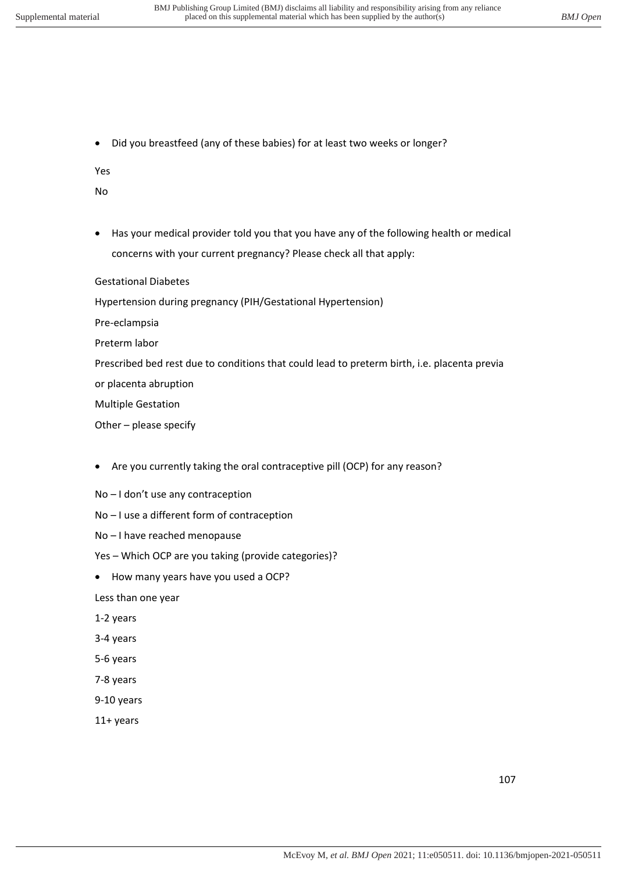• Did you breastfeed (any of these babies) for at least two weeks or longer?

Yes

No

• Has your medical provider told you that you have any of the following health or medical concerns with your current pregnancy? Please check all that apply:

## Gestational Diabetes

Hypertension during pregnancy (PIH/Gestational Hypertension)

Pre-eclampsia

Preterm labor

Prescribed bed rest due to conditions that could lead to preterm birth, i.e. placenta previa

or placenta abruption

Multiple Gestation

Other – please specify

- Are you currently taking the oral contraceptive pill (OCP) for any reason?
- No I don't use any contraception
- No I use a different form of contraception
- No I have reached menopause
- Yes Which OCP are you taking (provide categories)?
- How many years have you used a OCP?

Less than one year

- 1-2 years
- 3-4 years
- 5-6 years
- 7-8 years
- 9-10 years
- 11+ years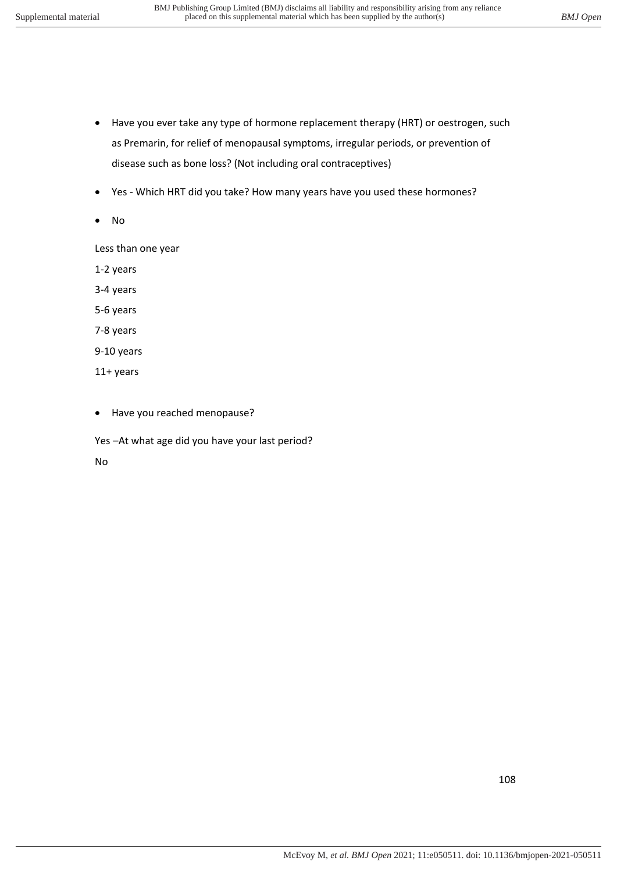- Have you ever take any type of hormone replacement therapy (HRT) or oestrogen, such as Premarin, for relief of menopausal symptoms, irregular periods, or prevention of disease such as bone loss? (Not including oral contraceptives)
- Yes Which HRT did you take? How many years have you used these hormones?
- No

Less than one year

1-2 years

3-4 years

5-6 years

7-8 years

9-10 years

11+ years

• Have you reached menopause?

Yes –At what age did you have your last period?

No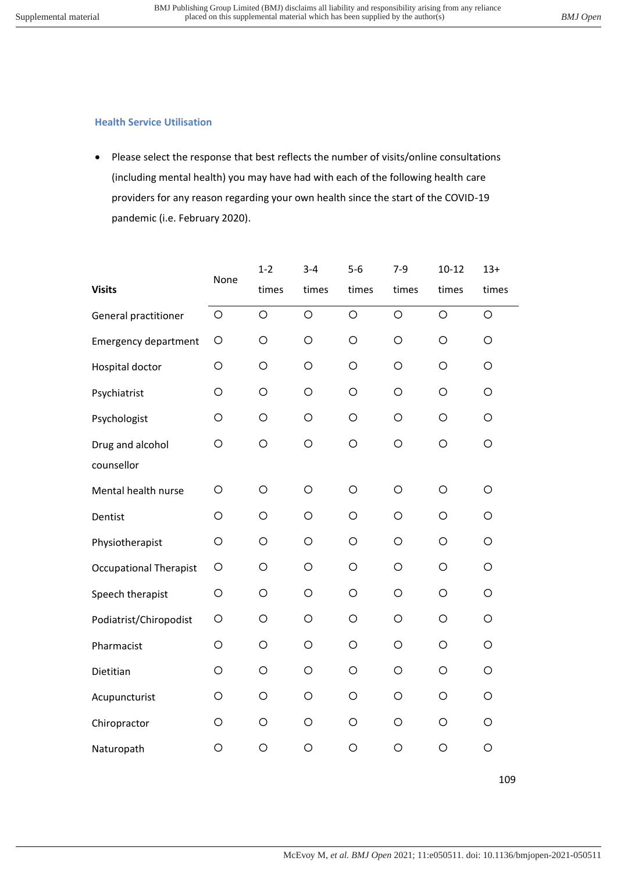# **Health Service Utilisation**

• Please select the response that best reflects the number of visits/online consultations (including mental health) you may have had with each of the following health care providers for any reason regarding your own health since the start of the COVID-19 pandemic (i.e. February 2020).

|                                | None    | $1 - 2$    | $3 - 4$    | $5-6$      | $7-9$   | $10 - 12$ | $13+$      |
|--------------------------------|---------|------------|------------|------------|---------|-----------|------------|
| <b>Visits</b>                  |         | times      | times      | times      | times   | times     | times      |
| General practitioner           | $\circ$ | $\circ$    | $\circ$    | $\circ$    | $\circ$ | $\circ$   | $\circ$    |
| <b>Emergency department</b>    | $\circ$ | $\bigcirc$ | $\circ$    | $\circ$    | $\circ$ | $\circ$   | $\circ$    |
| Hospital doctor                | $\circ$ | $\circ$    | $\circ$    | $\circ$    | $\circ$ | $\circ$   | $\circ$    |
| Psychiatrist                   | $\circ$ | $\circ$    | $\circ$    | $\circ$    | $\circ$ | $\circ$   | $\circ$    |
| Psychologist                   | $\circ$ | $\circ$    | $\circ$    | $\circ$    | $\circ$ | $\circ$   | $\circ$    |
| Drug and alcohol<br>counsellor | $\circ$ | $\circ$    | $\circ$    | $\circ$    | $\circ$ | $\circ$   | $\circ$    |
| Mental health nurse            | $\circ$ | $\circ$    | $\circ$    | $\circ$    | $\circ$ | $\circ$   | $\circ$    |
| Dentist                        | $\circ$ | $\bigcirc$ | $\circ$    | $\circ$    | $\circ$ | $\circ$   | $\circ$    |
| Physiotherapist                | $\circ$ | $\circ$    | $\circ$    | $\circ$    | $\circ$ | $\circ$   | $\circ$    |
| <b>Occupational Therapist</b>  | $\circ$ | $\bigcirc$ | $\bigcirc$ | $\bigcirc$ | $\circ$ | $\circ$   | $\circ$    |
| Speech therapist               | $\circ$ | $\bigcirc$ | $\bigcirc$ | $\circ$    | $\circ$ | $\circ$   | $\bigcirc$ |
| Podiatrist/Chiropodist         | $\circ$ | $\circ$    | $\circ$    | $\circ$    | $\circ$ | $\circ$   | $\circ$    |
| Pharmacist                     | $\circ$ | $\circ$    | $\circ$    | $\circ$    | $\circ$ | $\circ$   | $\circ$    |
| Dietitian                      | O       | $\circ$    | $\circ$    | $\circ$    | $\circ$ | $\circ$   | $\circ$    |
| Acupuncturist                  | $\circ$ | $\circ$    | $\circ$    | $\circ$    | $\circ$ | $\circ$   | $\circ$    |
| Chiropractor                   | $\circ$ | $\circ$    | $\circ$    | $\circ$    | $\circ$ | $\circ$   | $\circ$    |
| Naturopath                     | $\circ$ | $\circ$    | $\circ$    | $\circ$    | $\circ$ | $\circ$   | $\circ$    |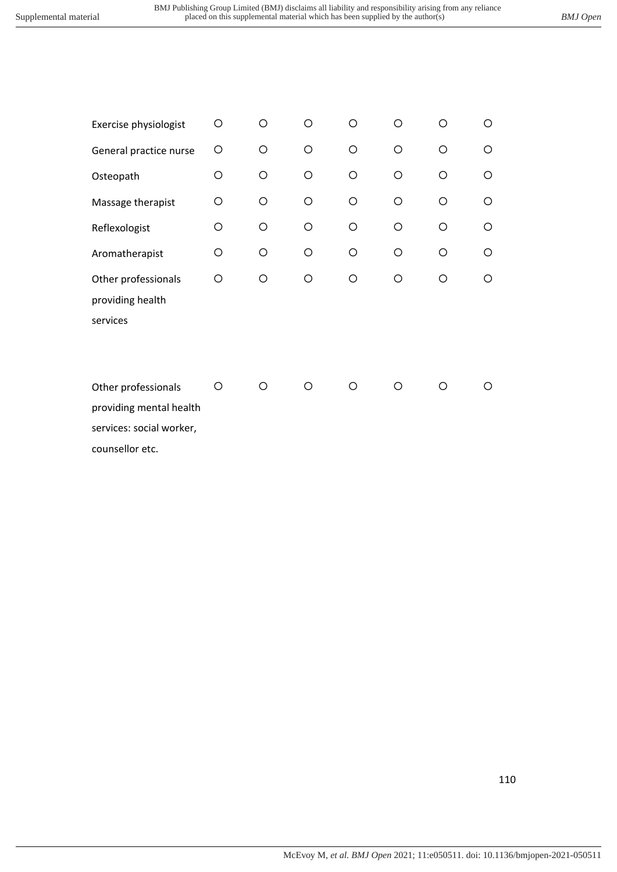| Exercise physiologist                                                                         | O       | Ω       | O       | $\circ$    | Ο          | O       | O |
|-----------------------------------------------------------------------------------------------|---------|---------|---------|------------|------------|---------|---|
| General practice nurse                                                                        | O       | O       | $\circ$ | $\bigcirc$ | O          | O       | O |
| Osteopath                                                                                     | $\circ$ | $\circ$ | $\circ$ | $\circ$    | O          | $\circ$ | O |
| Massage therapist                                                                             | O       | O       | $\circ$ | $\circ$    | O          | O       | O |
| Reflexologist                                                                                 | $\circ$ | $\circ$ | $\circ$ | $\bigcirc$ | $\bigcirc$ | $\circ$ | O |
| Aromatherapist                                                                                | $\circ$ | O       | $\circ$ | $\circ$    | O          | O       | O |
| Other professionals                                                                           | O       | O       | $\circ$ | $\bigcirc$ | O          | O       | ◯ |
| providing health<br>services                                                                  |         |         |         |            |            |         |   |
| Other professionals<br>providing mental health<br>services: social worker,<br>counsellor etc. | O       | O       | O       | O          | Ω          | ∩       |   |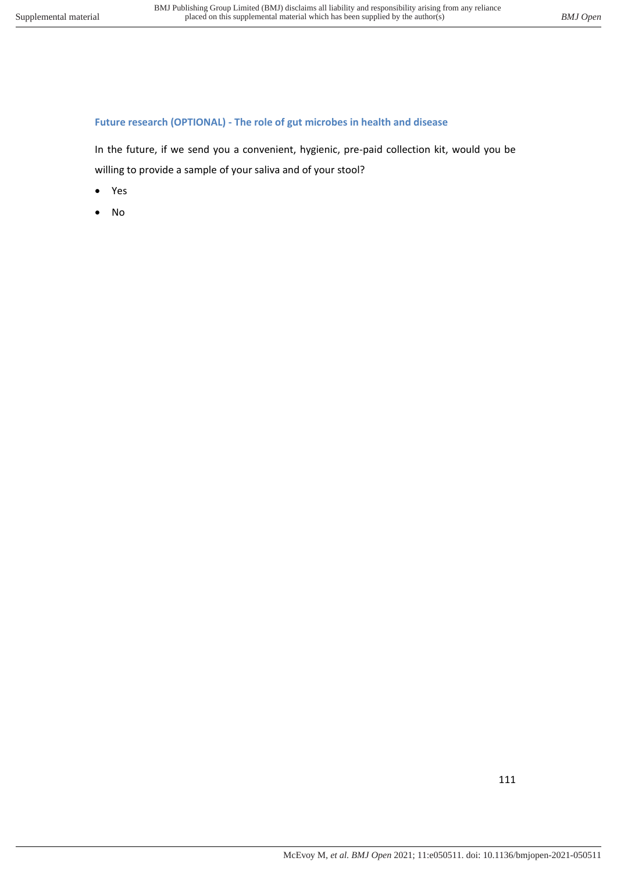# **Future research (OPTIONAL) - The role of gut microbes in health and disease**

In the future, if we send you a convenient, hygienic, pre-paid collection kit, would you be willing to provide a sample of your saliva and of your stool?

- Yes
- No